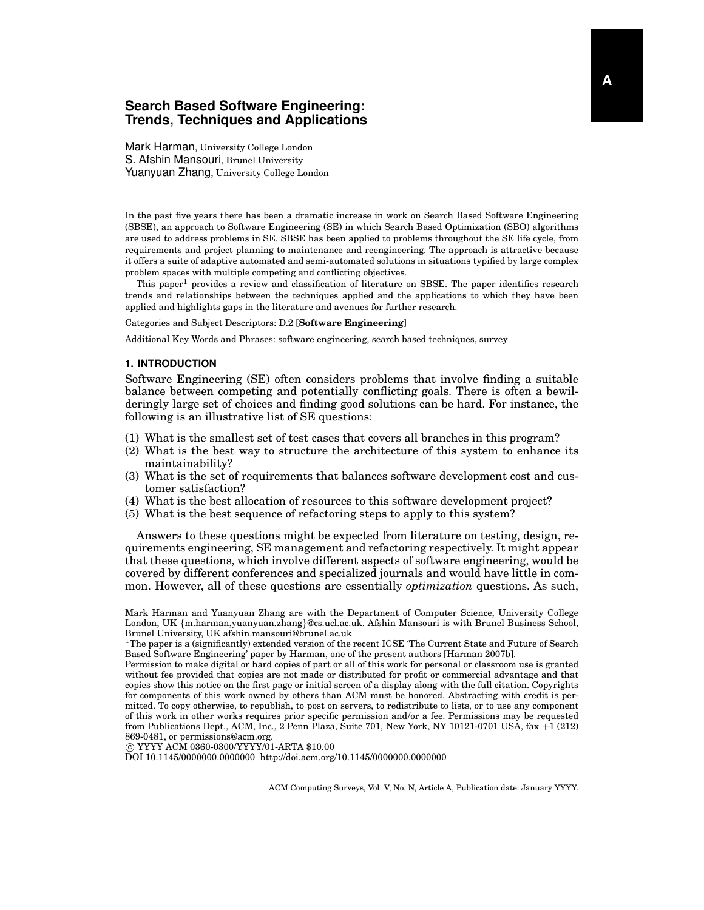# **Search Based Software Engineering: Trends, Techniques and Applications**

Mark Harman, University College London S. Afshin Mansouri, Brunel University Yuanyuan Zhang, University College London

In the past five years there has been a dramatic increase in work on Search Based Software Engineering (SBSE), an approach to Software Engineering (SE) in which Search Based Optimization (SBO) algorithms are used to address problems in SE. SBSE has been applied to problems throughout the SE life cycle, from requirements and project planning to maintenance and reengineering. The approach is attractive because it offers a suite of adaptive automated and semi-automated solutions in situations typified by large complex problem spaces with multiple competing and conflicting objectives.

This paper<sup>1</sup> provides a review and classification of literature on SBSE. The paper identifies research trends and relationships between the techniques applied and the applications to which they have been applied and highlights gaps in the literature and avenues for further research.

Categories and Subject Descriptors: D.2 [**Software Engineering**]

Additional Key Words and Phrases: software engineering, search based techniques, survey

#### **1. INTRODUCTION**

Software Engineering (SE) often considers problems that involve finding a suitable balance between competing and potentially conflicting goals. There is often a bewilderingly large set of choices and finding good solutions can be hard. For instance, the following is an illustrative list of SE questions:

- (1) What is the smallest set of test cases that covers all branches in this program?
- (2) What is the best way to structure the architecture of this system to enhance its maintainability?
- (3) What is the set of requirements that balances software development cost and customer satisfaction?
- (4) What is the best allocation of resources to this software development project?
- (5) What is the best sequence of refactoring steps to apply to this system?

Answers to these questions might be expected from literature on testing, design, requirements engineering, SE management and refactoring respectively. It might appear that these questions, which involve different aspects of software engineering, would be covered by different conferences and specialized journals and would have little in common. However, all of these questions are essentially *optimization* questions. As such,

*⃝*c YYYY ACM 0360-0300/YYYY/01-ARTA \$10.00

DOI 10.1145/0000000.0000000 http://doi.acm.org/10.1145/0000000.0000000

Mark Harman and Yuanyuan Zhang are with the Department of Computer Science, University College London, UK *{*m.harman,yuanyuan.zhang*}*@cs.ucl.ac.uk. Afshin Mansouri is with Brunel Business School, Brunel University, UK afshin.mansouri@brunel.ac.uk

<sup>&</sup>lt;sup>1</sup>The paper is a (significantly) extended version of the recent ICSE 'The Current State and Future of Search Based Software Engineering' paper by Harman, one of the present authors [Harman 2007b].

Permission to make digital or hard copies of part or all of this work for personal or classroom use is granted without fee provided that copies are not made or distributed for profit or commercial advantage and that copies show this notice on the first page or initial screen of a display along with the full citation. Copyrights for components of this work owned by others than ACM must be honored. Abstracting with credit is permitted. To copy otherwise, to republish, to post on servers, to redistribute to lists, or to use any component of this work in other works requires prior specific permission and/or a fee. Permissions may be requested from Publications Dept., ACM, Inc., 2 Penn Plaza, Suite 701, New York, NY 10121-0701 USA, fax +1 (212) 869-0481, or permissions@acm.org.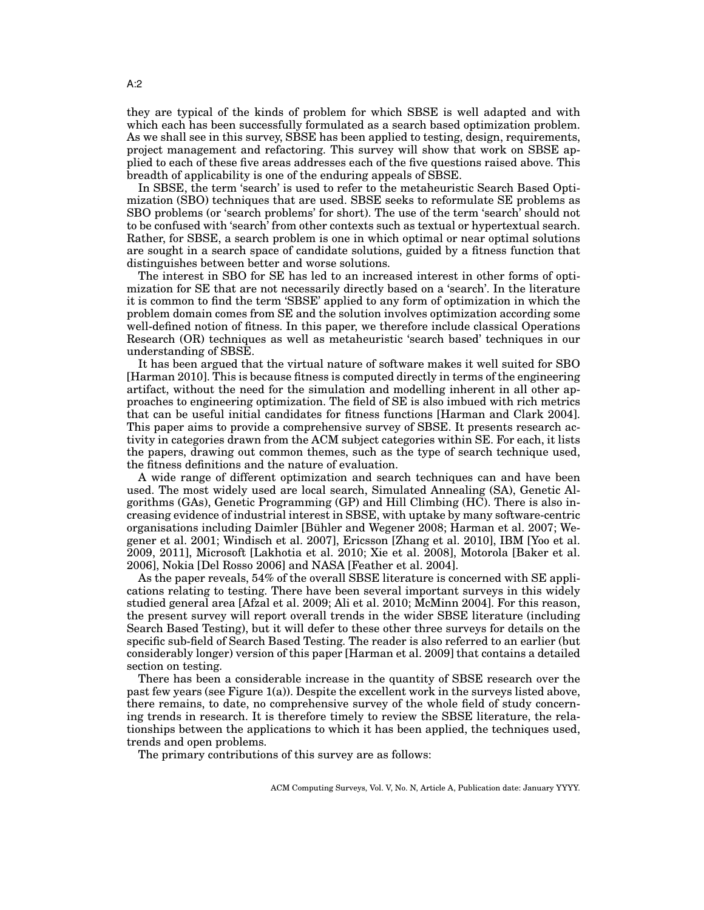they are typical of the kinds of problem for which SBSE is well adapted and with which each has been successfully formulated as a search based optimization problem. As we shall see in this survey, SBSE has been applied to testing, design, requirements, project management and refactoring. This survey will show that work on SBSE applied to each of these five areas addresses each of the five questions raised above. This breadth of applicability is one of the enduring appeals of SBSE.

In SBSE, the term 'search' is used to refer to the metaheuristic Search Based Optimization (SBO) techniques that are used. SBSE seeks to reformulate SE problems as SBO problems (or 'search problems' for short). The use of the term 'search' should not to be confused with 'search' from other contexts such as textual or hypertextual search. Rather, for SBSE, a search problem is one in which optimal or near optimal solutions are sought in a search space of candidate solutions, guided by a fitness function that distinguishes between better and worse solutions.

The interest in SBO for SE has led to an increased interest in other forms of optimization for SE that are not necessarily directly based on a 'search'. In the literature it is common to find the term 'SBSE' applied to any form of optimization in which the problem domain comes from SE and the solution involves optimization according some well-defined notion of fitness. In this paper, we therefore include classical Operations Research (OR) techniques as well as metaheuristic 'search based' techniques in our understanding of SBSE.

It has been argued that the virtual nature of software makes it well suited for SBO [Harman 2010]. This is because fitness is computed directly in terms of the engineering artifact, without the need for the simulation and modelling inherent in all other approaches to engineering optimization. The field of SE is also imbued with rich metrics that can be useful initial candidates for fitness functions [Harman and Clark 2004]. This paper aims to provide a comprehensive survey of SBSE. It presents research activity in categories drawn from the ACM subject categories within SE. For each, it lists the papers, drawing out common themes, such as the type of search technique used, the fitness definitions and the nature of evaluation.

A wide range of different optimization and search techniques can and have been used. The most widely used are local search, Simulated Annealing (SA), Genetic Algorithms (GAs), Genetic Programming (GP) and Hill Climbing (HC). There is also increasing evidence of industrial interest in SBSE, with uptake by many software-centric organisations including Daimler [Bühler and Wegener 2008; Harman et al. 2007; Wegener et al. 2001; Windisch et al. 2007], Ericsson [Zhang et al. 2010], IBM [Yoo et al. 2009, 2011], Microsoft [Lakhotia et al. 2010; Xie et al. 2008], Motorola [Baker et al. 2006], Nokia [Del Rosso 2006] and NASA [Feather et al. 2004].

As the paper reveals, 54% of the overall SBSE literature is concerned with SE applications relating to testing. There have been several important surveys in this widely studied general area [Afzal et al. 2009; Ali et al. 2010; McMinn 2004]. For this reason, the present survey will report overall trends in the wider SBSE literature (including Search Based Testing), but it will defer to these other three surveys for details on the specific sub-field of Search Based Testing. The reader is also referred to an earlier (but considerably longer) version of this paper [Harman et al. 2009] that contains a detailed section on testing.

There has been a considerable increase in the quantity of SBSE research over the past few years (see Figure 1(a)). Despite the excellent work in the surveys listed above, there remains, to date, no comprehensive survey of the whole field of study concerning trends in research. It is therefore timely to review the SBSE literature, the relationships between the applications to which it has been applied, the techniques used, trends and open problems.

The primary contributions of this survey are as follows: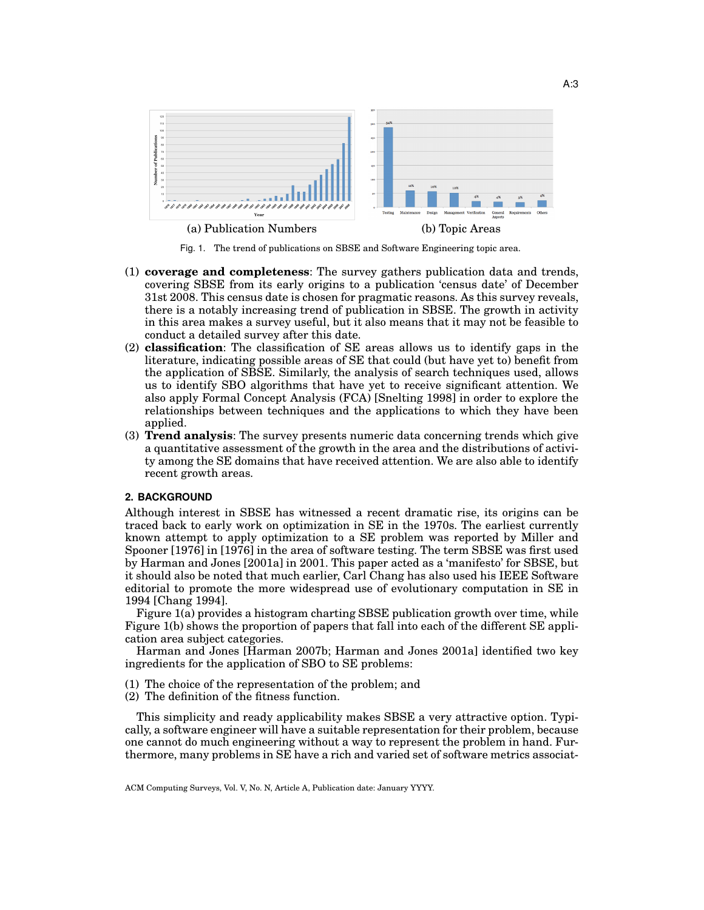

Fig. 1. The trend of publications on SBSE and Software Engineering topic area.

- (1) **coverage and completeness**: The survey gathers publication data and trends, covering SBSE from its early origins to a publication 'census date' of December 31st 2008. This census date is chosen for pragmatic reasons. As this survey reveals, there is a notably increasing trend of publication in SBSE. The growth in activity in this area makes a survey useful, but it also means that it may not be feasible to conduct a detailed survey after this date.
- (2) **classification**: The classification of SE areas allows us to identify gaps in the literature, indicating possible areas of SE that could (but have yet to) benefit from the application of SBSE. Similarly, the analysis of search techniques used, allows us to identify SBO algorithms that have yet to receive significant attention. We also apply Formal Concept Analysis (FCA) [Snelting 1998] in order to explore the relationships between techniques and the applications to which they have been applied.
- (3) **Trend analysis**: The survey presents numeric data concerning trends which give a quantitative assessment of the growth in the area and the distributions of activity among the SE domains that have received attention. We are also able to identify recent growth areas.

## **2. BACKGROUND**

Although interest in SBSE has witnessed a recent dramatic rise, its origins can be traced back to early work on optimization in SE in the 1970s. The earliest currently known attempt to apply optimization to a SE problem was reported by Miller and Spooner [1976] in [1976] in the area of software testing. The term SBSE was first used by Harman and Jones [2001a] in 2001. This paper acted as a 'manifesto' for SBSE, but it should also be noted that much earlier, Carl Chang has also used his IEEE Software editorial to promote the more widespread use of evolutionary computation in SE in 1994 [Chang 1994].

Figure 1(a) provides a histogram charting SBSE publication growth over time, while Figure 1(b) shows the proportion of papers that fall into each of the different SE application area subject categories.

Harman and Jones [Harman 2007b; Harman and Jones 2001a] identified two key ingredients for the application of SBO to SE problems:

- (1) The choice of the representation of the problem; and
- (2) The definition of the fitness function.

This simplicity and ready applicability makes SBSE a very attractive option. Typically, a software engineer will have a suitable representation for their problem, because one cannot do much engineering without a way to represent the problem in hand. Furthermore, many problems in SE have a rich and varied set of software metrics associat-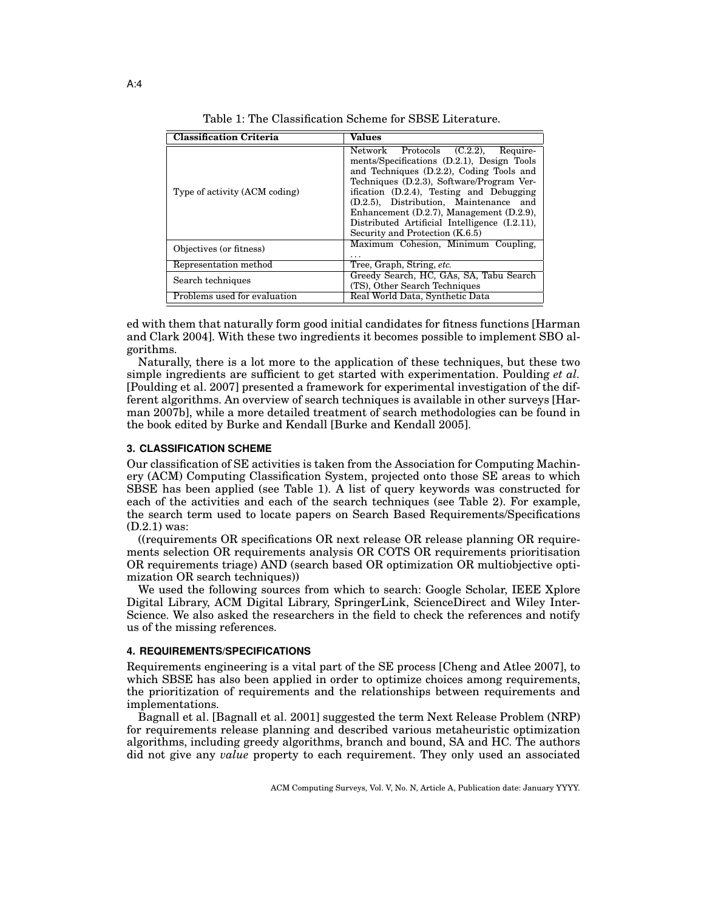| <b>Classification Criteria</b> | Values                                                                                                                                                                                                                                                                                                                                                                                                 |
|--------------------------------|--------------------------------------------------------------------------------------------------------------------------------------------------------------------------------------------------------------------------------------------------------------------------------------------------------------------------------------------------------------------------------------------------------|
| Type of activity (ACM coding)  | Network Protocols (C.2.2), Require-<br>ments/Specifications (D.2.1), Design Tools<br>and Techniques (D.2.2), Coding Tools and<br>Techniques (D.2.3), Software/Program Ver-<br>ification $(D.2.4)$ , Testing and Debugging<br>(D.2.5), Distribution, Maintenance<br>and<br>Enhancement (D.2.7), Management (D.2.9),<br>Distributed Artificial Intelligence (I.2.11),<br>Security and Protection (K.6.5) |
| Objectives (or fitness)        | Maximum Cohesion, Minimum Coupling,<br>.                                                                                                                                                                                                                                                                                                                                                               |
| Representation method          | Tree, Graph, String, etc.                                                                                                                                                                                                                                                                                                                                                                              |
| Search techniques              | Greedy Search, HC, GAs, SA, Tabu Search<br>(TS), Other Search Techniques                                                                                                                                                                                                                                                                                                                               |
| Problems used for evaluation   | Real World Data, Synthetic Data                                                                                                                                                                                                                                                                                                                                                                        |

Table 1: The Classification Scheme for SBSE Literature.

ed with them that naturally form good initial candidates for fitness functions [Harman and Clark 2004]. With these two ingredients it becomes possible to implement SBO algorithms.

Naturally, there is a lot more to the application of these techniques, but these two simple ingredients are sufficient to get started with experimentation. Poulding *et al.* [Poulding et al. 2007] presented a framework for experimental investigation of the different algorithms. An overview of search techniques is available in other surveys [Harman 2007b], while a more detailed treatment of search methodologies can be found in the book edited by Burke and Kendall [Burke and Kendall 2005].

## **3. CLASSIFICATION SCHEME**

Our classification of SE activities is taken from the Association for Computing Machinery (ACM) Computing Classification System, projected onto those SE areas to which SBSE has been applied (see Table 1). A list of query keywords was constructed for each of the activities and each of the search techniques (see Table 2). For example, the search term used to locate papers on Search Based Requirements/Specifications (D.2.1) was:

((requirements OR specifications OR next release OR release planning OR requirements selection OR requirements analysis OR COTS OR requirements prioritisation OR requirements triage) AND (search based OR optimization OR multiobjective optimization OR search techniques))

We used the following sources from which to search: Google Scholar, IEEE Xplore Digital Library, ACM Digital Library, SpringerLink, ScienceDirect and Wiley Inter-Science. We also asked the researchers in the field to check the references and notify us of the missing references.

# **4. REQUIREMENTS/SPECIFICATIONS**

Requirements engineering is a vital part of the SE process [Cheng and Atlee 2007], to which SBSE has also been applied in order to optimize choices among requirements, the prioritization of requirements and the relationships between requirements and implementations.

Bagnall et al. [Bagnall et al. 2001] suggested the term Next Release Problem (NRP) for requirements release planning and described various metaheuristic optimization algorithms, including greedy algorithms, branch and bound, SA and HC. The authors did not give any *value* property to each requirement. They only used an associated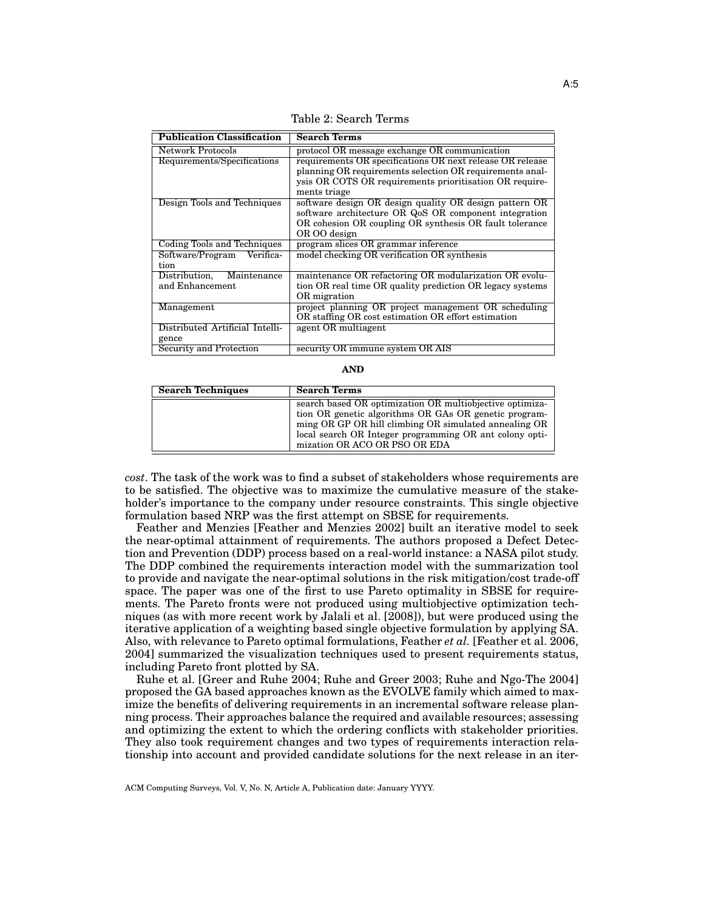| <b>Publication Classification</b>  | <b>Search Terms</b>                                       |
|------------------------------------|-----------------------------------------------------------|
| Network Protocols                  | protocol OR message exchange OR communication             |
| Requirements/Specifications        | requirements OR specifications OR next release OR release |
|                                    | planning OR requirements selection OR requirements anal-  |
|                                    | ysis OR COTS OR requirements prioritisation OR require-   |
|                                    | ments triage                                              |
| Design Tools and Techniques        | software design OR design quality OR design pattern OR    |
|                                    | software architecture OR QoS OR component integration     |
|                                    | OR cohesion OR coupling OR synthesis OR fault tolerance   |
|                                    | OR OO design                                              |
| <b>Coding Tools and Techniques</b> | program slices OR grammar inference                       |
| Software/Program<br>Verifica-      | model checking OR verification OR synthesis               |
| tion                               |                                                           |
| Maintenance<br>Distribution,       | maintenance OR refactoring OR modularization OR evolu-    |
| and Enhancement                    | tion OR real time OR quality prediction OR legacy systems |
|                                    | OR migration                                              |
| Management                         | project planning OR project management OR scheduling      |
|                                    | OR staffing OR cost estimation OR effort estimation       |
| Distributed Artificial Intelli-    | agent OR multiagent                                       |
| gence                              |                                                           |
| Security and Protection            | security OR immune system OR AIS                          |

Table 2: Search Terms

#### **AND**

| <b>Search Techniques</b> | <b>Search Terms</b>                                                                                                                                                                                                                                                    |
|--------------------------|------------------------------------------------------------------------------------------------------------------------------------------------------------------------------------------------------------------------------------------------------------------------|
|                          | search based OR optimization OR multiobjective optimiza-<br>tion OR genetic algorithms OR GAs OR genetic program-<br>ming OR GP OR hill climbing OR simulated annealing OR<br>local search OR Integer programming OR ant colony opti-<br>mization OR ACO OR PSO OR EDA |

*cost*. The task of the work was to find a subset of stakeholders whose requirements are to be satisfied. The objective was to maximize the cumulative measure of the stakeholder's importance to the company under resource constraints. This single objective formulation based NRP was the first attempt on SBSE for requirements.

Feather and Menzies [Feather and Menzies 2002] built an iterative model to seek the near-optimal attainment of requirements. The authors proposed a Defect Detection and Prevention (DDP) process based on a real-world instance: a NASA pilot study. The DDP combined the requirements interaction model with the summarization tool to provide and navigate the near-optimal solutions in the risk mitigation/cost trade-off space. The paper was one of the first to use Pareto optimality in SBSE for requirements. The Pareto fronts were not produced using multiobjective optimization techniques (as with more recent work by Jalali et al. [2008]), but were produced using the iterative application of a weighting based single objective formulation by applying SA. Also, with relevance to Pareto optimal formulations, Feather *et al.* [Feather et al. 2006, 2004] summarized the visualization techniques used to present requirements status, including Pareto front plotted by SA.

Ruhe et al. [Greer and Ruhe 2004; Ruhe and Greer 2003; Ruhe and Ngo-The 2004] proposed the GA based approaches known as the EVOLVE family which aimed to maximize the benefits of delivering requirements in an incremental software release planning process. Their approaches balance the required and available resources; assessing and optimizing the extent to which the ordering conflicts with stakeholder priorities. They also took requirement changes and two types of requirements interaction relationship into account and provided candidate solutions for the next release in an iter-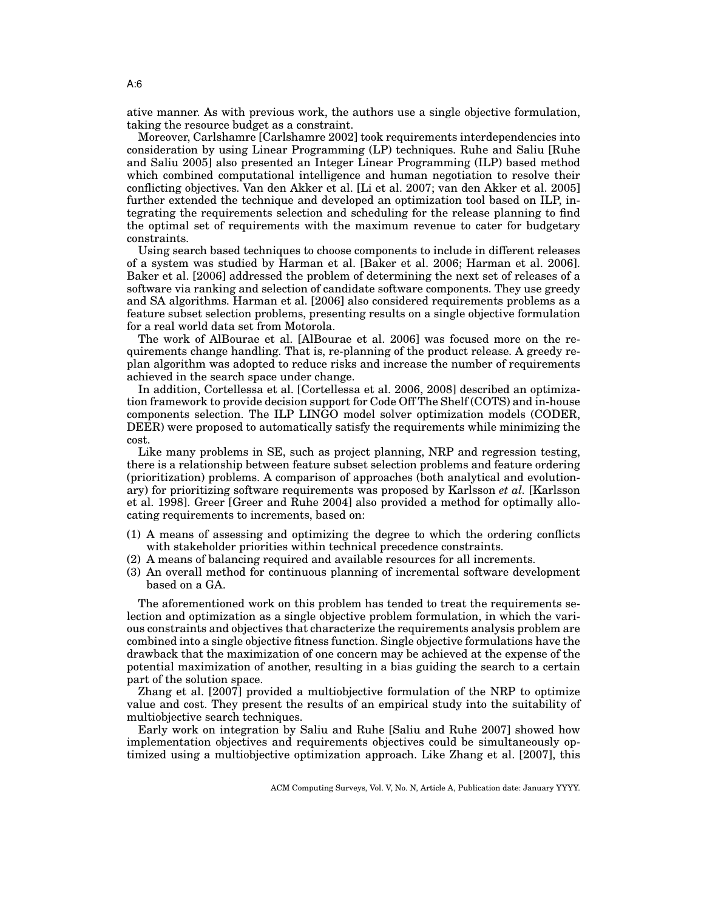ative manner. As with previous work, the authors use a single objective formulation, taking the resource budget as a constraint.

Moreover, Carlshamre [Carlshamre 2002] took requirements interdependencies into consideration by using Linear Programming (LP) techniques. Ruhe and Saliu [Ruhe and Saliu 2005] also presented an Integer Linear Programming (ILP) based method which combined computational intelligence and human negotiation to resolve their conflicting objectives. Van den Akker et al. [Li et al. 2007; van den Akker et al. 2005] further extended the technique and developed an optimization tool based on ILP, integrating the requirements selection and scheduling for the release planning to find the optimal set of requirements with the maximum revenue to cater for budgetary constraints.

Using search based techniques to choose components to include in different releases of a system was studied by Harman et al. [Baker et al. 2006; Harman et al. 2006]. Baker et al. [2006] addressed the problem of determining the next set of releases of a software via ranking and selection of candidate software components. They use greedy and SA algorithms. Harman et al. [2006] also considered requirements problems as a feature subset selection problems, presenting results on a single objective formulation for a real world data set from Motorola.

The work of AlBourae et al. [AlBourae et al. 2006] was focused more on the requirements change handling. That is, re-planning of the product release. A greedy replan algorithm was adopted to reduce risks and increase the number of requirements achieved in the search space under change.

In addition, Cortellessa et al. [Cortellessa et al. 2006, 2008] described an optimization framework to provide decision support for Code Off The Shelf (COTS) and in-house components selection. The ILP LINGO model solver optimization models (CODER, DEER) were proposed to automatically satisfy the requirements while minimizing the cost.

Like many problems in SE, such as project planning, NRP and regression testing, there is a relationship between feature subset selection problems and feature ordering (prioritization) problems. A comparison of approaches (both analytical and evolutionary) for prioritizing software requirements was proposed by Karlsson *et al.* [Karlsson et al. 1998]. Greer [Greer and Ruhe 2004] also provided a method for optimally allocating requirements to increments, based on:

- (1) A means of assessing and optimizing the degree to which the ordering conflicts with stakeholder priorities within technical precedence constraints.
- (2) A means of balancing required and available resources for all increments.
- (3) An overall method for continuous planning of incremental software development based on a GA.

The aforementioned work on this problem has tended to treat the requirements selection and optimization as a single objective problem formulation, in which the various constraints and objectives that characterize the requirements analysis problem are combined into a single objective fitness function. Single objective formulations have the drawback that the maximization of one concern may be achieved at the expense of the potential maximization of another, resulting in a bias guiding the search to a certain part of the solution space.

Zhang et al. [2007] provided a multiobjective formulation of the NRP to optimize value and cost. They present the results of an empirical study into the suitability of multiobjective search techniques.

Early work on integration by Saliu and Ruhe [Saliu and Ruhe 2007] showed how implementation objectives and requirements objectives could be simultaneously optimized using a multiobjective optimization approach. Like Zhang et al. [2007], this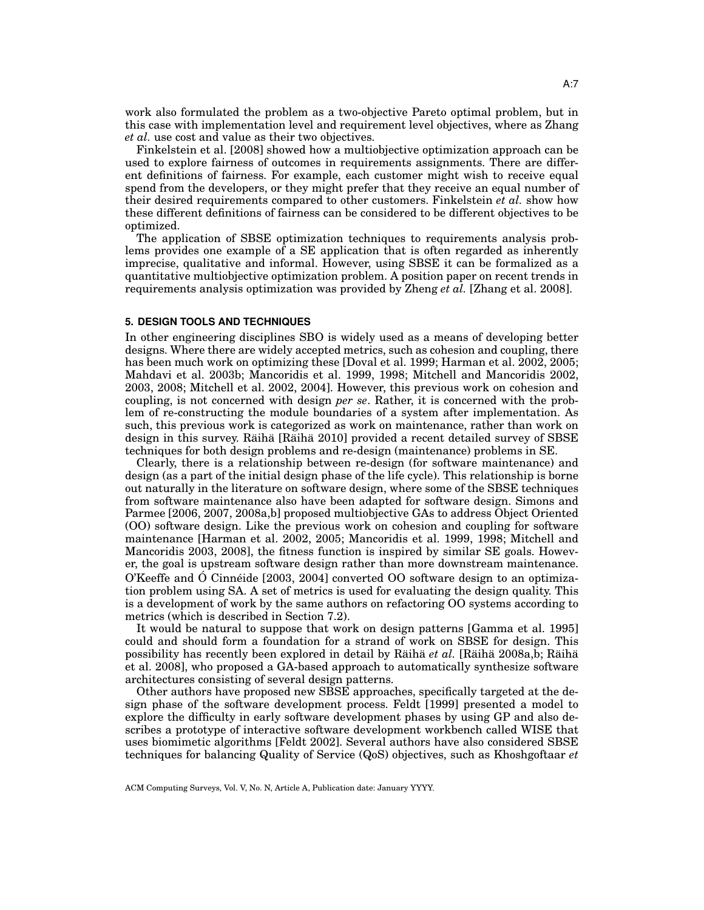work also formulated the problem as a two-objective Pareto optimal problem, but in this case with implementation level and requirement level objectives, where as Zhang *et al.* use cost and value as their two objectives.

Finkelstein et al. [2008] showed how a multiobjective optimization approach can be used to explore fairness of outcomes in requirements assignments. There are different definitions of fairness. For example, each customer might wish to receive equal spend from the developers, or they might prefer that they receive an equal number of their desired requirements compared to other customers. Finkelstein *et al.* show how these different definitions of fairness can be considered to be different objectives to be optimized.

The application of SBSE optimization techniques to requirements analysis problems provides one example of a SE application that is often regarded as inherently imprecise, qualitative and informal. However, using SBSE it can be formalized as a quantitative multiobjective optimization problem. A position paper on recent trends in requirements analysis optimization was provided by Zheng *et al.* [Zhang et al. 2008].

# **5. DESIGN TOOLS AND TECHNIQUES**

In other engineering disciplines SBO is widely used as a means of developing better designs. Where there are widely accepted metrics, such as cohesion and coupling, there has been much work on optimizing these [Doval et al. 1999; Harman et al. 2002, 2005; Mahdavi et al. 2003b; Mancoridis et al. 1999, 1998; Mitchell and Mancoridis 2002, 2003, 2008; Mitchell et al. 2002, 2004]. However, this previous work on cohesion and coupling, is not concerned with design *per se*. Rather, it is concerned with the problem of re-constructing the module boundaries of a system after implementation. As such, this previous work is categorized as work on maintenance, rather than work on design in this survey. Räihä [Räihä 2010] provided a recent detailed survey of SBSE techniques for both design problems and re-design (maintenance) problems in SE.

Clearly, there is a relationship between re-design (for software maintenance) and design (as a part of the initial design phase of the life cycle). This relationship is borne out naturally in the literature on software design, where some of the SBSE techniques from software maintenance also have been adapted for software design. Simons and Parmee [2006, 2007, 2008a,b] proposed multiobjective GAs to address Object Oriented (OO) software design. Like the previous work on cohesion and coupling for software maintenance [Harman et al. 2002, 2005; Mancoridis et al. 1999, 1998; Mitchell and Mancoridis 2003, 2008], the fitness function is inspired by similar SE goals. However, the goal is upstream software design rather than more downstream maintenance.  $O'$ Keeffe and  $O'$  Cinnéide [2003, 2004] converted  $OO$  software design to an optimization problem using SA. A set of metrics is used for evaluating the design quality. This is a development of work by the same authors on refactoring OO systems according to metrics (which is described in Section 7.2).

It would be natural to suppose that work on design patterns [Gamma et al. 1995] could and should form a foundation for a strand of work on SBSE for design. This possibility has recently been explored in detail by Räihä *et al.* [Räihä 2008a,b; Räihä et al. 2008], who proposed a GA-based approach to automatically synthesize software architectures consisting of several design patterns.

Other authors have proposed new SBSE approaches, specifically targeted at the design phase of the software development process. Feldt [1999] presented a model to explore the difficulty in early software development phases by using GP and also describes a prototype of interactive software development workbench called WISE that uses biomimetic algorithms [Feldt 2002]. Several authors have also considered SBSE techniques for balancing Quality of Service (QoS) objectives, such as Khoshgoftaar *et*

ACM Computing Surveys, Vol. V, No. N, Article A, Publication date: January YYYY.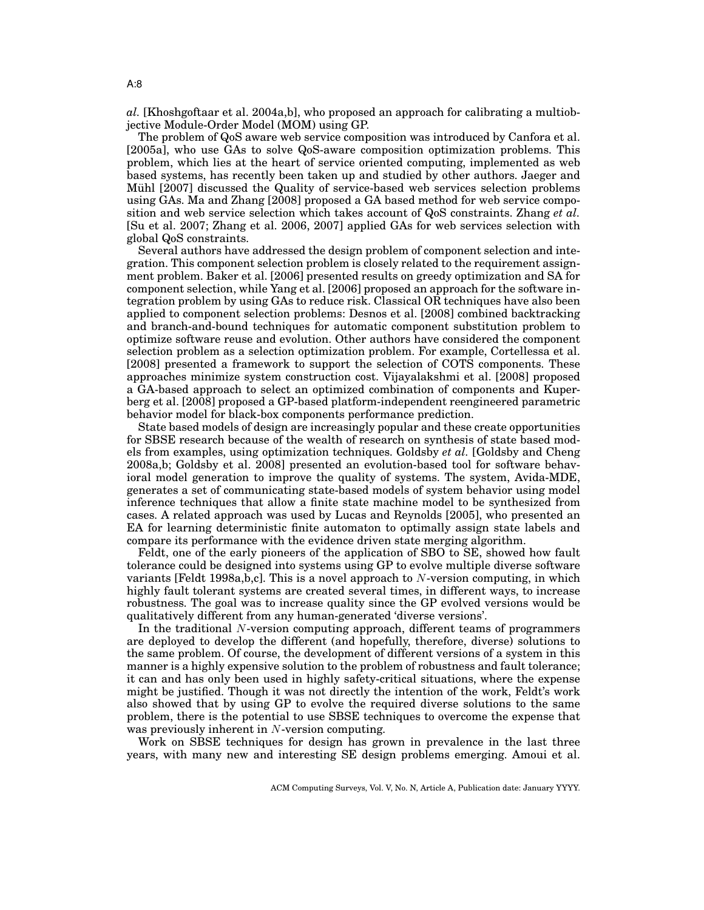*al.* [Khoshgoftaar et al. 2004a,b], who proposed an approach for calibrating a multiobjective Module-Order Model (MOM) using GP.

The problem of QoS aware web service composition was introduced by Canfora et al. [2005a], who use GAs to solve QoS-aware composition optimization problems. This problem, which lies at the heart of service oriented computing, implemented as web based systems, has recently been taken up and studied by other authors. Jaeger and Mühl [2007] discussed the Quality of service-based web services selection problems using GAs. Ma and Zhang [2008] proposed a GA based method for web service composition and web service selection which takes account of QoS constraints. Zhang *et al.* [Su et al. 2007; Zhang et al. 2006, 2007] applied GAs for web services selection with global QoS constraints.

Several authors have addressed the design problem of component selection and integration. This component selection problem is closely related to the requirement assignment problem. Baker et al. [2006] presented results on greedy optimization and SA for component selection, while Yang et al. [2006] proposed an approach for the software integration problem by using GAs to reduce risk. Classical OR techniques have also been applied to component selection problems: Desnos et al. [2008] combined backtracking and branch-and-bound techniques for automatic component substitution problem to optimize software reuse and evolution. Other authors have considered the component selection problem as a selection optimization problem. For example, Cortellessa et al. [2008] presented a framework to support the selection of COTS components. These approaches minimize system construction cost. Vijayalakshmi et al. [2008] proposed a GA-based approach to select an optimized combination of components and Kuperberg et al. [2008] proposed a GP-based platform-independent reengineered parametric behavior model for black-box components performance prediction.

State based models of design are increasingly popular and these create opportunities for SBSE research because of the wealth of research on synthesis of state based models from examples, using optimization techniques. Goldsby *et al.* [Goldsby and Cheng 2008a,b; Goldsby et al. 2008] presented an evolution-based tool for software behavioral model generation to improve the quality of systems. The system, Avida-MDE, generates a set of communicating state-based models of system behavior using model inference techniques that allow a finite state machine model to be synthesized from cases. A related approach was used by Lucas and Reynolds [2005], who presented an EA for learning deterministic finite automaton to optimally assign state labels and compare its performance with the evidence driven state merging algorithm.

Feldt, one of the early pioneers of the application of SBO to SE, showed how fault tolerance could be designed into systems using GP to evolve multiple diverse software variants [Feldt 1998a,b,c]. This is a novel approach to *N*-version computing, in which highly fault tolerant systems are created several times, in different ways, to increase robustness. The goal was to increase quality since the GP evolved versions would be qualitatively different from any human-generated 'diverse versions'.

In the traditional *N*-version computing approach, different teams of programmers are deployed to develop the different (and hopefully, therefore, diverse) solutions to the same problem. Of course, the development of different versions of a system in this manner is a highly expensive solution to the problem of robustness and fault tolerance; it can and has only been used in highly safety-critical situations, where the expense might be justified. Though it was not directly the intention of the work, Feldt's work also showed that by using GP to evolve the required diverse solutions to the same problem, there is the potential to use SBSE techniques to overcome the expense that was previously inherent in *N*-version computing.

Work on SBSE techniques for design has grown in prevalence in the last three years, with many new and interesting SE design problems emerging. Amoui et al.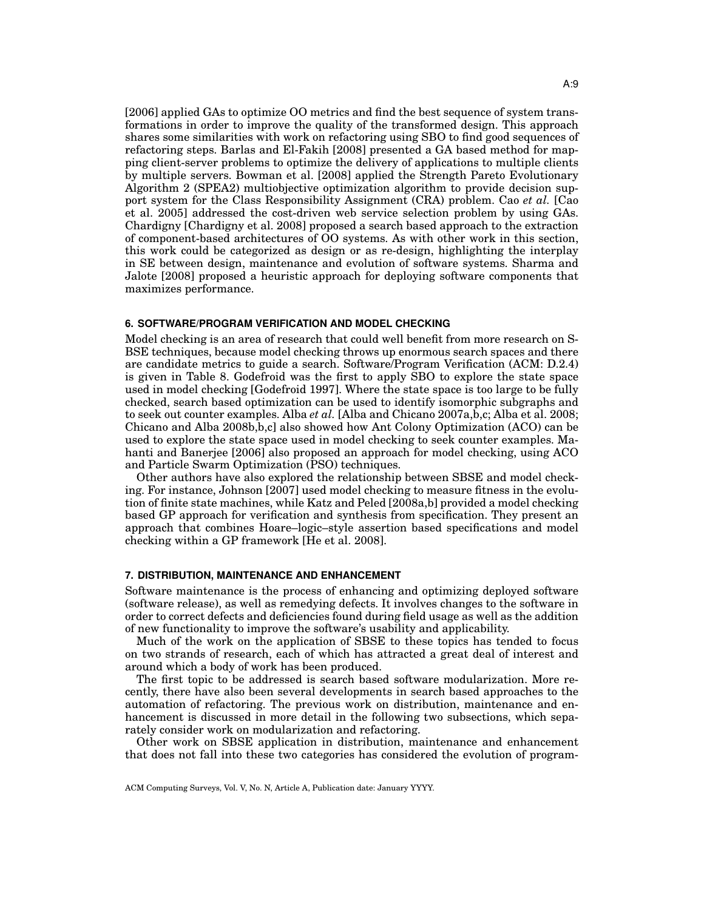[2006] applied GAs to optimize OO metrics and find the best sequence of system transformations in order to improve the quality of the transformed design. This approach shares some similarities with work on refactoring using SBO to find good sequences of refactoring steps. Barlas and El-Fakih [2008] presented a GA based method for mapping client-server problems to optimize the delivery of applications to multiple clients by multiple servers. Bowman et al. [2008] applied the Strength Pareto Evolutionary Algorithm 2 (SPEA2) multiobjective optimization algorithm to provide decision support system for the Class Responsibility Assignment (CRA) problem. Cao *et al.* [Cao et al. 2005] addressed the cost-driven web service selection problem by using GAs. Chardigny [Chardigny et al. 2008] proposed a search based approach to the extraction of component-based architectures of OO systems. As with other work in this section, this work could be categorized as design or as re-design, highlighting the interplay in SE between design, maintenance and evolution of software systems. Sharma and Jalote [2008] proposed a heuristic approach for deploying software components that maximizes performance.

## **6. SOFTWARE/PROGRAM VERIFICATION AND MODEL CHECKING**

Model checking is an area of research that could well benefit from more research on S-BSE techniques, because model checking throws up enormous search spaces and there are candidate metrics to guide a search. Software/Program Verification (ACM: D.2.4) is given in Table 8. Godefroid was the first to apply SBO to explore the state space used in model checking [Godefroid 1997]. Where the state space is too large to be fully checked, search based optimization can be used to identify isomorphic subgraphs and to seek out counter examples. Alba *et al.* [Alba and Chicano 2007a,b,c; Alba et al. 2008; Chicano and Alba 2008b,b,c] also showed how Ant Colony Optimization (ACO) can be used to explore the state space used in model checking to seek counter examples. Mahanti and Banerjee [2006] also proposed an approach for model checking, using ACO and Particle Swarm Optimization (PSO) techniques.

Other authors have also explored the relationship between SBSE and model checking. For instance, Johnson [2007] used model checking to measure fitness in the evolution of finite state machines, while Katz and Peled [2008a,b] provided a model checking based GP approach for verification and synthesis from specification. They present an approach that combines Hoare–logic–style assertion based specifications and model checking within a GP framework [He et al. 2008].

## **7. DISTRIBUTION, MAINTENANCE AND ENHANCEMENT**

Software maintenance is the process of enhancing and optimizing deployed software (software release), as well as remedying defects. It involves changes to the software in order to correct defects and deficiencies found during field usage as well as the addition of new functionality to improve the software's usability and applicability.

Much of the work on the application of SBSE to these topics has tended to focus on two strands of research, each of which has attracted a great deal of interest and around which a body of work has been produced.

The first topic to be addressed is search based software modularization. More recently, there have also been several developments in search based approaches to the automation of refactoring. The previous work on distribution, maintenance and enhancement is discussed in more detail in the following two subsections, which separately consider work on modularization and refactoring.

Other work on SBSE application in distribution, maintenance and enhancement that does not fall into these two categories has considered the evolution of program-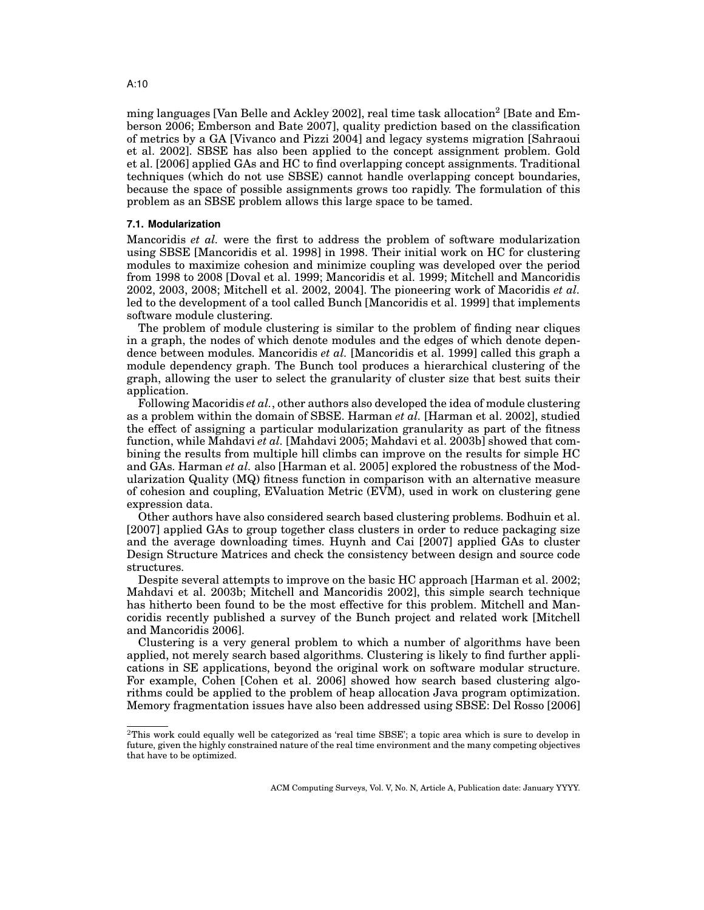ming languages [Van Belle and Ackley 2002], real time task allocation<sup>2</sup> [Bate and Emberson 2006; Emberson and Bate 2007], quality prediction based on the classification of metrics by a GA [Vivanco and Pizzi 2004] and legacy systems migration [Sahraoui et al. 2002]. SBSE has also been applied to the concept assignment problem. Gold et al. [2006] applied GAs and HC to find overlapping concept assignments. Traditional techniques (which do not use SBSE) cannot handle overlapping concept boundaries, because the space of possible assignments grows too rapidly. The formulation of this problem as an SBSE problem allows this large space to be tamed.

## **7.1. Modularization**

Mancoridis *et al.* were the first to address the problem of software modularization using SBSE [Mancoridis et al. 1998] in 1998. Their initial work on HC for clustering modules to maximize cohesion and minimize coupling was developed over the period from 1998 to 2008 [Doval et al. 1999; Mancoridis et al. 1999; Mitchell and Mancoridis 2002, 2003, 2008; Mitchell et al. 2002, 2004]. The pioneering work of Macoridis *et al.* led to the development of a tool called Bunch [Mancoridis et al. 1999] that implements software module clustering.

The problem of module clustering is similar to the problem of finding near cliques in a graph, the nodes of which denote modules and the edges of which denote dependence between modules. Mancoridis *et al.* [Mancoridis et al. 1999] called this graph a module dependency graph. The Bunch tool produces a hierarchical clustering of the graph, allowing the user to select the granularity of cluster size that best suits their application.

Following Macoridis *et al.*, other authors also developed the idea of module clustering as a problem within the domain of SBSE. Harman *et al.* [Harman et al. 2002], studied the effect of assigning a particular modularization granularity as part of the fitness function, while Mahdavi *et al.* [Mahdavi 2005; Mahdavi et al. 2003b] showed that combining the results from multiple hill climbs can improve on the results for simple HC and GAs. Harman *et al.* also [Harman et al. 2005] explored the robustness of the Modularization Quality (MQ) fitness function in comparison with an alternative measure of cohesion and coupling, EValuation Metric (EVM), used in work on clustering gene expression data.

Other authors have also considered search based clustering problems. Bodhuin et al. [2007] applied GAs to group together class clusters in order to reduce packaging size and the average downloading times. Huynh and Cai [2007] applied GAs to cluster Design Structure Matrices and check the consistency between design and source code structures.

Despite several attempts to improve on the basic HC approach [Harman et al. 2002; Mahdavi et al. 2003b; Mitchell and Mancoridis 2002], this simple search technique has hitherto been found to be the most effective for this problem. Mitchell and Mancoridis recently published a survey of the Bunch project and related work [Mitchell and Mancoridis 2006].

Clustering is a very general problem to which a number of algorithms have been applied, not merely search based algorithms. Clustering is likely to find further applications in SE applications, beyond the original work on software modular structure. For example, Cohen [Cohen et al. 2006] showed how search based clustering algorithms could be applied to the problem of heap allocation Java program optimization. Memory fragmentation issues have also been addressed using SBSE: Del Rosso [2006]

A:10

 $2$ This work could equally well be categorized as 'real time SBSE'; a topic area which is sure to develop in future, given the highly constrained nature of the real time environment and the many competing objectives that have to be optimized.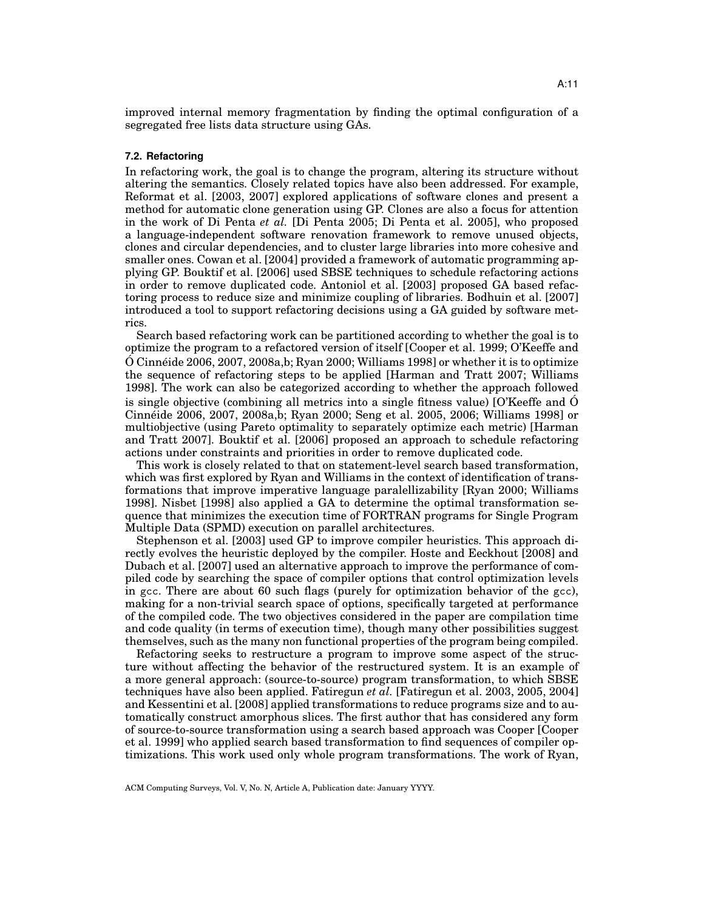improved internal memory fragmentation by finding the optimal configuration of a segregated free lists data structure using GAs.

#### **7.2. Refactoring**

In refactoring work, the goal is to change the program, altering its structure without altering the semantics. Closely related topics have also been addressed. For example, Reformat et al. [2003, 2007] explored applications of software clones and present a method for automatic clone generation using GP. Clones are also a focus for attention in the work of Di Penta *et al.* [Di Penta 2005; Di Penta et al. 2005], who proposed a language-independent software renovation framework to remove unused objects, clones and circular dependencies, and to cluster large libraries into more cohesive and smaller ones. Cowan et al. [2004] provided a framework of automatic programming applying GP. Bouktif et al. [2006] used SBSE techniques to schedule refactoring actions in order to remove duplicated code. Antoniol et al. [2003] proposed GA based refactoring process to reduce size and minimize coupling of libraries. Bodhuin et al. [2007] introduced a tool to support refactoring decisions using a GA guided by software metrics.

Search based refactoring work can be partitioned according to whether the goal is to optimize the program to a refactored version of itself [Cooper et al. 1999; O'Keeffe and  $\acute{O}$  Cinnéide 2006, 2007, 2008a,b; Ryan 2000; Williams 1998] or whether it is to optimize the sequence of refactoring steps to be applied [Harman and Tratt 2007; Williams 1998]. The work can also be categorized according to whether the approach followed is single objective (combining all metrics into a single fitness value) [O'Keeffe and O´ Cinneide 2006, 2007, 2008a,b; Ryan 2000; Seng et al. 2005, 2006; Williams 1998] or ´ multiobjective (using Pareto optimality to separately optimize each metric) [Harman and Tratt 2007]. Bouktif et al. [2006] proposed an approach to schedule refactoring actions under constraints and priorities in order to remove duplicated code.

This work is closely related to that on statement-level search based transformation, which was first explored by Ryan and Williams in the context of identification of transformations that improve imperative language paralellizability [Ryan 2000; Williams 1998]. Nisbet [1998] also applied a GA to determine the optimal transformation sequence that minimizes the execution time of FORTRAN programs for Single Program Multiple Data (SPMD) execution on parallel architectures.

Stephenson et al. [2003] used GP to improve compiler heuristics. This approach directly evolves the heuristic deployed by the compiler. Hoste and Eeckhout [2008] and Dubach et al. [2007] used an alternative approach to improve the performance of compiled code by searching the space of compiler options that control optimization levels in gcc. There are about 60 such flags (purely for optimization behavior of the gcc), making for a non-trivial search space of options, specifically targeted at performance of the compiled code. The two objectives considered in the paper are compilation time and code quality (in terms of execution time), though many other possibilities suggest themselves, such as the many non functional properties of the program being compiled.

Refactoring seeks to restructure a program to improve some aspect of the structure without affecting the behavior of the restructured system. It is an example of a more general approach: (source-to-source) program transformation, to which SBSE techniques have also been applied. Fatiregun *et al.* [Fatiregun et al. 2003, 2005, 2004] and Kessentini et al. [2008] applied transformations to reduce programs size and to automatically construct amorphous slices. The first author that has considered any form of source-to-source transformation using a search based approach was Cooper [Cooper et al. 1999] who applied search based transformation to find sequences of compiler optimizations. This work used only whole program transformations. The work of Ryan,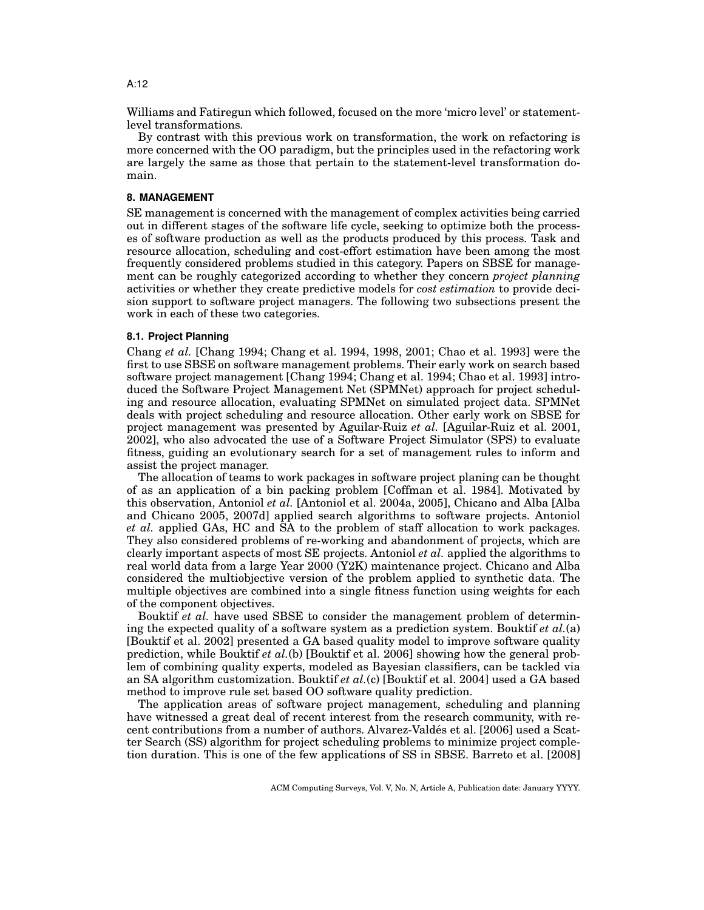Williams and Fatiregun which followed, focused on the more 'micro level' or statementlevel transformations.

By contrast with this previous work on transformation, the work on refactoring is more concerned with the OO paradigm, but the principles used in the refactoring work are largely the same as those that pertain to the statement-level transformation domain.

## **8. MANAGEMENT**

SE management is concerned with the management of complex activities being carried out in different stages of the software life cycle, seeking to optimize both the processes of software production as well as the products produced by this process. Task and resource allocation, scheduling and cost-effort estimation have been among the most frequently considered problems studied in this category. Papers on SBSE for management can be roughly categorized according to whether they concern *project planning* activities or whether they create predictive models for *cost estimation* to provide decision support to software project managers. The following two subsections present the work in each of these two categories.

#### **8.1. Project Planning**

Chang *et al.* [Chang 1994; Chang et al. 1994, 1998, 2001; Chao et al. 1993] were the first to use SBSE on software management problems. Their early work on search based software project management [Chang 1994; Chang et al. 1994; Chao et al. 1993] introduced the Software Project Management Net (SPMNet) approach for project scheduling and resource allocation, evaluating SPMNet on simulated project data. SPMNet deals with project scheduling and resource allocation. Other early work on SBSE for project management was presented by Aguilar-Ruiz *et al.* [Aguilar-Ruiz et al. 2001, 2002], who also advocated the use of a Software Project Simulator (SPS) to evaluate fitness, guiding an evolutionary search for a set of management rules to inform and assist the project manager.

The allocation of teams to work packages in software project planing can be thought of as an application of a bin packing problem [Coffman et al. 1984]. Motivated by this observation, Antoniol *et al.* [Antoniol et al. 2004a, 2005], Chicano and Alba [Alba and Chicano 2005, 2007d] applied search algorithms to software projects. Antoniol *et al.* applied GAs, HC and SA to the problem of staff allocation to work packages. They also considered problems of re-working and abandonment of projects, which are clearly important aspects of most SE projects. Antoniol *et al.* applied the algorithms to real world data from a large Year 2000 (Y2K) maintenance project. Chicano and Alba considered the multiobjective version of the problem applied to synthetic data. The multiple objectives are combined into a single fitness function using weights for each of the component objectives.

Bouktif *et al.* have used SBSE to consider the management problem of determining the expected quality of a software system as a prediction system. Bouktif *et al.*(a) [Bouktif et al. 2002] presented a GA based quality model to improve software quality prediction, while Bouktif *et al.*(b) [Bouktif et al. 2006] showing how the general problem of combining quality experts, modeled as Bayesian classifiers, can be tackled via an SA algorithm customization. Bouktif *et al.*(c) [Bouktif et al. 2004] used a GA based method to improve rule set based OO software quality prediction.

The application areas of software project management, scheduling and planning have witnessed a great deal of recent interest from the research community, with recent contributions from a number of authors. Alvarez-Valdes et al. [2006] used a Scat- ´ ter Search (SS) algorithm for project scheduling problems to minimize project completion duration. This is one of the few applications of SS in SBSE. Barreto et al. [2008]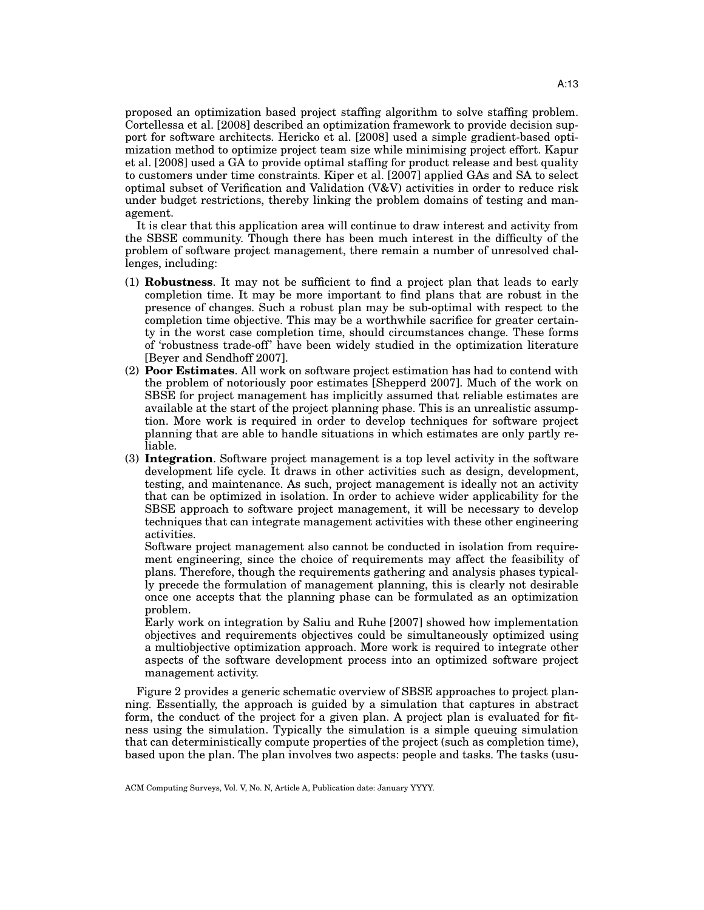proposed an optimization based project staffing algorithm to solve staffing problem. Cortellessa et al. [2008] described an optimization framework to provide decision support for software architects. Hericko et al. [2008] used a simple gradient-based optimization method to optimize project team size while minimising project effort. Kapur et al. [2008] used a GA to provide optimal staffing for product release and best quality to customers under time constraints. Kiper et al. [2007] applied GAs and SA to select optimal subset of Verification and Validation (V&V) activities in order to reduce risk under budget restrictions, thereby linking the problem domains of testing and management.

It is clear that this application area will continue to draw interest and activity from the SBSE community. Though there has been much interest in the difficulty of the problem of software project management, there remain a number of unresolved challenges, including:

- (1) **Robustness**. It may not be sufficient to find a project plan that leads to early completion time. It may be more important to find plans that are robust in the presence of changes. Such a robust plan may be sub-optimal with respect to the completion time objective. This may be a worthwhile sacrifice for greater certainty in the worst case completion time, should circumstances change. These forms of 'robustness trade-off' have been widely studied in the optimization literature [Beyer and Sendhoff 2007].
- (2) **Poor Estimates**. All work on software project estimation has had to contend with the problem of notoriously poor estimates [Shepperd 2007]. Much of the work on SBSE for project management has implicitly assumed that reliable estimates are available at the start of the project planning phase. This is an unrealistic assumption. More work is required in order to develop techniques for software project planning that are able to handle situations in which estimates are only partly reliable.
- (3) **Integration**. Software project management is a top level activity in the software development life cycle. It draws in other activities such as design, development, testing, and maintenance. As such, project management is ideally not an activity that can be optimized in isolation. In order to achieve wider applicability for the SBSE approach to software project management, it will be necessary to develop techniques that can integrate management activities with these other engineering activities.

Software project management also cannot be conducted in isolation from requirement engineering, since the choice of requirements may affect the feasibility of plans. Therefore, though the requirements gathering and analysis phases typically precede the formulation of management planning, this is clearly not desirable once one accepts that the planning phase can be formulated as an optimization problem.

Early work on integration by Saliu and Ruhe [2007] showed how implementation objectives and requirements objectives could be simultaneously optimized using a multiobjective optimization approach. More work is required to integrate other aspects of the software development process into an optimized software project management activity.

Figure 2 provides a generic schematic overview of SBSE approaches to project planning. Essentially, the approach is guided by a simulation that captures in abstract form, the conduct of the project for a given plan. A project plan is evaluated for fitness using the simulation. Typically the simulation is a simple queuing simulation that can deterministically compute properties of the project (such as completion time), based upon the plan. The plan involves two aspects: people and tasks. The tasks (usu-

ACM Computing Surveys, Vol. V, No. N, Article A, Publication date: January YYYY.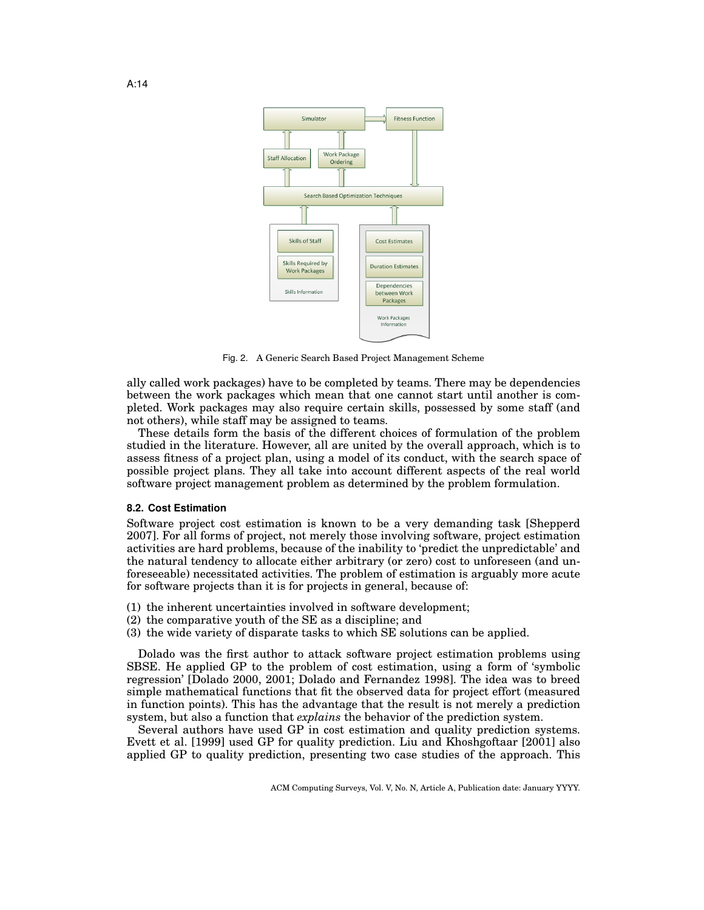

Fig. 2. A Generic Search Based Project Management Scheme

ally called work packages) have to be completed by teams. There may be dependencies between the work packages which mean that one cannot start until another is completed. Work packages may also require certain skills, possessed by some staff (and not others), while staff may be assigned to teams.

These details form the basis of the different choices of formulation of the problem studied in the literature. However, all are united by the overall approach, which is to assess fitness of a project plan, using a model of its conduct, with the search space of possible project plans. They all take into account different aspects of the real world software project management problem as determined by the problem formulation.

#### **8.2. Cost Estimation**

Software project cost estimation is known to be a very demanding task [Shepperd 2007]. For all forms of project, not merely those involving software, project estimation activities are hard problems, because of the inability to 'predict the unpredictable' and the natural tendency to allocate either arbitrary (or zero) cost to unforeseen (and unforeseeable) necessitated activities. The problem of estimation is arguably more acute for software projects than it is for projects in general, because of:

- (1) the inherent uncertainties involved in software development;
- (2) the comparative youth of the SE as a discipline; and
- (3) the wide variety of disparate tasks to which SE solutions can be applied.

Dolado was the first author to attack software project estimation problems using SBSE. He applied GP to the problem of cost estimation, using a form of 'symbolic regression' [Dolado 2000, 2001; Dolado and Fernandez 1998]. The idea was to breed simple mathematical functions that fit the observed data for project effort (measured in function points). This has the advantage that the result is not merely a prediction system, but also a function that *explains* the behavior of the prediction system.

Several authors have used GP in cost estimation and quality prediction systems. Evett et al. [1999] used GP for quality prediction. Liu and Khoshgoftaar [2001] also applied GP to quality prediction, presenting two case studies of the approach. This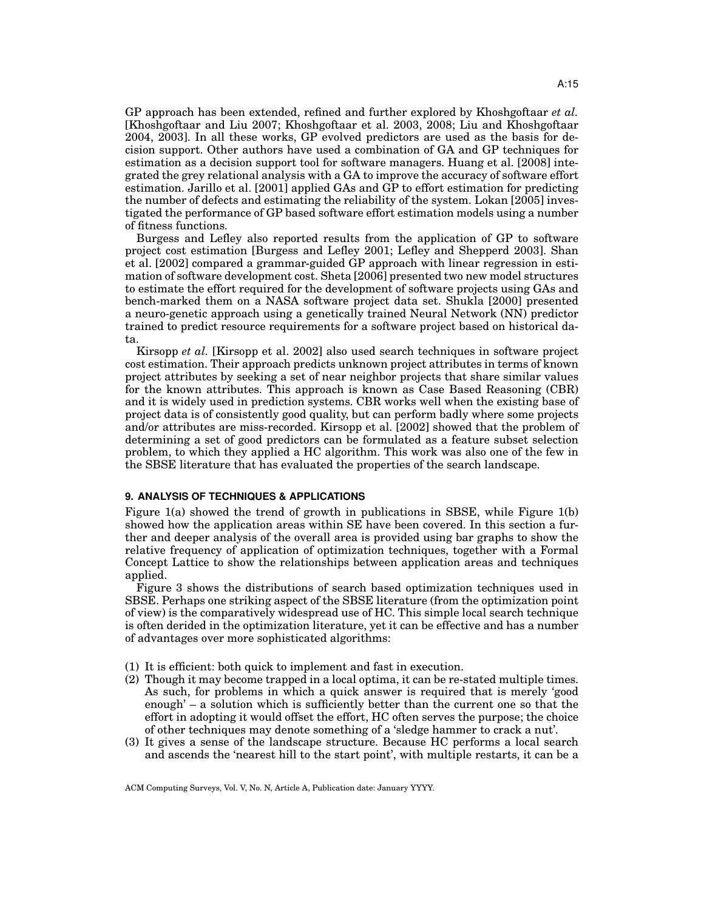GP approach has been extended, refined and further explored by Khoshgoftaar *et al.* [Khoshgoftaar and Liu 2007; Khoshgoftaar et al. 2003, 2008; Liu and Khoshgoftaar 2004, 2003]. In all these works, GP evolved predictors are used as the basis for decision support. Other authors have used a combination of GA and GP techniques for estimation as a decision support tool for software managers. Huang et al. [2008] integrated the grey relational analysis with a GA to improve the accuracy of software effort estimation. Jarillo et al. [2001] applied GAs and GP to effort estimation for predicting the number of defects and estimating the reliability of the system. Lokan [2005] investigated the performance of GP based software effort estimation models using a number of fitness functions.

Burgess and Lefley also reported results from the application of GP to software project cost estimation [Burgess and Lefley 2001; Lefley and Shepperd 2003]. Shan et al. [2002] compared a grammar-guided GP approach with linear regression in estimation of software development cost. Sheta [2006] presented two new model structures to estimate the effort required for the development of software projects using GAs and bench-marked them on a NASA software project data set. Shukla [2000] presented a neuro-genetic approach using a genetically trained Neural Network (NN) predictor trained to predict resource requirements for a software project based on historical data.

Kirsopp *et al.* [Kirsopp et al. 2002] also used search techniques in software project cost estimation. Their approach predicts unknown project attributes in terms of known project attributes by seeking a set of near neighbor projects that share similar values for the known attributes. This approach is known as Case Based Reasoning (CBR) and it is widely used in prediction systems. CBR works well when the existing base of project data is of consistently good quality, but can perform badly where some projects and/or attributes are miss-recorded. Kirsopp et al. [2002] showed that the problem of determining a set of good predictors can be formulated as a feature subset selection problem, to which they applied a HC algorithm. This work was also one of the few in the SBSE literature that has evaluated the properties of the search landscape.

#### **9. ANALYSIS OF TECHNIQUES & APPLICATIONS**

Figure 1(a) showed the trend of growth in publications in SBSE, while Figure 1(b) showed how the application areas within SE have been covered. In this section a further and deeper analysis of the overall area is provided using bar graphs to show the relative frequency of application of optimization techniques, together with a Formal Concept Lattice to show the relationships between application areas and techniques applied.

Figure 3 shows the distributions of search based optimization techniques used in SBSE. Perhaps one striking aspect of the SBSE literature (from the optimization point of view) is the comparatively widespread use of HC. This simple local search technique is often derided in the optimization literature, yet it can be effective and has a number of advantages over more sophisticated algorithms:

- (1) It is efficient: both quick to implement and fast in execution.
- (2) Though it may become trapped in a local optima, it can be re-stated multiple times. As such, for problems in which a quick answer is required that is merely 'good enough' – a solution which is sufficiently better than the current one so that the effort in adopting it would offset the effort, HC often serves the purpose; the choice of other techniques may denote something of a 'sledge hammer to crack a nut'.
- (3) It gives a sense of the landscape structure. Because HC performs a local search and ascends the 'nearest hill to the start point', with multiple restarts, it can be a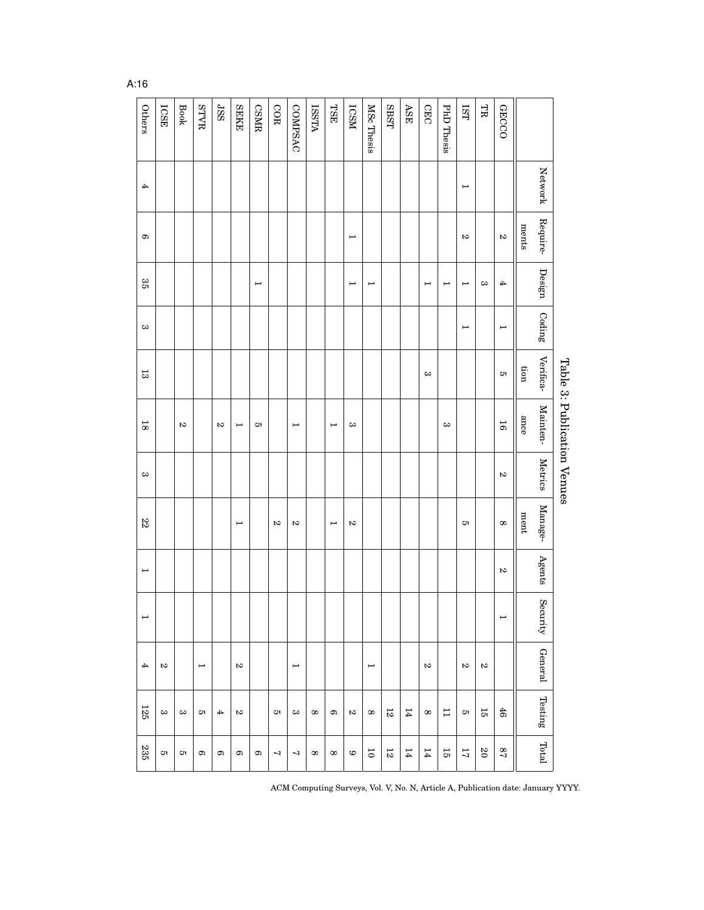|                   | Network        | Require-              | $\mathbf{Design}$        | $\operatorname{Coding}$  | Verifica-       | Mainten-              | Metrics  | Manage-        | Agents                   | Security                 | General                  | ${\rm Testing}$       | Total |
|-------------------|----------------|-----------------------|--------------------------|--------------------------|-----------------|-----------------------|----------|----------------|--------------------------|--------------------------|--------------------------|-----------------------|-------|
|                   |                | ments                 |                          |                          | tion            | ance                  |          | ment           |                          |                          |                          |                       |       |
| <b>GECCO</b>      |                | S                     | 4                        | ⊢                        | cл              | 16                    | S        | $\infty$       | S                        | $\overline{\phantom{0}}$ |                          | 46                    |       |
| TR                |                |                       | $\boldsymbol{\omega}$    |                          |                 |                       |          |                |                          |                          | $\boldsymbol{\omega}$    | 5 <sub>2</sub>        |       |
| LSI               | $\overline{ }$ | $\boldsymbol{\omega}$ | $\overline{\phantom{a}}$ | $\overline{\phantom{0}}$ |                 |                       |          | cл             |                          |                          | $\boldsymbol{\omega}$    | cл                    |       |
| <b>PhD Thesis</b> |                |                       | $\overline{ }$           |                          |                 | $\boldsymbol{\omega}$ |          |                |                          |                          |                          | $\overline{1}$        |       |
| <b>CEC</b>        |                |                       | $\overline{ }$           |                          | $\infty$        |                       |          |                |                          |                          | Z                        | $\infty$              |       |
| ASE               |                |                       |                          |                          |                 |                       |          |                |                          |                          |                          | $14\,$                |       |
| $_{\rm LSS}$      |                |                       |                          |                          |                 |                       |          |                |                          |                          |                          | $\overline{2}$        |       |
| MSc Thesis        |                |                       | $\overline{ }$           |                          |                 |                       |          |                |                          |                          | $\overline{ }$           | $\infty$              |       |
| <b>ICSM</b>       |                | $\overline{ }$        | $\overline{ }$           |                          |                 | $\infty$              |          | Z              |                          |                          |                          | $\boldsymbol{\omega}$ |       |
| TSE               |                |                       |                          |                          |                 | $\overline{ }$        |          | $\overline{ }$ |                          |                          |                          | 9                     |       |
| <b>ATSSI</b>      |                |                       |                          |                          |                 |                       |          |                |                          |                          |                          | $\infty$              |       |
| COMPSAC           |                |                       |                          |                          |                 | $\overline{ }$        |          | Z              |                          |                          | $\overline{ }$           | $\rm{c}$              |       |
| COR               |                |                       |                          |                          |                 |                       |          | Z              |                          |                          |                          | Cπ                    |       |
| <b>CSMR</b>       |                |                       | $\overline{ }$           |                          |                 | cл                    |          |                |                          |                          |                          |                       |       |
| <b>SEKE</b>       |                |                       |                          |                          |                 | I                     |          | $\overline{ }$ |                          |                          | $\boldsymbol{\omega}$    | $\boldsymbol{\omega}$ |       |
| $\rm ssr$         |                |                       |                          |                          |                 | S                     |          |                |                          |                          |                          | 4                     |       |
| <b>STVR</b>       |                |                       |                          |                          |                 |                       |          |                |                          |                          | $\overline{\phantom{0}}$ | cл                    |       |
| <b>Book</b>       |                |                       |                          |                          |                 | $\boldsymbol{\omega}$ |          |                |                          |                          |                          | $\rm{c}$              |       |
| <b>ICSE</b>       |                |                       |                          |                          |                 |                       |          |                |                          |                          | Z                        | $\rm{c}$              |       |
| Others            | $\overline{4}$ | $\circ$               | 35                       | $\infty$                 | $5\overline{3}$ | 18                    | $\infty$ | $\rm 22$       | $\overline{\phantom{0}}$ | $\overline{ }$           | 4                        | 125                   |       |

A:16

Table 3: Publication Venues Table 3: Publication Venues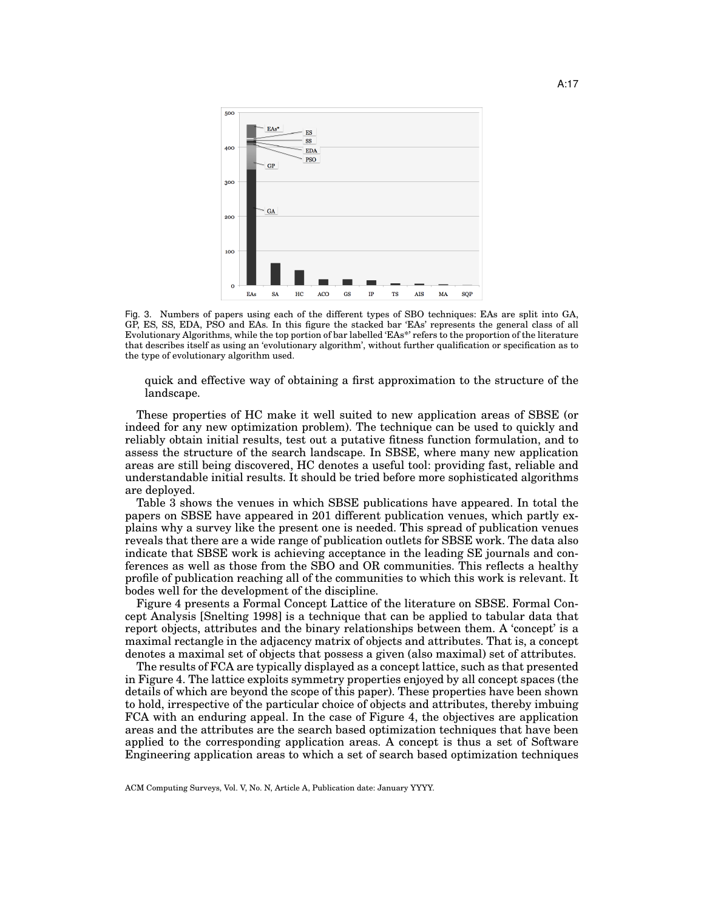

Fig. 3. Numbers of papers using each of the different types of SBO techniques: EAs are split into GA, GP, ES, SS, EDA, PSO and EAs. In this figure the stacked bar 'EAs' represents the general class of all Evolutionary Algorithms, while the top portion of bar labelled 'EAs\*' refers to the proportion of the literature that describes itself as using an 'evolutionary algorithm', without further qualification or specification as to the type of evolutionary algorithm used.

quick and effective way of obtaining a first approximation to the structure of the landscape.

These properties of HC make it well suited to new application areas of SBSE (or indeed for any new optimization problem). The technique can be used to quickly and reliably obtain initial results, test out a putative fitness function formulation, and to assess the structure of the search landscape. In SBSE, where many new application areas are still being discovered, HC denotes a useful tool: providing fast, reliable and understandable initial results. It should be tried before more sophisticated algorithms are deployed.

Table 3 shows the venues in which SBSE publications have appeared. In total the papers on SBSE have appeared in 201 different publication venues, which partly explains why a survey like the present one is needed. This spread of publication venues reveals that there are a wide range of publication outlets for SBSE work. The data also indicate that SBSE work is achieving acceptance in the leading SE journals and conferences as well as those from the SBO and OR communities. This reflects a healthy profile of publication reaching all of the communities to which this work is relevant. It bodes well for the development of the discipline.

Figure 4 presents a Formal Concept Lattice of the literature on SBSE. Formal Concept Analysis [Snelting 1998] is a technique that can be applied to tabular data that report objects, attributes and the binary relationships between them. A 'concept' is a maximal rectangle in the adjacency matrix of objects and attributes. That is, a concept denotes a maximal set of objects that possess a given (also maximal) set of attributes.

The results of FCA are typically displayed as a concept lattice, such as that presented in Figure 4. The lattice exploits symmetry properties enjoyed by all concept spaces (the details of which are beyond the scope of this paper). These properties have been shown to hold, irrespective of the particular choice of objects and attributes, thereby imbuing FCA with an enduring appeal. In the case of Figure 4, the objectives are application areas and the attributes are the search based optimization techniques that have been applied to the corresponding application areas. A concept is thus a set of Software Engineering application areas to which a set of search based optimization techniques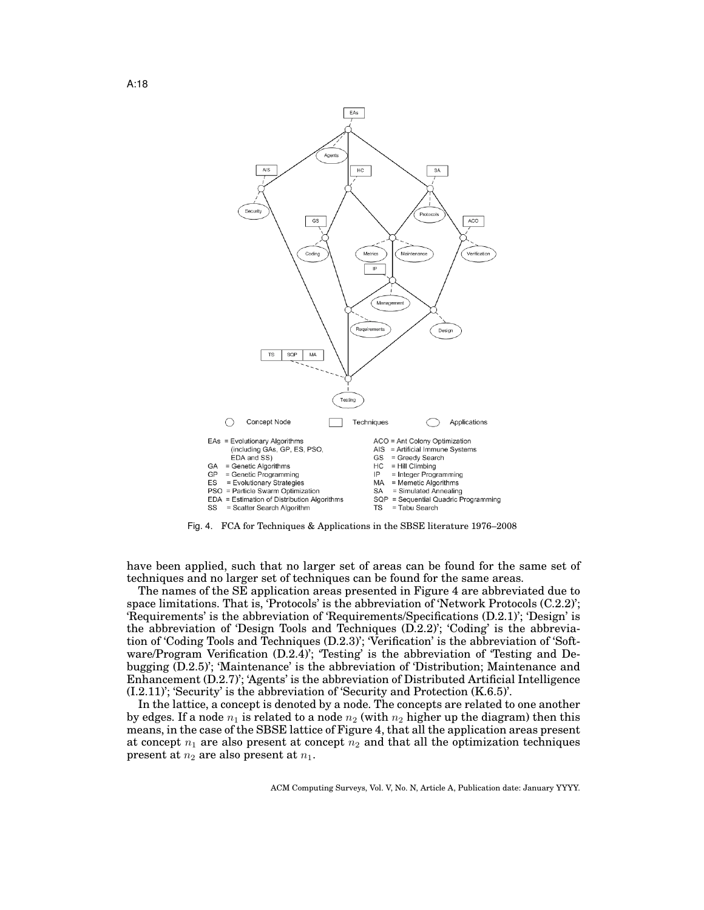

Fig. 4. FCA for Techniques & Applications in the SBSE literature 1976–2008

have been applied, such that no larger set of areas can be found for the same set of techniques and no larger set of techniques can be found for the same areas.

The names of the SE application areas presented in Figure 4 are abbreviated due to space limitations. That is, 'Protocols' is the abbreviation of 'Network Protocols (C.2.2)'; 'Requirements' is the abbreviation of 'Requirements/Specifications (D.2.1)'; 'Design' is the abbreviation of 'Design Tools and Techniques (D.2.2)'; 'Coding' is the abbreviation of 'Coding Tools and Techniques (D.2.3)'; 'Verification' is the abbreviation of 'Software/Program Verification (D.2.4)'; 'Testing' is the abbreviation of 'Testing and Debugging (D.2.5)'; 'Maintenance' is the abbreviation of 'Distribution; Maintenance and Enhancement (D.2.7)'; 'Agents' is the abbreviation of Distributed Artificial Intelligence (I.2.11)'; 'Security' is the abbreviation of 'Security and Protection (K.6.5)'.

In the lattice, a concept is denoted by a node. The concepts are related to one another by edges. If a node  $n_1$  is related to a node  $n_2$  (with  $n_2$  higher up the diagram) then this means, in the case of the SBSE lattice of Figure 4, that all the application areas present at concept  $n_1$  are also present at concept  $n_2$  and that all the optimization techniques present at  $n_2$  are also present at  $n_1$ .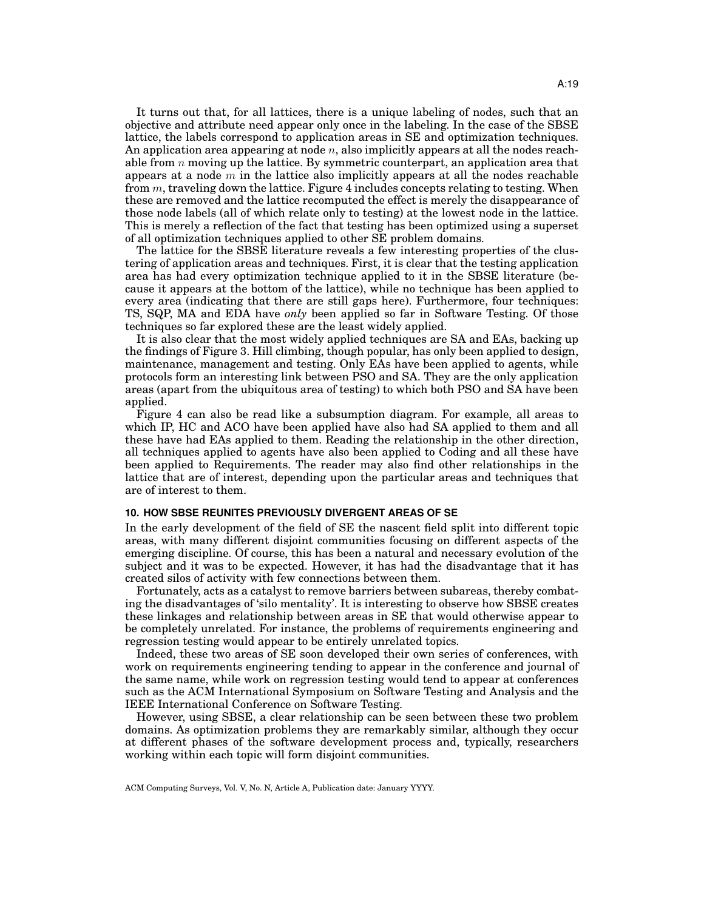It turns out that, for all lattices, there is a unique labeling of nodes, such that an objective and attribute need appear only once in the labeling. In the case of the SBSE lattice, the labels correspond to application areas in SE and optimization techniques. An application area appearing at node *n*, also implicitly appears at all the nodes reachable from *n* moving up the lattice. By symmetric counterpart, an application area that appears at a node *m* in the lattice also implicitly appears at all the nodes reachable from *m*, traveling down the lattice. Figure 4 includes concepts relating to testing. When these are removed and the lattice recomputed the effect is merely the disappearance of those node labels (all of which relate only to testing) at the lowest node in the lattice. This is merely a reflection of the fact that testing has been optimized using a superset of all optimization techniques applied to other SE problem domains.

The lattice for the SBSE literature reveals a few interesting properties of the clustering of application areas and techniques. First, it is clear that the testing application area has had every optimization technique applied to it in the SBSE literature (because it appears at the bottom of the lattice), while no technique has been applied to every area (indicating that there are still gaps here). Furthermore, four techniques: TS, SQP, MA and EDA have *only* been applied so far in Software Testing. Of those techniques so far explored these are the least widely applied.

It is also clear that the most widely applied techniques are SA and EAs, backing up the findings of Figure 3. Hill climbing, though popular, has only been applied to design, maintenance, management and testing. Only EAs have been applied to agents, while protocols form an interesting link between PSO and SA. They are the only application areas (apart from the ubiquitous area of testing) to which both PSO and SA have been applied.

Figure 4 can also be read like a subsumption diagram. For example, all areas to which IP, HC and ACO have been applied have also had SA applied to them and all these have had EAs applied to them. Reading the relationship in the other direction, all techniques applied to agents have also been applied to Coding and all these have been applied to Requirements. The reader may also find other relationships in the lattice that are of interest, depending upon the particular areas and techniques that are of interest to them.

#### **10. HOW SBSE REUNITES PREVIOUSLY DIVERGENT AREAS OF SE**

In the early development of the field of SE the nascent field split into different topic areas, with many different disjoint communities focusing on different aspects of the emerging discipline. Of course, this has been a natural and necessary evolution of the subject and it was to be expected. However, it has had the disadvantage that it has created silos of activity with few connections between them.

Fortunately, acts as a catalyst to remove barriers between subareas, thereby combating the disadvantages of 'silo mentality'. It is interesting to observe how SBSE creates these linkages and relationship between areas in SE that would otherwise appear to be completely unrelated. For instance, the problems of requirements engineering and regression testing would appear to be entirely unrelated topics.

Indeed, these two areas of SE soon developed their own series of conferences, with work on requirements engineering tending to appear in the conference and journal of the same name, while work on regression testing would tend to appear at conferences such as the ACM International Symposium on Software Testing and Analysis and the IEEE International Conference on Software Testing.

However, using SBSE, a clear relationship can be seen between these two problem domains. As optimization problems they are remarkably similar, although they occur at different phases of the software development process and, typically, researchers working within each topic will form disjoint communities.

ACM Computing Surveys, Vol. V, No. N, Article A, Publication date: January YYYY.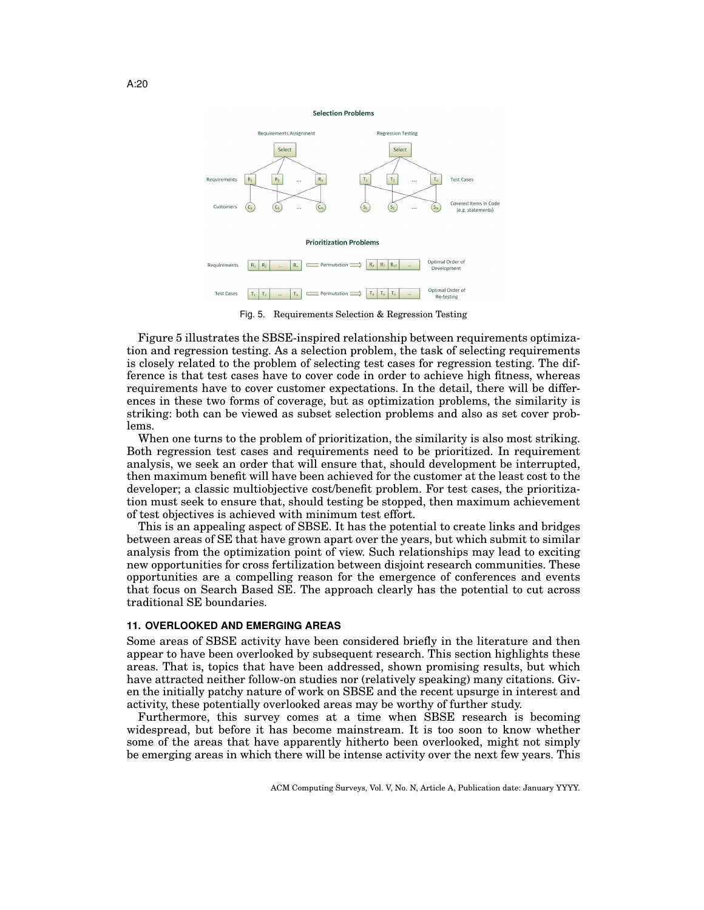#### **Selection Problems**



Fig. 5. Requirements Selection & Regression Testing

Figure 5 illustrates the SBSE-inspired relationship between requirements optimization and regression testing. As a selection problem, the task of selecting requirements is closely related to the problem of selecting test cases for regression testing. The difference is that test cases have to cover code in order to achieve high fitness, whereas requirements have to cover customer expectations. In the detail, there will be differences in these two forms of coverage, but as optimization problems, the similarity is striking: both can be viewed as subset selection problems and also as set cover problems.

When one turns to the problem of prioritization, the similarity is also most striking. Both regression test cases and requirements need to be prioritized. In requirement analysis, we seek an order that will ensure that, should development be interrupted, then maximum benefit will have been achieved for the customer at the least cost to the developer; a classic multiobjective cost/benefit problem. For test cases, the prioritization must seek to ensure that, should testing be stopped, then maximum achievement of test objectives is achieved with minimum test effort.

This is an appealing aspect of SBSE. It has the potential to create links and bridges between areas of SE that have grown apart over the years, but which submit to similar analysis from the optimization point of view. Such relationships may lead to exciting new opportunities for cross fertilization between disjoint research communities. These opportunities are a compelling reason for the emergence of conferences and events that focus on Search Based SE. The approach clearly has the potential to cut across traditional SE boundaries.

# **11. OVERLOOKED AND EMERGING AREAS**

Some areas of SBSE activity have been considered briefly in the literature and then appear to have been overlooked by subsequent research. This section highlights these areas. That is, topics that have been addressed, shown promising results, but which have attracted neither follow-on studies nor (relatively speaking) many citations. Given the initially patchy nature of work on SBSE and the recent upsurge in interest and activity, these potentially overlooked areas may be worthy of further study.

Furthermore, this survey comes at a time when SBSE research is becoming widespread, but before it has become mainstream. It is too soon to know whether some of the areas that have apparently hitherto been overlooked, might not simply be emerging areas in which there will be intense activity over the next few years. This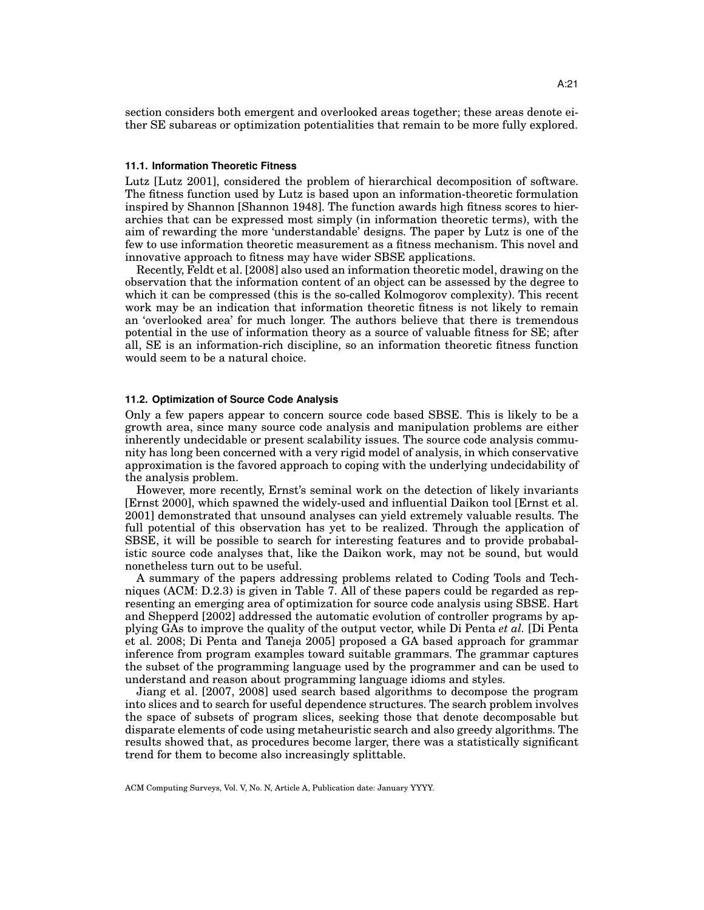section considers both emergent and overlooked areas together; these areas denote either SE subareas or optimization potentialities that remain to be more fully explored.

#### **11.1. Information Theoretic Fitness**

Lutz [Lutz 2001], considered the problem of hierarchical decomposition of software. The fitness function used by Lutz is based upon an information-theoretic formulation inspired by Shannon [Shannon 1948]. The function awards high fitness scores to hierarchies that can be expressed most simply (in information theoretic terms), with the aim of rewarding the more 'understandable' designs. The paper by Lutz is one of the few to use information theoretic measurement as a fitness mechanism. This novel and innovative approach to fitness may have wider SBSE applications.

Recently, Feldt et al. [2008] also used an information theoretic model, drawing on the observation that the information content of an object can be assessed by the degree to which it can be compressed (this is the so-called Kolmogorov complexity). This recent work may be an indication that information theoretic fitness is not likely to remain an 'overlooked area' for much longer. The authors believe that there is tremendous potential in the use of information theory as a source of valuable fitness for SE; after all, SE is an information-rich discipline, so an information theoretic fitness function would seem to be a natural choice.

## **11.2. Optimization of Source Code Analysis**

Only a few papers appear to concern source code based SBSE. This is likely to be a growth area, since many source code analysis and manipulation problems are either inherently undecidable or present scalability issues. The source code analysis community has long been concerned with a very rigid model of analysis, in which conservative approximation is the favored approach to coping with the underlying undecidability of the analysis problem.

However, more recently, Ernst's seminal work on the detection of likely invariants [Ernst 2000], which spawned the widely-used and influential Daikon tool [Ernst et al. 2001] demonstrated that unsound analyses can yield extremely valuable results. The full potential of this observation has yet to be realized. Through the application of SBSE, it will be possible to search for interesting features and to provide probabalistic source code analyses that, like the Daikon work, may not be sound, but would nonetheless turn out to be useful.

A summary of the papers addressing problems related to Coding Tools and Techniques (ACM: D.2.3) is given in Table 7. All of these papers could be regarded as representing an emerging area of optimization for source code analysis using SBSE. Hart and Shepperd [2002] addressed the automatic evolution of controller programs by applying GAs to improve the quality of the output vector, while Di Penta *et al.* [Di Penta et al. 2008; Di Penta and Taneja 2005] proposed a GA based approach for grammar inference from program examples toward suitable grammars. The grammar captures the subset of the programming language used by the programmer and can be used to understand and reason about programming language idioms and styles.

Jiang et al. [2007, 2008] used search based algorithms to decompose the program into slices and to search for useful dependence structures. The search problem involves the space of subsets of program slices, seeking those that denote decomposable but disparate elements of code using metaheuristic search and also greedy algorithms. The results showed that, as procedures become larger, there was a statistically significant trend for them to become also increasingly splittable.

ACM Computing Surveys, Vol. V, No. N, Article A, Publication date: January YYYY.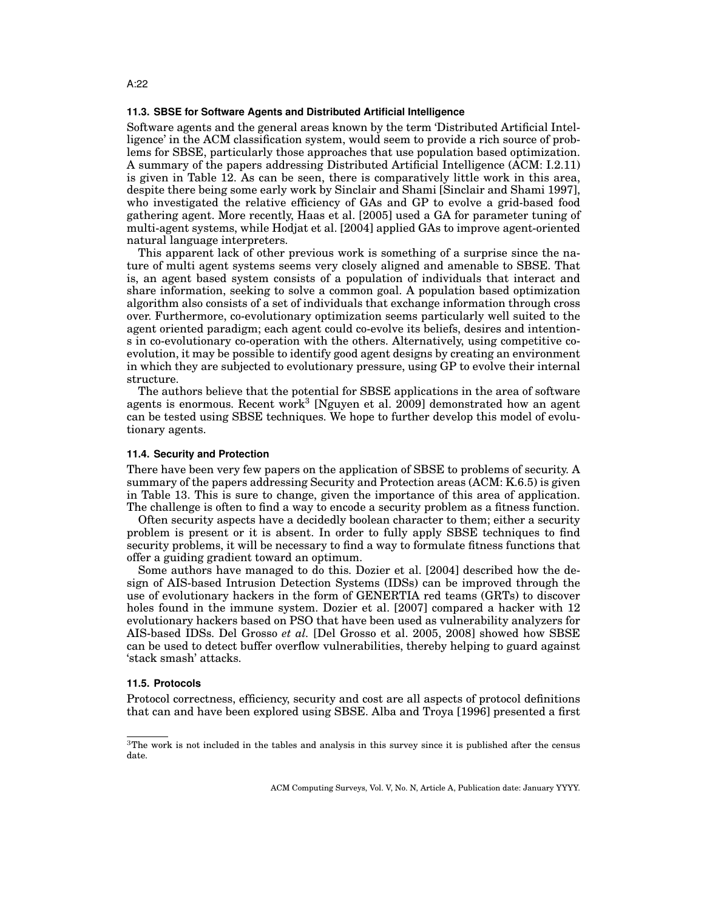#### **11.3. SBSE for Software Agents and Distributed Artificial Intelligence**

Software agents and the general areas known by the term 'Distributed Artificial Intelligence' in the ACM classification system, would seem to provide a rich source of problems for SBSE, particularly those approaches that use population based optimization. A summary of the papers addressing Distributed Artificial Intelligence (ACM: I.2.11) is given in Table 12. As can be seen, there is comparatively little work in this area, despite there being some early work by Sinclair and Shami [Sinclair and Shami 1997], who investigated the relative efficiency of GAs and GP to evolve a grid-based food gathering agent. More recently, Haas et al. [2005] used a GA for parameter tuning of multi-agent systems, while Hodjat et al. [2004] applied GAs to improve agent-oriented natural language interpreters.

This apparent lack of other previous work is something of a surprise since the nature of multi agent systems seems very closely aligned and amenable to SBSE. That is, an agent based system consists of a population of individuals that interact and share information, seeking to solve a common goal. A population based optimization algorithm also consists of a set of individuals that exchange information through cross over. Furthermore, co-evolutionary optimization seems particularly well suited to the agent oriented paradigm; each agent could co-evolve its beliefs, desires and intentions in co-evolutionary co-operation with the others. Alternatively, using competitive coevolution, it may be possible to identify good agent designs by creating an environment in which they are subjected to evolutionary pressure, using GP to evolve their internal structure.

The authors believe that the potential for SBSE applications in the area of software agents is enormous. Recent work<sup>3</sup> [Nguyen et al. 2009] demonstrated how an agent can be tested using SBSE techniques. We hope to further develop this model of evolutionary agents.

## **11.4. Security and Protection**

There have been very few papers on the application of SBSE to problems of security. A summary of the papers addressing Security and Protection areas (ACM: K.6.5) is given in Table 13. This is sure to change, given the importance of this area of application. The challenge is often to find a way to encode a security problem as a fitness function.

Often security aspects have a decidedly boolean character to them; either a security problem is present or it is absent. In order to fully apply SBSE techniques to find security problems, it will be necessary to find a way to formulate fitness functions that offer a guiding gradient toward an optimum.

Some authors have managed to do this. Dozier et al. [2004] described how the design of AIS-based Intrusion Detection Systems (IDSs) can be improved through the use of evolutionary hackers in the form of GENERTIA red teams (GRTs) to discover holes found in the immune system. Dozier et al. [2007] compared a hacker with 12 evolutionary hackers based on PSO that have been used as vulnerability analyzers for AIS-based IDSs. Del Grosso *et al.* [Del Grosso et al. 2005, 2008] showed how SBSE can be used to detect buffer overflow vulnerabilities, thereby helping to guard against 'stack smash' attacks.

## **11.5. Protocols**

Protocol correctness, efficiency, security and cost are all aspects of protocol definitions that can and have been explored using SBSE. Alba and Troya [1996] presented a first

<sup>&</sup>lt;sup>3</sup>The work is not included in the tables and analysis in this survey since it is published after the census date.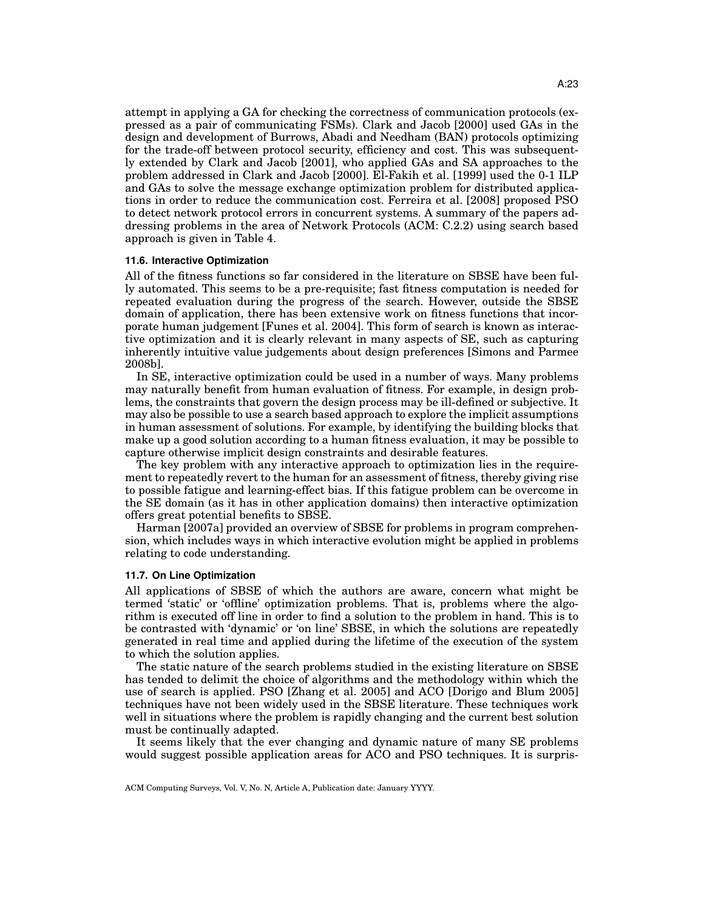attempt in applying a GA for checking the correctness of communication protocols (expressed as a pair of communicating FSMs). Clark and Jacob [2000] used GAs in the design and development of Burrows, Abadi and Needham (BAN) protocols optimizing for the trade-off between protocol security, efficiency and cost. This was subsequently extended by Clark and Jacob [2001], who applied GAs and SA approaches to the problem addressed in Clark and Jacob [2000]. El-Fakih et al. [1999] used the 0-1 ILP and GAs to solve the message exchange optimization problem for distributed applications in order to reduce the communication cost. Ferreira et al. [2008] proposed PSO to detect network protocol errors in concurrent systems. A summary of the papers addressing problems in the area of Network Protocols (ACM: C.2.2) using search based approach is given in Table 4.

#### **11.6. Interactive Optimization**

All of the fitness functions so far considered in the literature on SBSE have been fully automated. This seems to be a pre-requisite; fast fitness computation is needed for repeated evaluation during the progress of the search. However, outside the SBSE domain of application, there has been extensive work on fitness functions that incorporate human judgement [Funes et al. 2004]. This form of search is known as interactive optimization and it is clearly relevant in many aspects of SE, such as capturing inherently intuitive value judgements about design preferences [Simons and Parmee 2008b].

In SE, interactive optimization could be used in a number of ways. Many problems may naturally benefit from human evaluation of fitness. For example, in design problems, the constraints that govern the design process may be ill-defined or subjective. It may also be possible to use a search based approach to explore the implicit assumptions in human assessment of solutions. For example, by identifying the building blocks that make up a good solution according to a human fitness evaluation, it may be possible to capture otherwise implicit design constraints and desirable features.

The key problem with any interactive approach to optimization lies in the requirement to repeatedly revert to the human for an assessment of fitness, thereby giving rise to possible fatigue and learning-effect bias. If this fatigue problem can be overcome in the SE domain (as it has in other application domains) then interactive optimization offers great potential benefits to SBSE.

Harman [2007a] provided an overview of SBSE for problems in program comprehension, which includes ways in which interactive evolution might be applied in problems relating to code understanding.

## **11.7. On Line Optimization**

All applications of SBSE of which the authors are aware, concern what might be termed 'static' or 'offline' optimization problems. That is, problems where the algorithm is executed off line in order to find a solution to the problem in hand. This is to be contrasted with 'dynamic' or 'on line' SBSE, in which the solutions are repeatedly generated in real time and applied during the lifetime of the execution of the system to which the solution applies.

The static nature of the search problems studied in the existing literature on SBSE has tended to delimit the choice of algorithms and the methodology within which the use of search is applied. PSO [Zhang et al. 2005] and ACO [Dorigo and Blum 2005] techniques have not been widely used in the SBSE literature. These techniques work well in situations where the problem is rapidly changing and the current best solution must be continually adapted.

It seems likely that the ever changing and dynamic nature of many SE problems would suggest possible application areas for ACO and PSO techniques. It is surpris-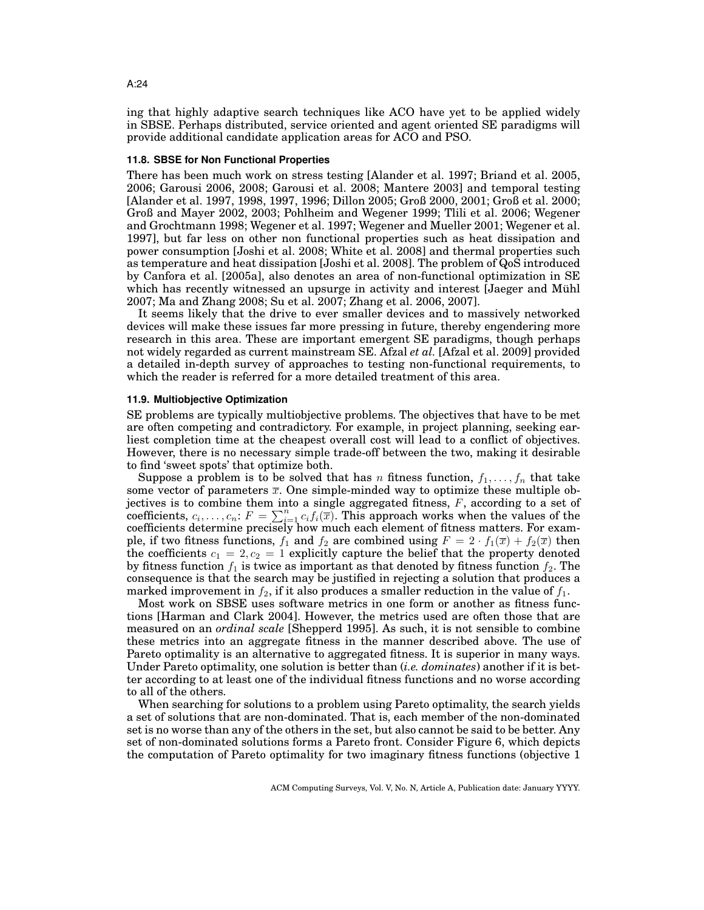ing that highly adaptive search techniques like ACO have yet to be applied widely in SBSE. Perhaps distributed, service oriented and agent oriented SE paradigms will provide additional candidate application areas for ACO and PSO.

#### **11.8. SBSE for Non Functional Properties**

There has been much work on stress testing [Alander et al. 1997; Briand et al. 2005, 2006; Garousi 2006, 2008; Garousi et al. 2008; Mantere 2003] and temporal testing [Alander et al. 1997, 1998, 1997, 1996; Dillon 2005; Groß 2000, 2001; Groß et al. 2000; Groß and Mayer 2002, 2003; Pohlheim and Wegener 1999; Tlili et al. 2006; Wegener and Grochtmann 1998; Wegener et al. 1997; Wegener and Mueller 2001; Wegener et al. 1997], but far less on other non functional properties such as heat dissipation and power consumption [Joshi et al. 2008; White et al. 2008] and thermal properties such as temperature and heat dissipation [Joshi et al. 2008]. The problem of QoS introduced by Canfora et al. [2005a], also denotes an area of non-functional optimization in SE which has recently witnessed an upsurge in activity and interest [Jaeger and Mühl 2007; Ma and Zhang 2008; Su et al. 2007; Zhang et al. 2006, 2007].

It seems likely that the drive to ever smaller devices and to massively networked devices will make these issues far more pressing in future, thereby engendering more research in this area. These are important emergent SE paradigms, though perhaps not widely regarded as current mainstream SE. Afzal *et al.* [Afzal et al. 2009] provided a detailed in-depth survey of approaches to testing non-functional requirements, to which the reader is referred for a more detailed treatment of this area.

#### **11.9. Multiobjective Optimization**

SE problems are typically multiobjective problems. The objectives that have to be met are often competing and contradictory. For example, in project planning, seeking earliest completion time at the cheapest overall cost will lead to a conflict of objectives. However, there is no necessary simple trade-off between the two, making it desirable to find 'sweet spots' that optimize both.

Suppose a problem is to be solved that has *n* fitness function,  $f_1, \ldots, f_n$  that take some vector of parameters  $\bar{x}$ . One simple-minded way to optimize these multiple objectives is to combine them into a single aggregated fitness, *F*, according to a set of coefficients,  $c_i, \ldots, c_n$ :  $F = \sum_{i=1}^n c_i f_i(\overline{x})$ . This approach works when the values of the coefficients determine precisely how much each element of fitness matters. For example, if two fitness functions,  $f_1$  and  $f_2$  are combined using  $F = 2 \cdot f_1(\overline{x}) + f_2(\overline{x})$  then the coefficients  $c_1 = 2, c_2 = 1$  explicitly capture the belief that the property denoted by fitness function  $f_1$  is twice as important as that denoted by fitness function  $f_2$ . The consequence is that the search may be justified in rejecting a solution that produces a marked improvement in  $f_2$ , if it also produces a smaller reduction in the value of  $f_1$ .

Most work on SBSE uses software metrics in one form or another as fitness functions [Harman and Clark 2004]. However, the metrics used are often those that are measured on an *ordinal scale* [Shepperd 1995]. As such, it is not sensible to combine these metrics into an aggregate fitness in the manner described above. The use of Pareto optimality is an alternative to aggregated fitness. It is superior in many ways. Under Pareto optimality, one solution is better than (*i.e. dominates*) another if it is better according to at least one of the individual fitness functions and no worse according to all of the others.

When searching for solutions to a problem using Pareto optimality, the search yields a set of solutions that are non-dominated. That is, each member of the non-dominated set is no worse than any of the others in the set, but also cannot be said to be better. Any set of non-dominated solutions forms a Pareto front. Consider Figure 6, which depicts the computation of Pareto optimality for two imaginary fitness functions (objective 1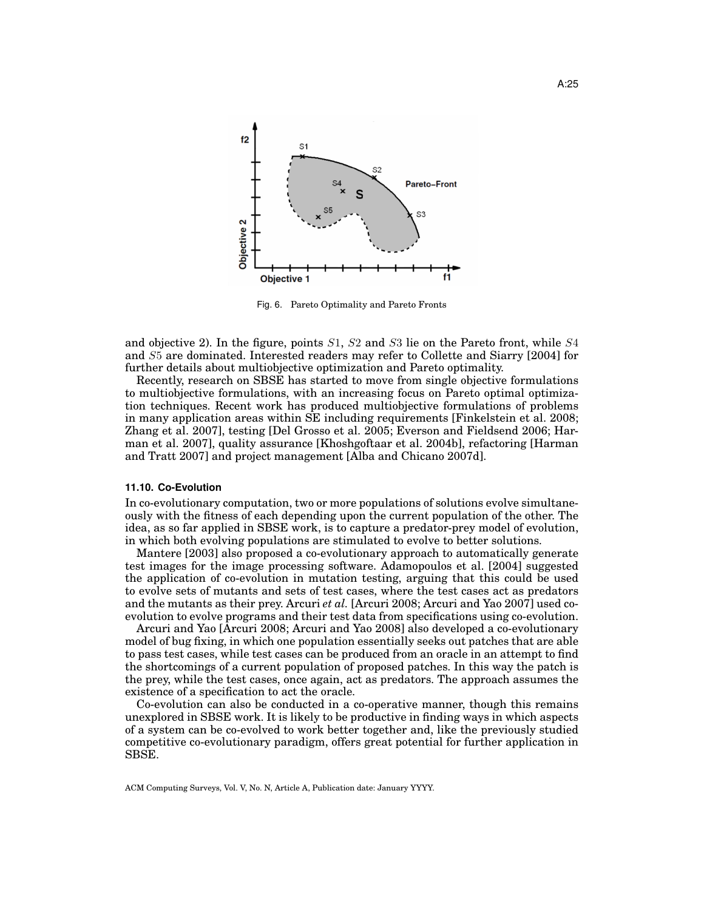

Fig. 6. Pareto Optimality and Pareto Fronts

and objective 2). In the figure, points *S*1, *S*2 and *S*3 lie on the Pareto front, while *S*4 and *S*5 are dominated. Interested readers may refer to Collette and Siarry [2004] for further details about multiobjective optimization and Pareto optimality.

Recently, research on SBSE has started to move from single objective formulations to multiobjective formulations, with an increasing focus on Pareto optimal optimization techniques. Recent work has produced multiobjective formulations of problems in many application areas within SE including requirements [Finkelstein et al. 2008; Zhang et al. 2007], testing [Del Grosso et al. 2005; Everson and Fieldsend 2006; Harman et al. 2007], quality assurance [Khoshgoftaar et al. 2004b], refactoring [Harman and Tratt 2007] and project management [Alba and Chicano 2007d].

#### **11.10. Co-Evolution**

In co-evolutionary computation, two or more populations of solutions evolve simultaneously with the fitness of each depending upon the current population of the other. The idea, as so far applied in SBSE work, is to capture a predator-prey model of evolution, in which both evolving populations are stimulated to evolve to better solutions.

Mantere [2003] also proposed a co-evolutionary approach to automatically generate test images for the image processing software. Adamopoulos et al. [2004] suggested the application of co-evolution in mutation testing, arguing that this could be used to evolve sets of mutants and sets of test cases, where the test cases act as predators and the mutants as their prey. Arcuri *et al.* [Arcuri 2008; Arcuri and Yao 2007] used coevolution to evolve programs and their test data from specifications using co-evolution.

Arcuri and Yao [Arcuri 2008; Arcuri and Yao 2008] also developed a co-evolutionary model of bug fixing, in which one population essentially seeks out patches that are able to pass test cases, while test cases can be produced from an oracle in an attempt to find the shortcomings of a current population of proposed patches. In this way the patch is the prey, while the test cases, once again, act as predators. The approach assumes the existence of a specification to act the oracle.

Co-evolution can also be conducted in a co-operative manner, though this remains unexplored in SBSE work. It is likely to be productive in finding ways in which aspects of a system can be co-evolved to work better together and, like the previously studied competitive co-evolutionary paradigm, offers great potential for further application in SBSE.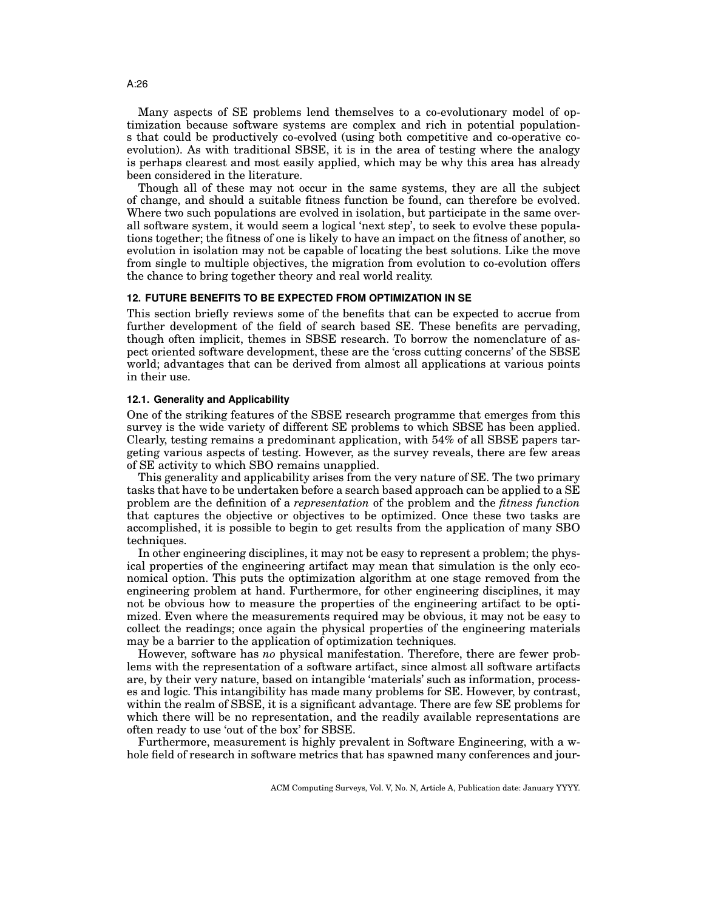Many aspects of SE problems lend themselves to a co-evolutionary model of optimization because software systems are complex and rich in potential populations that could be productively co-evolved (using both competitive and co-operative coevolution). As with traditional SBSE, it is in the area of testing where the analogy is perhaps clearest and most easily applied, which may be why this area has already been considered in the literature.

Though all of these may not occur in the same systems, they are all the subject of change, and should a suitable fitness function be found, can therefore be evolved. Where two such populations are evolved in isolation, but participate in the same overall software system, it would seem a logical 'next step', to seek to evolve these populations together; the fitness of one is likely to have an impact on the fitness of another, so evolution in isolation may not be capable of locating the best solutions. Like the move from single to multiple objectives, the migration from evolution to co-evolution offers the chance to bring together theory and real world reality.

#### **12. FUTURE BENEFITS TO BE EXPECTED FROM OPTIMIZATION IN SE**

This section briefly reviews some of the benefits that can be expected to accrue from further development of the field of search based SE. These benefits are pervading, though often implicit, themes in SBSE research. To borrow the nomenclature of aspect oriented software development, these are the 'cross cutting concerns' of the SBSE world; advantages that can be derived from almost all applications at various points in their use.

#### **12.1. Generality and Applicability**

One of the striking features of the SBSE research programme that emerges from this survey is the wide variety of different SE problems to which SBSE has been applied. Clearly, testing remains a predominant application, with 54% of all SBSE papers targeting various aspects of testing. However, as the survey reveals, there are few areas of SE activity to which SBO remains unapplied.

This generality and applicability arises from the very nature of SE. The two primary tasks that have to be undertaken before a search based approach can be applied to a SE problem are the definition of a *representation* of the problem and the *fitness function* that captures the objective or objectives to be optimized. Once these two tasks are accomplished, it is possible to begin to get results from the application of many SBO techniques.

In other engineering disciplines, it may not be easy to represent a problem; the physical properties of the engineering artifact may mean that simulation is the only economical option. This puts the optimization algorithm at one stage removed from the engineering problem at hand. Furthermore, for other engineering disciplines, it may not be obvious how to measure the properties of the engineering artifact to be optimized. Even where the measurements required may be obvious, it may not be easy to collect the readings; once again the physical properties of the engineering materials may be a barrier to the application of optimization techniques.

However, software has *no* physical manifestation. Therefore, there are fewer problems with the representation of a software artifact, since almost all software artifacts are, by their very nature, based on intangible 'materials' such as information, processes and logic. This intangibility has made many problems for SE. However, by contrast, within the realm of SBSE, it is a significant advantage. There are few SE problems for which there will be no representation, and the readily available representations are often ready to use 'out of the box' for SBSE.

Furthermore, measurement is highly prevalent in Software Engineering, with a whole field of research in software metrics that has spawned many conferences and jour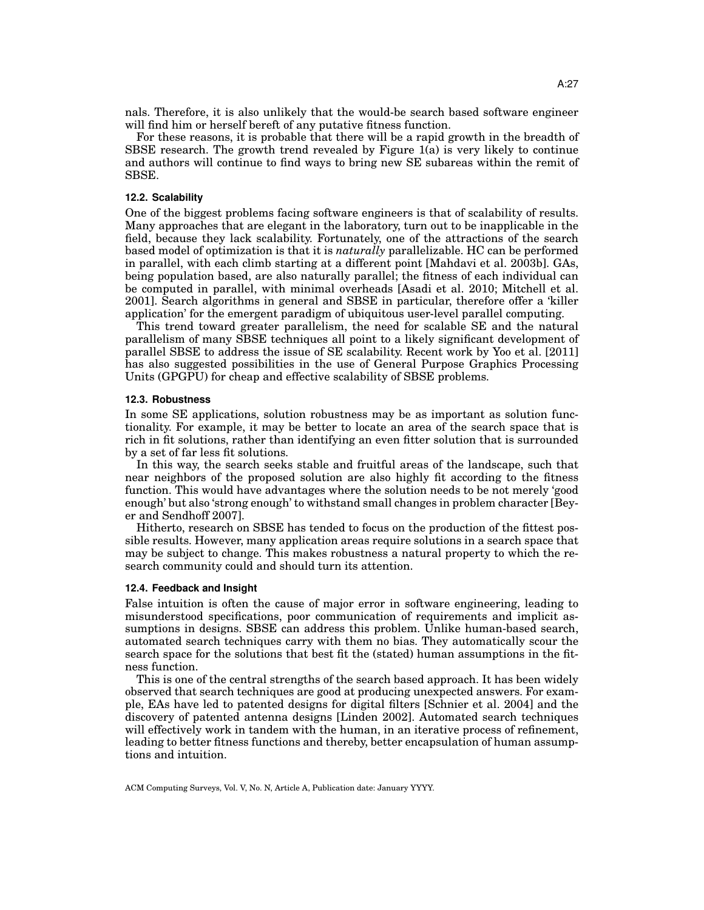nals. Therefore, it is also unlikely that the would-be search based software engineer will find him or herself bereft of any putative fitness function.

For these reasons, it is probable that there will be a rapid growth in the breadth of SBSE research. The growth trend revealed by Figure 1(a) is very likely to continue and authors will continue to find ways to bring new SE subareas within the remit of SBSE.

## **12.2. Scalability**

One of the biggest problems facing software engineers is that of scalability of results. Many approaches that are elegant in the laboratory, turn out to be inapplicable in the field, because they lack scalability. Fortunately, one of the attractions of the search based model of optimization is that it is *naturally* parallelizable. HC can be performed in parallel, with each climb starting at a different point [Mahdavi et al. 2003b]. GAs, being population based, are also naturally parallel; the fitness of each individual can be computed in parallel, with minimal overheads [Asadi et al. 2010; Mitchell et al. 2001]. Search algorithms in general and SBSE in particular, therefore offer a 'killer application' for the emergent paradigm of ubiquitous user-level parallel computing.

This trend toward greater parallelism, the need for scalable SE and the natural parallelism of many SBSE techniques all point to a likely significant development of parallel SBSE to address the issue of SE scalability. Recent work by Yoo et al. [2011] has also suggested possibilities in the use of General Purpose Graphics Processing Units (GPGPU) for cheap and effective scalability of SBSE problems.

## **12.3. Robustness**

In some SE applications, solution robustness may be as important as solution functionality. For example, it may be better to locate an area of the search space that is rich in fit solutions, rather than identifying an even fitter solution that is surrounded by a set of far less fit solutions.

In this way, the search seeks stable and fruitful areas of the landscape, such that near neighbors of the proposed solution are also highly fit according to the fitness function. This would have advantages where the solution needs to be not merely 'good enough' but also 'strong enough' to withstand small changes in problem character [Beyer and Sendhoff 2007].

Hitherto, research on SBSE has tended to focus on the production of the fittest possible results. However, many application areas require solutions in a search space that may be subject to change. This makes robustness a natural property to which the research community could and should turn its attention.

## **12.4. Feedback and Insight**

False intuition is often the cause of major error in software engineering, leading to misunderstood specifications, poor communication of requirements and implicit assumptions in designs. SBSE can address this problem. Unlike human-based search, automated search techniques carry with them no bias. They automatically scour the search space for the solutions that best fit the (stated) human assumptions in the fitness function.

This is one of the central strengths of the search based approach. It has been widely observed that search techniques are good at producing unexpected answers. For example, EAs have led to patented designs for digital filters [Schnier et al. 2004] and the discovery of patented antenna designs [Linden 2002]. Automated search techniques will effectively work in tandem with the human, in an iterative process of refinement, leading to better fitness functions and thereby, better encapsulation of human assumptions and intuition.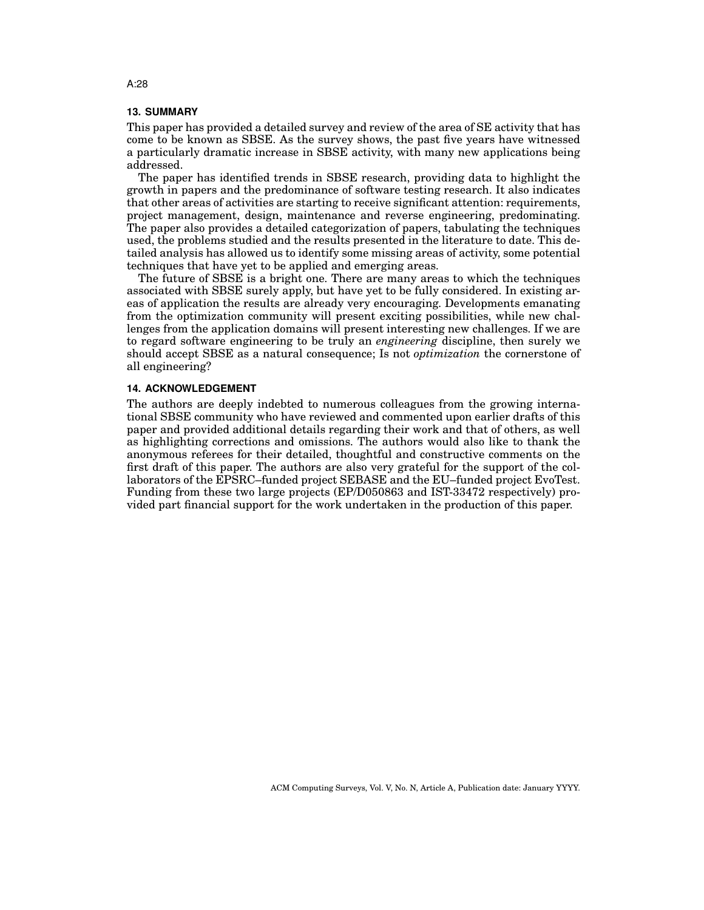#### **13. SUMMARY**

This paper has provided a detailed survey and review of the area of SE activity that has come to be known as SBSE. As the survey shows, the past five years have witnessed a particularly dramatic increase in SBSE activity, with many new applications being addressed.

The paper has identified trends in SBSE research, providing data to highlight the growth in papers and the predominance of software testing research. It also indicates that other areas of activities are starting to receive significant attention: requirements, project management, design, maintenance and reverse engineering, predominating. The paper also provides a detailed categorization of papers, tabulating the techniques used, the problems studied and the results presented in the literature to date. This detailed analysis has allowed us to identify some missing areas of activity, some potential techniques that have yet to be applied and emerging areas.

The future of SBSE is a bright one. There are many areas to which the techniques associated with SBSE surely apply, but have yet to be fully considered. In existing areas of application the results are already very encouraging. Developments emanating from the optimization community will present exciting possibilities, while new challenges from the application domains will present interesting new challenges. If we are to regard software engineering to be truly an *engineering* discipline, then surely we should accept SBSE as a natural consequence; Is not *optimization* the cornerstone of all engineering?

#### **14. ACKNOWLEDGEMENT**

The authors are deeply indebted to numerous colleagues from the growing international SBSE community who have reviewed and commented upon earlier drafts of this paper and provided additional details regarding their work and that of others, as well as highlighting corrections and omissions. The authors would also like to thank the anonymous referees for their detailed, thoughtful and constructive comments on the first draft of this paper. The authors are also very grateful for the support of the collaborators of the EPSRC–funded project SEBASE and the EU–funded project EvoTest. Funding from these two large projects (EP/D050863 and IST-33472 respectively) provided part financial support for the work undertaken in the production of this paper.

A:28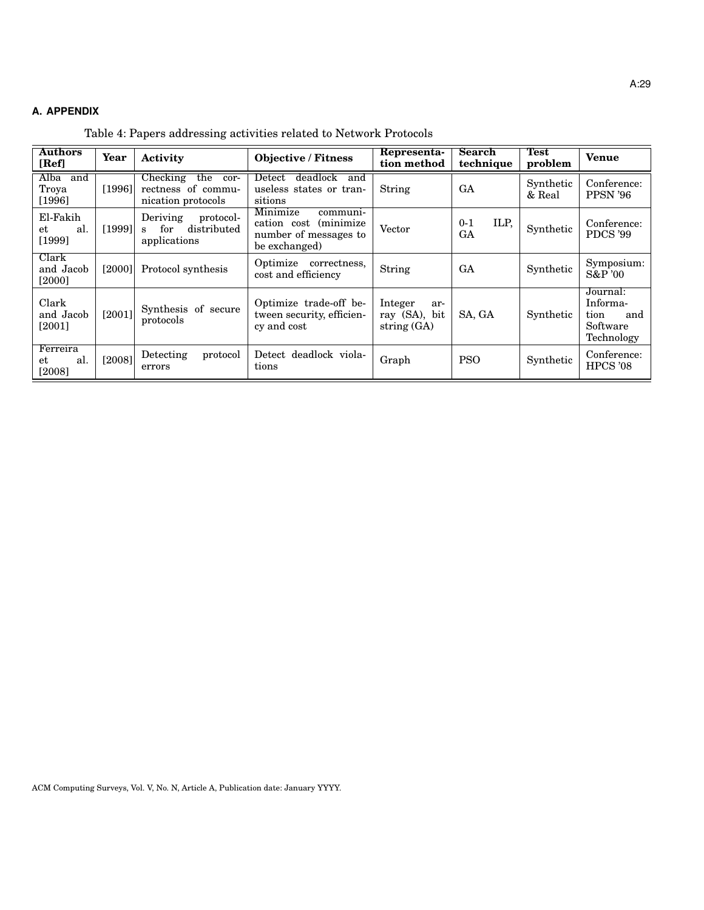# **A. APPENDIX**

Table 4: Papers addressing activities related to Network Protocols

| <b>Authors</b><br>[Ref]                       | Year   | Activity                                                            | <b>Objective / Fitness</b>                                                                         | Representa-<br>tion method                        | <b>Search</b><br>technique | <b>Test</b><br>problem | <b>Venue</b>                                                  |
|-----------------------------------------------|--------|---------------------------------------------------------------------|----------------------------------------------------------------------------------------------------|---------------------------------------------------|----------------------------|------------------------|---------------------------------------------------------------|
| Alba<br>and<br>Troya<br>$[1996]$              | [1996] | Checking<br>the<br>cor-<br>rectness of commu-<br>nication protocols | deadlock<br>Detect<br>and<br>useless states or tran-<br>sitions                                    | String                                            | GA                         | Synthetic<br>& Real    | Conference:<br>PPSN '96                                       |
| El-Fakih<br>al.<br>et<br>[1999]               | [1999] | Deriving<br>protocol-<br>for<br>distributed<br>s<br>applications    | Minimize<br>communi-<br><i>(minimize)</i><br>cation cost<br>number of messages to<br>be exchanged) | Vector                                            | ILP,<br>$0 - 1$<br>GA      | Synthetic              | Conference:<br>PDCS '99                                       |
| $\operatorname{Clark}$<br>and Jacob<br>[2000] | [2000] | Protocol synthesis                                                  | Optimize correctness,<br>cost and efficiency                                                       | String                                            | <b>GA</b>                  | Synthetic              | Symposium:<br>$S\&P'00$                                       |
| Clark<br>and Jacob<br>[2001]                  | [2001] | Synthesis of secure<br>protocols                                    | Optimize trade-off be-<br>tween security, efficien-<br>cy and cost                                 | Integer<br>ar-<br>ray (SA),<br>bit<br>string (GA) | SA, GA                     | Synthetic              | Journal:<br>Informa-<br>tion<br>and<br>Software<br>Technology |
| Ferreira<br>al.<br>et<br>[2008]               | [2008] | Detecting<br>protocol<br>errors                                     | Detect deadlock viola-<br>tions                                                                    | Graph                                             | <b>PSO</b>                 | Synthetic              | Conference:<br>HPCS '08                                       |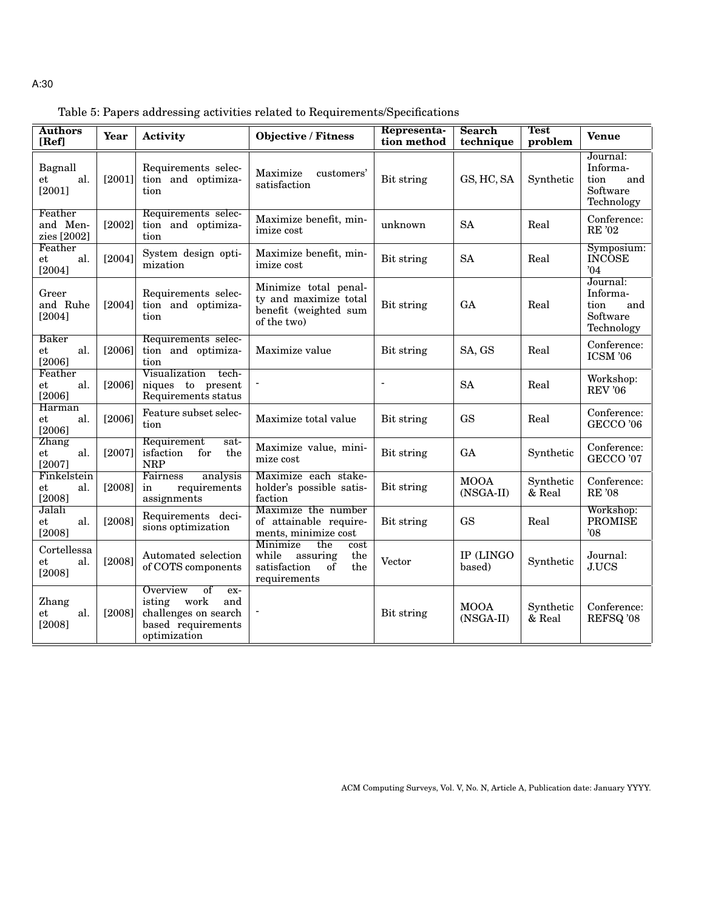|  | Table 5: Papers addressing activities related to Requirements/Specifications |  |  |  |
|--|------------------------------------------------------------------------------|--|--|--|
|  |                                                                              |  |  |  |

| <b>Authors</b><br>[Ref]                                     | Year     | Activity                                                                                                           | <b>Objective / Fitness</b>                                                                       | Representa-<br>tion method | <b>Search</b><br>technique | <b>Test</b><br>problem | <b>Venue</b>                                                  |
|-------------------------------------------------------------|----------|--------------------------------------------------------------------------------------------------------------------|--------------------------------------------------------------------------------------------------|----------------------------|----------------------------|------------------------|---------------------------------------------------------------|
| Bagnall<br>al.<br>et<br>[2001]                              | [2001]   | Requirements selec-<br>tion and optimiza-<br>tion                                                                  | Maximize<br>customers'<br>satisfaction                                                           | Bit string                 | GS, HC, SA                 | Synthetic              | Journal:<br>Informa-<br>tion<br>and<br>Software<br>Technology |
| Feather<br>and Men-<br>zies [2002]                          | $[2002]$ | Requirements selec-<br>tion and optimiza-<br>tion                                                                  | Maximize benefit, min-<br>imize cost                                                             | unknown                    | <b>SA</b>                  | Real                   | Conference:<br>RE '02                                         |
| Feather<br>al.<br>et<br>$[2004]$                            | [2004]   | System design opti-<br>mization                                                                                    | Maximize benefit, min-<br>imize cost                                                             | Bit string                 | <b>SA</b>                  | Real                   | Symposium:<br><b>INCOSE</b><br>0 <sup>1</sup>                 |
| Greer<br>and Ruhe<br>$[2004]$                               | [2004]   | Requirements selec-<br>tion and optimiza-<br>tion                                                                  | Minimize total penal-<br>ty and maximize total<br>benefit (weighted sum<br>of the two)           | Bit string                 | GA                         | Real                   | Journal:<br>Informa-<br>tion<br>and<br>Software<br>Technology |
| <b>Baker</b><br>et<br>al.<br>[2006]                         | [2006]   | Requirements selec-<br>tion and optimiza-<br>tion                                                                  | Maximize value                                                                                   | Bit string                 | SA, GS                     | Real                   | Conference:<br>ICSM '06                                       |
| Feather<br>al.<br>et<br>[2006]                              | [2006]   | Visualization<br>tech-<br>niques to present<br>Requirements status                                                 |                                                                                                  | ÷,                         | <b>SA</b>                  | Real                   | Workshop:<br><b>REV '06</b>                                   |
| Harman<br>et<br>al.<br>[2006]                               | [2006]   | Feature subset selec-<br>tion                                                                                      | Maximize total value                                                                             | Bit string                 | <b>GS</b>                  | Real                   | Conference:<br>GECCO '06                                      |
| <b>Zhang</b><br>al.<br>et<br>[2007]                         | [2007]   | Requirement<br>$sat-$<br>the<br>isfaction<br>for<br><b>NRP</b>                                                     | Maximize value, mini-<br>mize cost                                                               | Bit string                 | GA                         | Synthetic              | Conference:<br>GECCO '07                                      |
| Finkelstein<br>et<br>al.<br>[2008]                          | [2008]   | analysis<br>Fairness<br>requirements<br>in<br>assignments                                                          | Maximize each stake-<br>holder's possible satis-<br>faction                                      | Bit string                 | <b>MOOA</b><br>$(NSGA-II)$ | Synthetic<br>& Real    | Conference:<br><b>RE</b> '08                                  |
| Jalali<br>al.<br>et<br>[2008]                               | [2008]   | Requirements deci-<br>sions optimization                                                                           | Maximize the number<br>of attainable require-<br>ments, minimize cost                            | Bit string                 | <b>GS</b>                  | Real                   | Workshop:<br><b>PROMISE</b><br>08'                            |
| Cortellessa<br>et<br>al.<br>[2008]                          | [2008]   | Automated selection<br>of COTS components                                                                          | Minimize<br>the<br>cost<br>while<br>the<br>assuring<br>satisfaction<br>of<br>the<br>requirements | Vector                     | IP (LINGO<br>based)        | Synthetic              | Journal:<br><b>J.UCS</b>                                      |
| Zhang<br>al.<br>${\mathop{\mathrm{et}}\nolimits}$<br>[2008] | [2008]   | Overview<br>$\sigma$<br>ex-<br>isting<br>work<br>and<br>challenges on search<br>based requirements<br>optimization |                                                                                                  | Bit string                 | <b>MOOA</b><br>$(NSGA-II)$ | Synthetic<br>& Real    | Conference:<br>REFSQ '08                                      |

A:30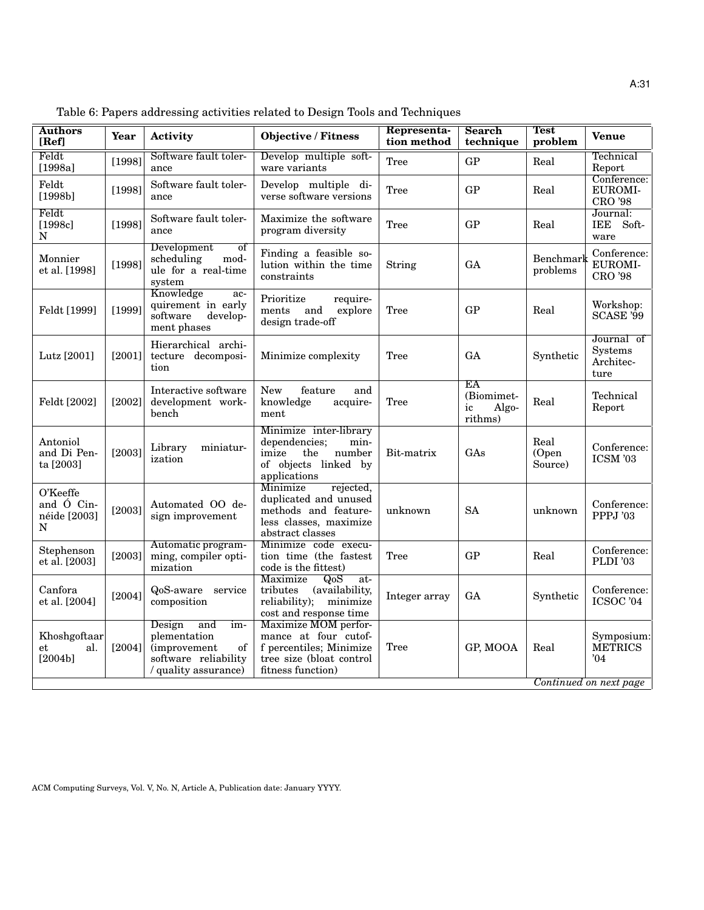| <b>Authors</b><br>[Ref]                     | Year     | Activity                                                                                                   | <b>Objective / Fitness</b>                                                                                               | Representa-<br>tion method | <b>Search</b><br>technique                 | <b>Test</b><br>problem   | <b>Venue</b>                               |
|---------------------------------------------|----------|------------------------------------------------------------------------------------------------------------|--------------------------------------------------------------------------------------------------------------------------|----------------------------|--------------------------------------------|--------------------------|--------------------------------------------|
| Feldt<br>$[1998a]$                          | [1998]   | Software fault toler-<br>ance                                                                              | Develop multiple soft-<br>ware variants                                                                                  | Tree                       | GP                                         | Real                     | Technical<br>Report                        |
| Feldt<br>$[1998b]$                          | [1998]   | Software fault toler-<br>ance                                                                              | Develop multiple di-<br>verse software versions                                                                          | Tree                       | GP                                         | Real                     | Conference:<br>EUROMI-<br><b>CRO</b> '98   |
| Feldt<br>$[1998c]$<br>N                     | [1998]   | Software fault toler-<br>ance                                                                              | Maximize the software<br>program diversity                                                                               | Tree                       | GP                                         | Real                     | Journal:<br>IEE<br>Soft-<br>ware           |
| Monnier<br>et al. [1998]                    | [1998]   | Development<br>οf<br>scheduling<br>mod-<br>ule for a real-time<br>system                                   | Finding a feasible so-<br>lution within the time<br>constraints                                                          | String                     | GA                                         | Benchmark<br>problems    | Conference:<br>EUROMI-<br><b>CRO</b> '98   |
| Feldt [1999]                                | [1999]   | Knowledge<br>ac-<br>quirement in early<br>software<br>develop-<br>ment phases                              | Prioritize<br>require-<br>and<br>ments<br>explore<br>design trade-off                                                    | Tree                       | <b>GP</b>                                  | Real                     | Workshop:<br>SCASE <sup>'99</sup>          |
| Lutz [2001]                                 | $[2001]$ | Hierarchical archi-<br>tecture decomposi-<br>tion                                                          | Minimize complexity                                                                                                      | Tree                       | GA                                         | Synthetic                | Journal of<br>Systems<br>Architec-<br>ture |
| Feldt [2002]                                | [2002]   | Interactive software<br>development work-<br>bench                                                         | <b>New</b><br>feature<br>and<br>knowledge<br>acquire-<br>ment                                                            | Tree                       | EA<br>(Biomimet-<br>Algo-<br>ic<br>rithms) | Real                     | Technical<br>Report                        |
| Antoniol<br>and Di Pen-<br>ta [2003]        | [2003]   | miniatur-<br>Library<br>ization                                                                            | Minimize inter-library<br>dependencies;<br>min-<br>number<br>imize<br>the<br>of objects linked by<br>applications        | Bit-matrix                 | GAs                                        | Real<br>(Open<br>Source) | Conference:<br>ICSM '03                    |
| O'Keeffe<br>and Ó Cin-<br>néide [2003]<br>N | [2003]   | Automated OO de-<br>sign improvement                                                                       | Minimize<br>rejected,<br>duplicated and unused<br>methods and feature-<br>less classes, maximize<br>abstract classes     | unknown                    | <b>SA</b>                                  | unknown                  | Conference:<br>PPPJ '03                    |
| Stephenson<br>et al. [2003]                 | [2003]   | Automatic program-<br>ming, compiler opti-<br>mization                                                     | Minimize code execu-<br>tion time (the fastest<br>code is the fittest)                                                   | Tree                       | <b>GP</b>                                  | Real                     | Conference:<br>PLDI'03                     |
| Canfora<br>et al. [2004]                    | [2004]   | QoS-aware service<br>composition                                                                           | Maximize<br>QoS<br>at-<br>(availability,<br>tributes<br>reliability);<br>minimize<br>cost and response time              | Integer array              | GA                                         | Synthetic                | Conference:<br>ICSOC '04                   |
| Khoshgoftaar<br>et<br>al.<br>$[2004b]$      | [2004]   | Design<br>and<br>im-<br>plementation<br>(improvement<br>of<br>software reliability<br>/ quality assurance) | Maximize MOM perfor-<br>mance at four cutof-<br>f percentiles; Minimize<br>tree size (bloat control<br>fitness function) | Tree                       | GP, MOOA                                   | Real                     | Symposium:<br><b>METRICS</b><br>04'        |
|                                             |          |                                                                                                            |                                                                                                                          |                            |                                            |                          | Continued on next page                     |

Table 6: Papers addressing activities related to Design Tools and Techniques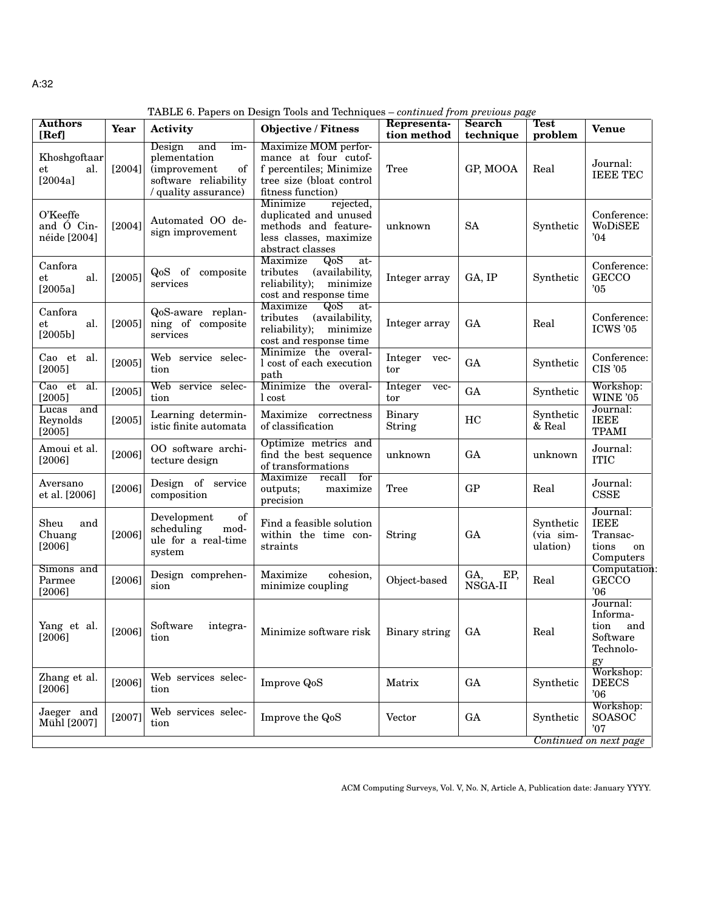A:32

TABLE 6. Papers on Design Tools and Techniques – *continued from previous page*

| <b>Authors</b><br>[Ref]                                          | Year     | Activity                                                                                                          | TABLE 6. Papers on Design Tools and Techniques – <i>continued from previous page</i><br><b>Objective / Fitness</b>       | Representa-<br>tion method | <b>Search</b><br>technique | <b>Test</b><br>problem             | <b>Venue</b>                                                    |
|------------------------------------------------------------------|----------|-------------------------------------------------------------------------------------------------------------------|--------------------------------------------------------------------------------------------------------------------------|----------------------------|----------------------------|------------------------------------|-----------------------------------------------------------------|
| Khoshgoftaar<br>et<br>al.<br>$[2004a]$                           | [2004]   | Design<br>and<br>im-<br>plementation<br><i>(improvement</i><br>of<br>software reliability<br>/ quality assurance) | Maximize MOM perfor-<br>mance at four cutof-<br>f percentiles; Minimize<br>tree size (bloat control<br>fitness function) | Tree                       | GP, MOOA                   | Real                               | Journal:<br><b>IEEE TEC</b>                                     |
| O'Keeffe<br>and Ó Cin-<br>néide [2004]                           | [2004]   | Automated OO de-<br>sign improvement                                                                              | Minimize<br>rejected,<br>duplicated and unused<br>methods and feature-<br>less classes, maximize<br>abstract classes     | unknown                    | <b>SA</b>                  | Synthetic                          | Conference:<br>WoDiSEE<br>04'                                   |
| Canfora<br>${\mathop{\mathrm{et}}\nolimits}$<br>al.<br>$[2005a]$ | [2005]   | QoS of composite<br>services                                                                                      | Maximize<br>QoS<br>at-<br>tributes<br>(availability,<br>reliability);<br>minimize<br>cost and response time              | Integer array              | GA, IP                     | Synthetic                          | Conference:<br><b>GECCO</b><br>'05                              |
| Canfora<br>et<br>al.<br>$[2005b]$                                | [2005]   | QoS-aware replan-<br>ning of composite<br>services                                                                | Maximize<br>QoS<br>at-<br>(availability,<br>tributes<br>reliability);<br>minimize<br>cost and response time              | Integer array              | GA                         | Real                               | Conference:<br>ICWS '05                                         |
| Cao et al.<br>$[2005]$                                           | [2005]   | Web service selec-<br>tion                                                                                        | Minimize the overal-<br>l cost of each execution<br>path                                                                 | Integer vec-<br>tor        | GA                         | Synthetic                          | Conference:<br><b>CIS '05</b>                                   |
| Cao et al.<br>[2005]                                             | [2005]   | Web service selec-<br>tion                                                                                        | Minimize the overal-<br>l cost                                                                                           | Integer<br>vec-<br>tor     | GA                         | Synthetic                          | Workshop:<br>WINE '05                                           |
| Lucas<br>and<br>Reynolds<br>[2005]                               | [2005]   | Learning determin-<br>istic finite automata                                                                       | Maximize correctness<br>of classification                                                                                | Binary<br>String           | HC                         | Synthetic<br>& Real                | Journal:<br><b>IEEE</b><br><b>TPAMI</b>                         |
| Amoui et al.<br>[2006]                                           | [2006]   | OO software archi-<br>tecture design                                                                              | Optimize metrics and<br>find the best sequence<br>of transformations                                                     | unknown                    | GA                         | unknown                            | Journal:<br><b>ITIC</b>                                         |
| Aversano<br>et al. [2006]                                        | [2006]   | Design of service<br>composition                                                                                  | Maximize<br>recall<br>for<br>outputs;<br>maximize<br>precision                                                           | Tree                       | GP                         | Real                               | Journal:<br><b>CSSE</b>                                         |
| Sheu<br>and<br>Chuang<br>[2006]                                  | [2006]   | Development<br>of<br>scheduling<br>mod-<br>ule for a real-time<br>system                                          | Find a feasible solution<br>within the time con-<br>straints                                                             | String                     | <b>GA</b>                  | Synthetic<br>(via sim-<br>ulation) | Journal:<br><b>IEEE</b><br>Transac-<br>tions<br>on<br>Computers |
| Simons and<br>Parmee<br>[2006]                                   | [2006]   | Design comprehen-<br>sion                                                                                         | Maximize<br>cohesion,<br>minimize coupling                                                                               | Object-based               | GA,<br>EP,<br>NSGA-II      | Real                               | Computation:<br><b>GECCO</b><br>06                              |
| Yang et al.<br>$[2006]$                                          | $[2006]$ | Software<br>integra-<br>tion                                                                                      | Minimize software risk                                                                                                   | Binary string              | GA                         | Real                               | Journal:<br>Informa-<br>tion and<br>Software<br>Technolo-<br>gy |
| Zhang et al.<br>[2006]                                           | [2006]   | Web services selec-<br>tion                                                                                       | Improve QoS                                                                                                              | Matrix                     | GA                         | Synthetic                          | Workshop:<br><b>DEECS</b><br>06'                                |
| Jaeger and<br>Mühl [2007]                                        | [2007]   | Web services selec-<br>tion                                                                                       | Improve the QoS                                                                                                          | Vector                     | GA                         | Synthetic                          | Workshop:<br>SOASOC<br>'07                                      |
|                                                                  |          |                                                                                                                   |                                                                                                                          |                            |                            |                                    | Continued on next page                                          |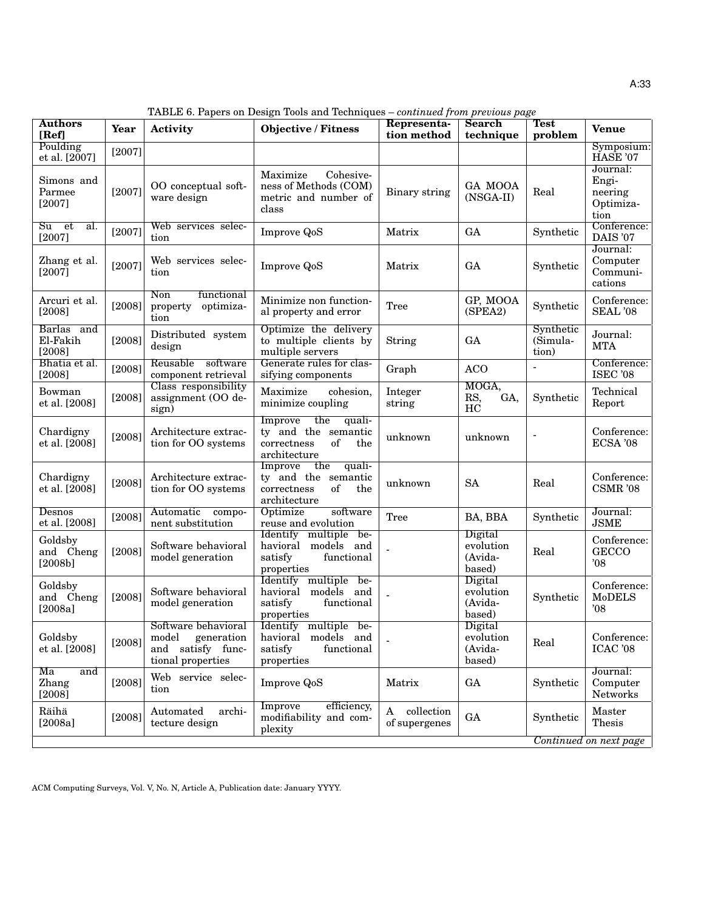|  |  | TABLE 6. Papers on Design Tools and Techniques - continued from previous page |  |  |  |
|--|--|-------------------------------------------------------------------------------|--|--|--|
|  |  |                                                                               |  |  |  |
|  |  |                                                                               |  |  |  |
|  |  |                                                                               |  |  |  |

| <b>Authors</b><br>[Ref]           | Year   | Activity                                                                             | TADLE 0. Fapers on Design Tools and Techniques – <i>continued from previous page</i><br><b>Objective / Fitness</b> | Representa-<br>tion method       | <b>Search</b><br>technique                | <b>Test</b><br>problem         | <b>Venue</b>                                      |
|-----------------------------------|--------|--------------------------------------------------------------------------------------|--------------------------------------------------------------------------------------------------------------------|----------------------------------|-------------------------------------------|--------------------------------|---------------------------------------------------|
| Poulding<br>et al. [2007]         | [2007] |                                                                                      |                                                                                                                    |                                  |                                           |                                | Symposium:<br>HASE '07                            |
| Simons and<br>Parmee<br>[2007]    | [2007] | OO conceptual soft-<br>ware design                                                   | Cohesive-<br>Maximize<br>ness of Methods (COM)<br>metric and number of<br>class                                    | Binary string                    | GA MOOA<br>$(NSGA-II)$                    | Real                           | Journal:<br>Engi-<br>neering<br>Optimiza-<br>tion |
| Su et<br>al.<br>[2007]            | [2007] | Web services selec-<br>tion                                                          | Improve QoS                                                                                                        | Matrix                           | GA                                        | Synthetic                      | Conference:<br>DAIS '07                           |
| Zhang et al.<br>[2007]            | [2007] | Web services selec-<br>tion                                                          | Improve QoS                                                                                                        | Matrix                           | GA                                        | Synthetic                      | Journal:<br>Computer<br>Communi-<br>cations       |
| Arcuri et al.<br>[2008]           | [2008] | Non<br>functional<br>optimiza-<br>property<br>tion                                   | Minimize non function-<br>al property and error                                                                    | Tree                             | GP, MOOA<br>(SPEA2)                       | Synthetic                      | Conference:<br>SEAL '08                           |
| Barlas and<br>El-Fakih<br>[2008]  | [2008] | Distributed system<br>design                                                         | Optimize the delivery<br>to multiple clients by<br>multiple servers                                                | String                           | GA                                        | Synthetic<br>(Simula-<br>tion) | Journal:<br><b>MTA</b>                            |
| Bhatia et al.<br>[2008]           | [2008] | Reusable<br>software<br>component retrieval                                          | Generate rules for clas-<br>sifying components                                                                     | Graph                            | <b>ACO</b>                                |                                | Conference:<br>ISEC '08                           |
| Bowman<br>et al. [2008]           | [2008] | Class responsibility<br>assignment (OO de-<br>sign)                                  | Maximize<br>cohesion,<br>minimize coupling                                                                         | Integer<br>string                | MOGA,<br>RS,<br>GA,<br>HC                 | Synthetic                      | Technical<br>Report                               |
| Chardigny<br>et al. [2008]        | [2008] | Architecture extrac-<br>tion for OO systems                                          | the<br>quali-<br>Improve<br>ty and the semantic<br>of<br>correctness<br>the<br>architecture                        | unknown                          | unknown                                   |                                | Conference:<br>ECSA '08                           |
| Chardigny<br>et al. [2008]        | [2008] | Architecture extrac-<br>tion for OO systems                                          | Improve<br>the<br>quali-<br>ty and the semantic<br>of<br>correctness<br>the<br>architecture                        | unknown                          | SA                                        | Real                           | Conference:<br>CSMR '08                           |
| Desnos<br>et al. [2008]           | [2008] | Automatic<br>compo-<br>nent substitution                                             | software<br>Optimize<br>reuse and evolution                                                                        | <b>Tree</b>                      | BA, BBA                                   | Synthetic                      | Journal:<br><b>JSME</b>                           |
| Goldsby<br>and Cheng<br>$[2008b]$ | [2008] | Software behavioral<br>model generation                                              | Identify multiple<br>be-<br>havioral models and<br>satisfy<br>functional<br>properties                             |                                  | Digital<br>evolution<br>(Avida-<br>based) | Real                           | Conference:<br><b>GECCO</b><br>08'                |
| Goldsby<br>and Cheng<br>$[2008a]$ | [2008] | Software behavioral<br>model generation                                              | multiple be-<br>Identify<br>havioral models and<br>satisfy<br>functional<br>properties                             |                                  | Digital<br>evolution<br>(Avida-<br>based) | Synthetic                      | Conference:<br><b>MoDELS</b><br>08'               |
| Goldsby<br>et al. [2008]          | [2008] | Software behavioral<br>generation<br>model<br>and satisfy func-<br>tional properties | Identify multiple be-<br>havioral models and<br>functional<br>satisfy<br>properties                                |                                  | Digital<br>evolution<br>(Avida-<br>based) | Real                           | Conference:<br>ICAC '08                           |
| Ma<br>and<br>Zhang<br>[2008]      | [2008] | Web service selec-<br>tion                                                           | Improve QoS                                                                                                        | Matrix                           | GA                                        | Synthetic                      | Journal:<br>Computer<br>Networks                  |
| Räihä<br>$[2008a]$                | [2008] | Automated<br>archi-<br>tecture design                                                | Improve<br>efficiency,<br>modifiability and com-<br>plexity                                                        | A<br>collection<br>of supergenes | $\operatorname{GA}$                       | Synthetic                      | Master<br>Thesis                                  |
|                                   |        |                                                                                      |                                                                                                                    |                                  |                                           |                                | Continued on next page                            |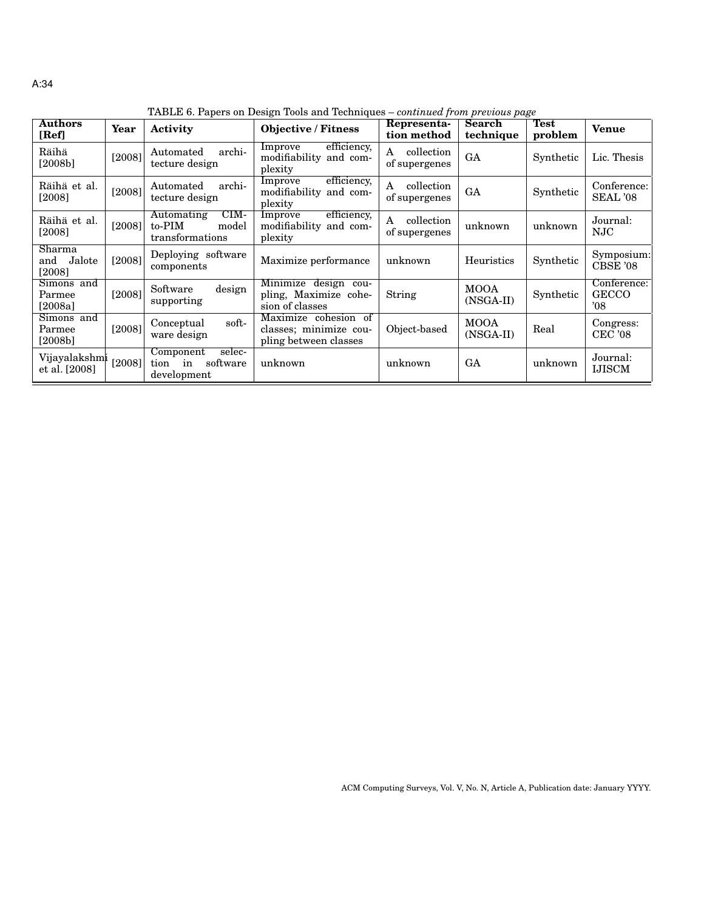|  | I<br>۰, |  |
|--|---------|--|
|  |         |  |

| <b>Authors</b><br>[Ref]         | Year     | Activity                                                   | <b>Objective / Fitness</b>                                              | Representa-<br>tion method                  | <b>Search</b><br>technique | <b>Test</b><br>problem | <b>Venue</b>                       |
|---------------------------------|----------|------------------------------------------------------------|-------------------------------------------------------------------------|---------------------------------------------|----------------------------|------------------------|------------------------------------|
| Räihä<br>[2008b]                | [2008]   | archi-<br>Automated<br>tecture design                      | efficiency,<br>Improve<br>modifiability and com-<br>plexity             | collection<br>A<br>of supergenes            | GA                         | Synthetic              | Lic. Thesis                        |
| Räihä et al.<br>[2008]          | [2008]   | archi-<br>Automated<br>tecture design                      | efficiency,<br>Improve<br>modifiability and com-<br>plexity             | collection<br>A<br>of supergenes            | GA                         | Synthetic              | Conference:<br>SEAL '08            |
| Räihä et al.<br>[2008]          | $[2008]$ | $CIM-$<br>Automating<br>to-PIM<br>model<br>transformations | efficiency,<br>Improve<br>modifiability and com-<br>plexity             | collection<br>$\mathbf{A}$<br>of supergenes | unknown                    | unknown                | Journal:<br>NJC                    |
| Sharma<br>and Jalote<br>[2008]  | [2008]   | Deploying software<br>components                           | Maximize performance                                                    | unknown                                     | Heuristics                 | Synthetic              | Symposium:<br>CBSE '08             |
| Simons and<br>Parmee<br>[2008a] | [2008]   | design<br>Software<br>supporting                           | Minimize design cou-<br>pling, Maximize cohe-<br>sion of classes        | String                                      | MOOA<br>$(NSGA-II)$        | Synthetic              | Conference:<br><b>GECCO</b><br>'08 |
| Simons and<br>Parmee<br>[2008b] | [2008]   | soft-<br>Conceptual<br>ware design                         | Maximize cohesion of<br>classes; minimize cou-<br>pling between classes | Object-based                                | <b>MOOA</b><br>$(NSGA-II)$ | Real                   | Congress:<br>CEC '08               |
| Vijayalakshmi<br>et al. [2008]  | $[2008]$ | selec-<br>Component<br>tion in<br>software<br>development  | unknown                                                                 | unknown                                     | GA                         | unknown                | Journal:<br><b>IJISCM</b>          |

TABLE 6. Papers on Design Tools and Techniques – *continued from previous page*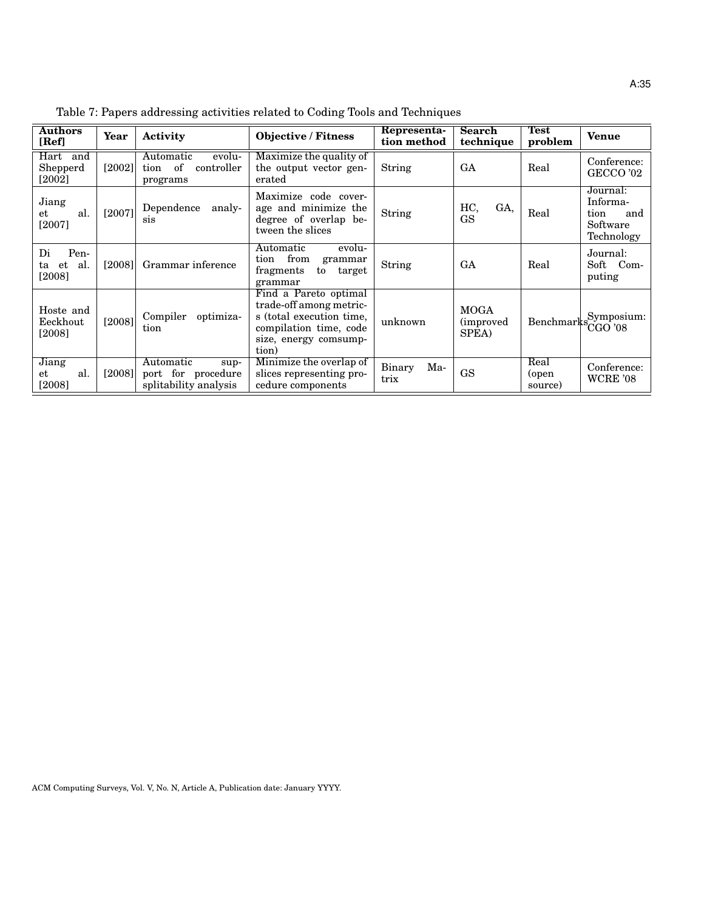| <b>Authors</b><br>[Ref]                 | Year     | Activity                                                         | <b>Objective</b> / Fitness                                                                                                               | Representa-<br>tion method | <b>Search</b><br>technique                | <b>Test</b><br>problem    | <b>Venue</b>                                                  |
|-----------------------------------------|----------|------------------------------------------------------------------|------------------------------------------------------------------------------------------------------------------------------------------|----------------------------|-------------------------------------------|---------------------------|---------------------------------------------------------------|
| Hart<br>and<br>Shepperd<br>$[2002]$     | [2002]   | Automatic<br>evolu-<br>of<br>controller<br>tion<br>programs      | Maximize the quality of<br>the output vector gen-<br>erated                                                                              | String                     | <b>GA</b>                                 | Real                      | Conference:<br>GECCO '02                                      |
| Jiang<br>al.<br>et<br>[2007]            | [2007]   | Dependence<br>analy-<br>sis                                      | Maximize code cover-<br>age and minimize the<br>degree of overlap be-<br>tween the slices                                                | String                     | GA,<br>HC,<br>GS                          | Real                      | Journal:<br>Informa-<br>tion<br>and<br>Software<br>Technology |
| Di<br>Pen-<br>al.<br>et<br>ta<br>[2008] | [2008]   | Grammar inference                                                | Automatic<br>evolu-<br>from<br>tion<br>grammar<br>fragments<br>to<br>target<br>grammar                                                   | String                     | <b>GA</b>                                 | Real                      | Journal:<br>Soft Com-<br>puting                               |
| Hoste and<br>Eeckhout<br>[2008]         | [2008]   | Compiler<br>optimiza-<br>tion                                    | Find a Pareto optimal<br>trade-off among metric-<br>s (total execution time,<br>compilation time, code<br>size, energy comsump-<br>tion) | unknown                    | <b>MOGA</b><br><i>(improved)</i><br>SPEA) | Benchmark                 | Symposium:<br>'CGO '08                                        |
| Jiang<br>al.<br>et<br>[2008]            | $[2008]$ | Automatic<br>sup-<br>port for procedure<br>splitability analysis | Minimize the overlap of<br>slices representing pro-<br>cedure components                                                                 | Binary<br>Ma-<br>trix      | <b>GS</b>                                 | Real<br>(open)<br>source) | Conference:<br>WCRE '08                                       |

Table 7: Papers addressing activities related to Coding Tools and Techniques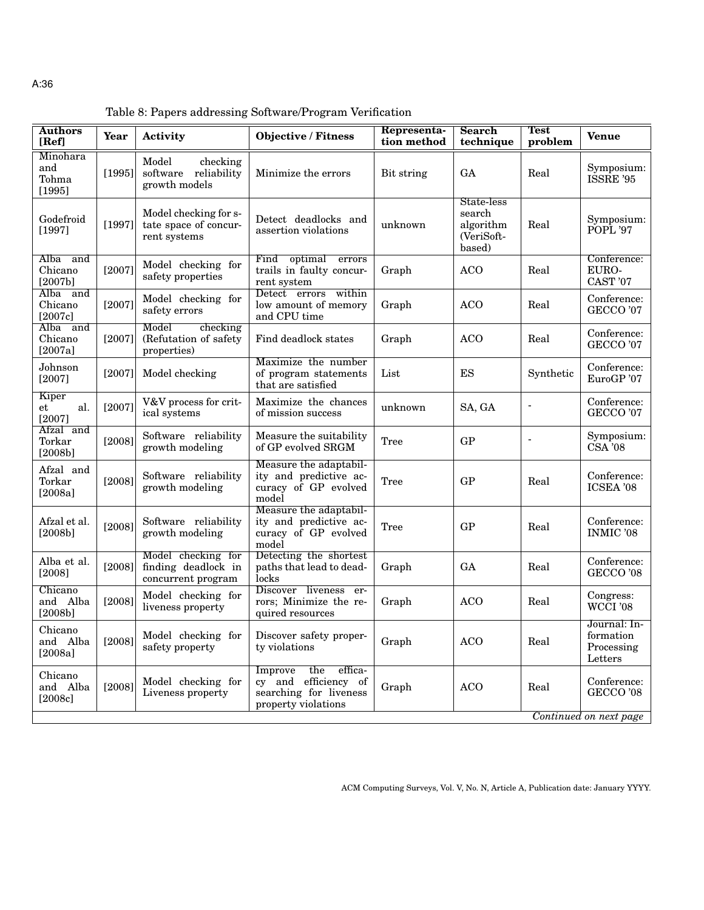|  |  |  | Table 8: Papers addressing Software/Program Verification |
|--|--|--|----------------------------------------------------------|
|  |  |  |                                                          |

| <b>Authors</b><br>[Ref]            | Year   | Activity                                                        | <b>Objective / Fitness</b>                                                                         | Representa-<br>tion method | <b>Search</b><br>technique                                | <b>Test</b><br>problem   | <b>Venue</b>                                       |
|------------------------------------|--------|-----------------------------------------------------------------|----------------------------------------------------------------------------------------------------|----------------------------|-----------------------------------------------------------|--------------------------|----------------------------------------------------|
| Minohara<br>and<br>Tohma<br>[1995] | [1995] | Model<br>checking<br>software reliability<br>growth models      | Minimize the errors                                                                                | Bit string                 | GA                                                        | Real                     | Symposium:<br>ISSRE '95                            |
| Godefroid<br>[1997]                | [1997] | Model checking for s-<br>tate space of concur-<br>rent systems  | Detect deadlocks and<br>assertion violations                                                       | unknown                    | State-less<br>search<br>algorithm<br>(VeriSoft-<br>based) | Real                     | Symposium:<br>POPL '97                             |
| Alba and<br>Chicano<br>$[2007b]$   | [2007] | Model checking for<br>safety properties                         | Find optimal<br>errors<br>trails in faulty concur-<br>rent system                                  | Graph                      | <b>ACO</b>                                                | Real                     | Conference:<br>EURO-<br>CAST '07                   |
| Alba and<br>Chicano<br>$[2007c]$   | [2007] | Model checking for<br>safety errors                             | Detect errors within<br>low amount of memory<br>and CPU time                                       | Graph                      | <b>ACO</b>                                                | Real                     | Conference:<br>GECCO '07                           |
| Alba and<br>Chicano<br>$[2007a]$   | [2007] | Model<br>checking<br>(Refutation of safety<br>properties)       | Find deadlock states                                                                               | Graph                      | <b>ACO</b>                                                | Real                     | Conference:<br>GECCO'07                            |
| Johnson<br>[2007]                  | [2007] | Model checking                                                  | Maximize the number<br>of program statements<br>that are satisfied                                 | List                       | ES                                                        | Synthetic                | Conference:<br>EuroGP '07                          |
| Kiper<br>al.<br>et<br>[2007]       | [2007] | V&V process for crit-<br>ical systems                           | Maximize the chances<br>of mission success                                                         | unknown                    | SA, GA                                                    | $\overline{\phantom{a}}$ | Conference:<br>GECCO '07                           |
| Afzal and<br>Torkar<br>$[2008b]$   | [2008] | Software reliability<br>growth modeling                         | Measure the suitability<br>of GP evolved SRGM                                                      | Tree                       | <b>GP</b>                                                 | $\overline{a}$           | Symposium:<br><b>CSA</b> '08                       |
| Afzal and<br>Torkar<br>$[2008a]$   | [2008] | Software reliability<br>growth modeling                         | Measure the adaptabil-<br>ity and predictive ac-<br>curacy of GP evolved<br>model                  | Tree                       | GP                                                        | Real                     | Conference:<br>ICSEA '08                           |
| Afzal et al.<br>[2008b]            | [2008] | Software reliability<br>growth modeling                         | Measure the adaptabil-<br>ity and predictive ac-<br>curacy of GP evolved<br>model                  | Tree                       | <b>GP</b>                                                 | Real                     | Conference:<br><b>INMIC '08</b>                    |
| Alba et al.<br>[2008]              | [2008] | Model checking for<br>finding deadlock in<br>concurrent program | Detecting the shortest<br>paths that lead to dead-<br>locks                                        | Graph                      | <b>GA</b>                                                 | Real                     | Conference:<br>GECCO'08                            |
| Chicano<br>and Alba<br>$[2008b]$   | [2008] | Model checking for<br>liveness property                         | Discover liveness<br>er-<br>rors; Minimize the re-<br>quired resources                             | Graph                      | <b>ACO</b>                                                | Real                     | Congress:<br>WCCI '08                              |
| Chicano<br>and Alba<br>$[2008a]$   | [2008] | Model checking for<br>safety property                           | Discover safety proper-<br>ty violations                                                           | Graph                      | <b>ACO</b>                                                | Real                     | Journal: In-<br>formation<br>Processing<br>Letters |
| Chicano<br>and Alba<br>$[2008c]$   | [2008] | Model checking for<br>Liveness property                         | effica-<br>Improve<br>the<br>cy and efficiency of<br>searching for liveness<br>property violations | Graph                      | <b>ACO</b>                                                | Real                     | Conference:<br>GECCO '08                           |
|                                    |        |                                                                 |                                                                                                    |                            |                                                           |                          | Continued on next page                             |

A:36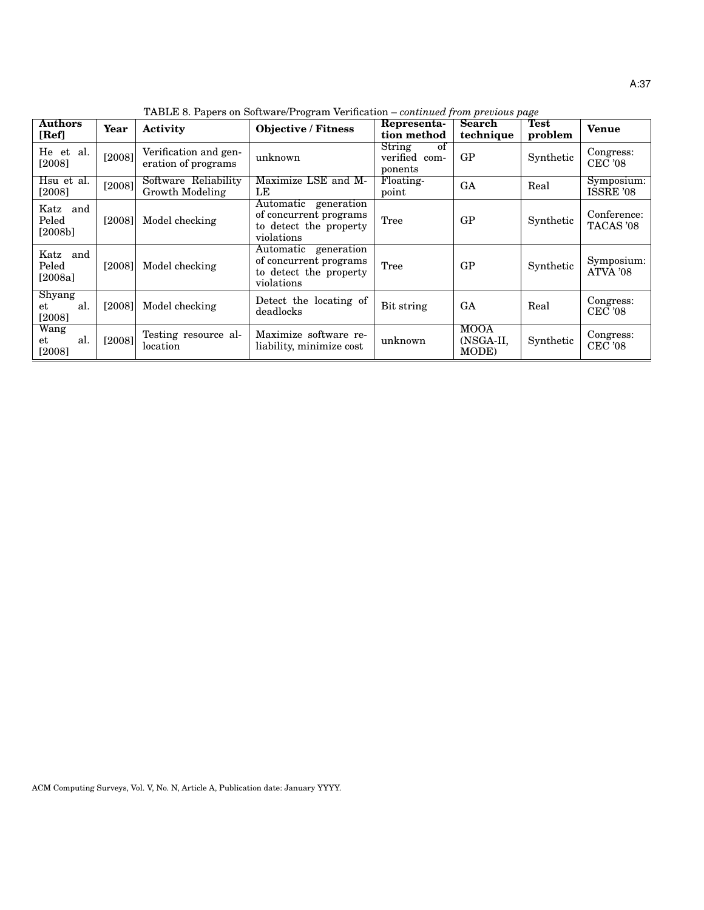| 111D111 of 1 apers on Solemarch regram vermander contentaca prone precious page |        |                                                |                                                                                        |                                          |                                   |                 |                                |
|---------------------------------------------------------------------------------|--------|------------------------------------------------|----------------------------------------------------------------------------------------|------------------------------------------|-----------------------------------|-----------------|--------------------------------|
| <b>Authors</b><br>[Ref]                                                         | Year   | Activity                                       | <b>Objective / Fitness</b>                                                             | Representa-<br>tion method               | <b>Search</b><br>technique        | Test<br>problem | <b>Venue</b>                   |
| He et al.<br>[2008]                                                             | [2008] | Verification and gen-<br>eration of programs   | unknown                                                                                | String<br>of<br>verified com-<br>ponents | GP                                | Synthetic       | Congress:<br><b>CEC</b> '08    |
| Hsu et al.<br>[2008]                                                            | [2008] | Software Reliability<br><b>Growth Modeling</b> | Maximize LSE and M-<br>LE                                                              | Floating-<br>point                       | <b>GA</b>                         | Real            | Symposium:<br><b>ISSRE '08</b> |
| Katz<br>and<br>Peled<br>[2008b]                                                 | [2008] | Model checking                                 | Automatic generation<br>of concurrent programs<br>to detect the property<br>violations | Tree                                     | GP                                | Synthetic       | Conference:<br>TACAS '08       |
| Katz<br>and<br>Peled<br>[2008a]                                                 | [2008] | Model checking                                 | Automatic generation<br>of concurrent programs<br>to detect the property<br>violations | Tree                                     | GP                                | Synthetic       | Symposium:<br>ATVA '08         |
| Shyang<br>al.<br>et<br>[2008]                                                   | [2008] | Model checking                                 | Detect the locating of<br>deadlocks                                                    | Bit string                               | GA                                | Real            | Congress:<br><b>CEC</b> '08    |
| Wang<br>al.<br>et<br>[2008]                                                     | [2008] | Testing resource al-<br>location               | Maximize software re-<br>liability, minimize cost                                      | unknown                                  | <b>MOOA</b><br>(NSGA-II,<br>MODE) | Synthetic       | Congress:<br><b>CEC</b> '08    |

TABLE 8. Papers on Software/Program Verification – *continued from previous page*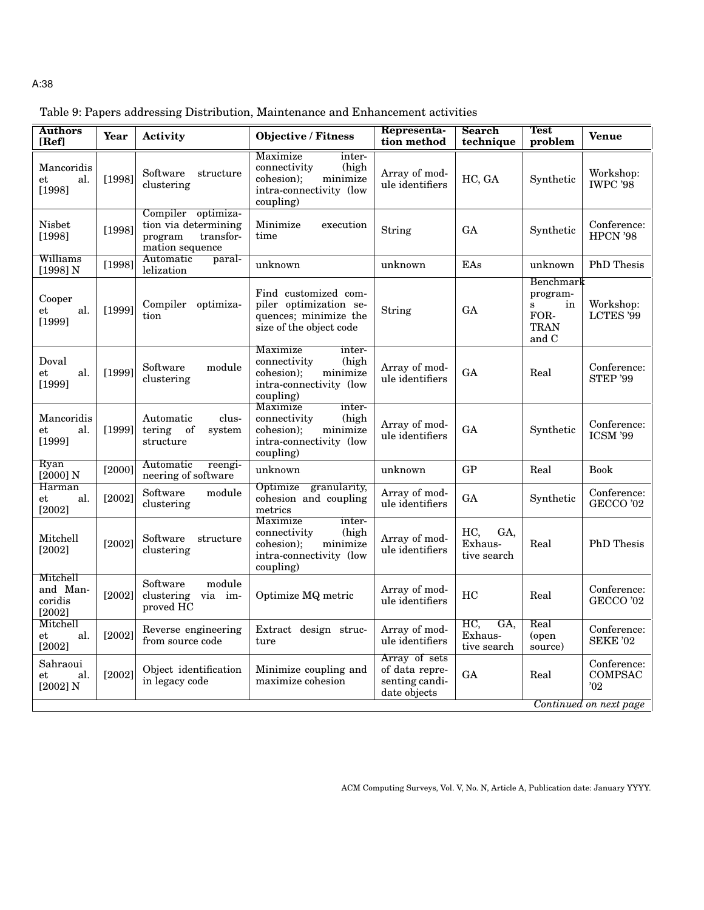| Table 9: Papers addressing Distribution, Maintenance and Enhancement activities |  |  |
|---------------------------------------------------------------------------------|--|--|
|                                                                                 |  |  |

| <b>Authors</b><br>[Ref]                                        | Year     | Activity                                                                              | <b>Objective / Fitness</b>                                                                                    | Representa-<br>tion method                                        | <b>Search</b><br>technique           | <b>Test</b><br>problem                                                      | <b>Venue</b>                          |
|----------------------------------------------------------------|----------|---------------------------------------------------------------------------------------|---------------------------------------------------------------------------------------------------------------|-------------------------------------------------------------------|--------------------------------------|-----------------------------------------------------------------------------|---------------------------------------|
| Mancoridis<br>et<br>al.<br>[1998]                              | [1998]   | Software<br>structure<br>clustering                                                   | Maximize<br>inter-<br>connectivity<br>(high<br>minimize<br>cohesion);<br>intra-connectivity (low<br>coupling) | Array of mod-<br>ule identifiers                                  | HC, GA                               | Synthetic                                                                   | Workshop:<br>IWPC $'98$               |
| Nisbet<br>[1998]                                               | [1998]   | Compiler optimiza-<br>tion via determining<br>transfor-<br>program<br>mation sequence | Minimize<br>execution<br>time                                                                                 | String                                                            | <b>GA</b>                            | Synthetic                                                                   | Conference:<br>HPCN '98               |
| Williams<br>$[1998]$ N                                         | [1998]   | Automatic<br>paral-<br>lelization                                                     | unknown                                                                                                       | unknown                                                           | EAs                                  | unknown                                                                     | <b>PhD</b> Thesis                     |
| Cooper<br>al.<br>et<br>[1999]                                  | [1999]   | Compiler<br>optimiza-<br>tion                                                         | Find customized com-<br>piler optimization se-<br>quences; minimize the<br>size of the object code            | String                                                            | <b>GA</b>                            | Benchmark<br>program-<br>in<br>$\mathbf{s}$<br>FOR-<br><b>TRAN</b><br>and C | Workshop:<br>LCTES '99                |
| Doval<br>al.<br>$_{\rm et}$<br>[1999]                          | [1999]   | module<br>Software<br>clustering                                                      | Maximize<br>inter-<br>connectivity<br>(high<br>cohesion);<br>minimize<br>intra-connectivity (low<br>coupling) | Array of mod-<br>ule identifiers                                  | GA                                   | Real                                                                        | Conference:<br>STEP '99               |
| Mancoridis<br>al.<br>$_{\rm et}$<br>[1999]                     | [1999]   | clus-<br>Automatic<br>tering<br>of<br>system<br>structure                             | Maximize<br>inter-<br>(high<br>connectivity<br>minimize<br>cohesion);<br>intra-connectivity (low<br>coupling) | Array of mod-<br>ule identifiers                                  | GA                                   | Synthetic                                                                   | Conference:<br>ICSM '99               |
| Ryan<br>$[2000]$ N                                             | [2000]   | Automatic<br>reengi-<br>neering of software                                           | unknown                                                                                                       | unknown                                                           | GP                                   | Real                                                                        | <b>Book</b>                           |
| Harman<br>al.<br>et<br>$[2002]$                                | $[2002]$ | Software<br>module<br>clustering                                                      | granularity,<br>Optimize<br>cohesion and coupling<br>metrics                                                  | Array of mod-<br>ule identifiers                                  | GA                                   | Synthetic                                                                   | Conference:<br>GECCO '02              |
| Mitchell<br>[2002]                                             | [2002]   | Software<br>structure<br>clustering                                                   | Maximize<br>inter-<br>(high<br>connectivity<br>cohesion):<br>minimize<br>intra-connectivity (low<br>coupling) | Array of mod-<br>ule identifiers                                  | HC,<br>GA,<br>Exhaus-<br>tive search | Real                                                                        | <b>PhD</b> Thesis                     |
| Mitchell<br>and Man-<br>coridis<br>[2002]                      | [2002]   | Software<br>module<br>clustering<br>via im-<br>proved HC                              | Optimize MQ metric                                                                                            | Array of mod-<br>ule identifiers                                  | HC                                   | Real                                                                        | Conference:<br>GECCO '02              |
| Mitchell<br>al.<br>${\mathop{\mathrm{et}}\nolimits}$<br>[2002] | $[2002]$ | Reverse engineering<br>from source code                                               | Extract design struc-<br>ture                                                                                 | Array of mod-<br>ule identifiers                                  | HC,<br>GA,<br>Exhaus-<br>tive search | Real<br>(open<br>source)                                                    | Conference:<br><b>SEKE '02</b>        |
| Sahraoui<br>al.<br>et<br>$[2002]$ N                            | [2002]   | Object identification<br>in legacy code                                               | Minimize coupling and<br>maximize cohesion                                                                    | Array of sets<br>of data repre-<br>senting candi-<br>date objects | GA                                   | Real                                                                        | Conference:<br><b>COMPSAC</b><br>"02" |
|                                                                |          |                                                                                       |                                                                                                               |                                                                   |                                      |                                                                             | Continued on next page                |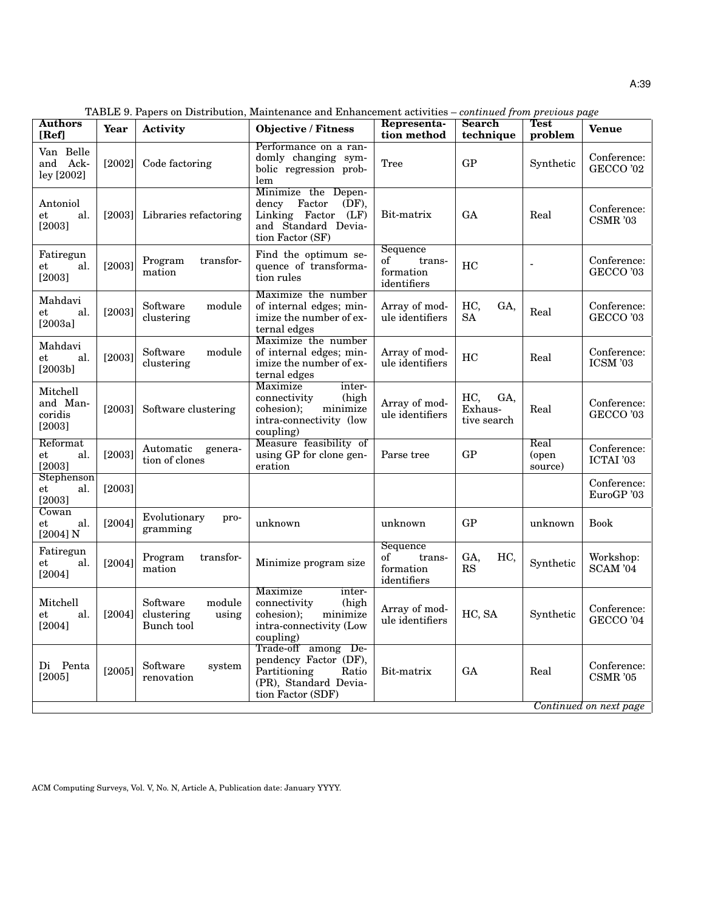| Authors                                    | Year   | Activity                                                | TADLE 9. Fapers on Distribution, Maintenance and Emnancement activities – continued from previous page<br><b>Objective / Fitness</b> | Representa-                                          | <b>Search</b>                        | <b>Test</b>              | <b>Venue</b>              |
|--------------------------------------------|--------|---------------------------------------------------------|--------------------------------------------------------------------------------------------------------------------------------------|------------------------------------------------------|--------------------------------------|--------------------------|---------------------------|
| [Ref]                                      |        |                                                         |                                                                                                                                      | tion method                                          | technique                            | problem                  |                           |
| Van Belle<br>and Ack-<br>ley [2002]        | [2002] | Code factoring                                          | Performance on a ran-<br>domly changing sym-<br>bolic regression prob-<br>lem                                                        | <b>Tree</b>                                          | GP                                   | Synthetic                | Conference:<br>GECCO '02  |
| Antoniol<br>al.<br>et<br>[2003]            |        | [2003] Libraries refactoring                            | Minimize the Depen-<br>dency<br>Factor<br>$(DF)$ ,<br>Linking Factor (LF)<br>and Standard Devia-<br>tion Factor (SF)                 | Bit-matrix                                           | GA                                   | Real                     | Conference:<br>CSMR '03   |
| Fatiregun<br>et<br>al.<br>[2003]           | [2003] | transfor-<br>Program<br>mation                          | Find the optimum se-<br>quence of transforma-<br>tion rules                                                                          | Sequence<br>of<br>trans-<br>formation<br>identifiers | HC                                   | ÷,                       | Conference:<br>GECCO '03  |
| Mahdavi<br>al.<br>et<br>$[2003a]$          | [2003] | Software<br>module<br>clustering                        | Maximize the number<br>of internal edges; min-<br>imize the number of ex-<br>ternal edges                                            | Array of mod-<br>ule identifiers                     | HC,<br>GA,<br>SA                     | Real                     | Conference:<br>GECCO '03  |
| Mahdavi<br>et<br>al.<br>$[2003b]$          | [2003] | Software<br>module<br>clustering                        | Maximize the number<br>of internal edges; min-<br>imize the number of ex-<br>ternal edges                                            | Array of mod-<br>ule identifiers                     | HC                                   | Real                     | Conference:<br>ICSM '03   |
| Mitchell<br>and Man-<br>coridis<br>[2003]  | [2003] | Software clustering                                     | Maximize<br>inter-<br>(high<br>connectivity<br>cohesion);<br>minimize<br>intra-connectivity (low<br>coupling)                        | Array of mod-<br>ule identifiers                     | HC,<br>GA,<br>Exhaus-<br>tive search | Real                     | Conference:<br>GECCO '03  |
| Reformat<br>et<br>al.<br>[2003]            | [2003] | Automatic<br>genera-<br>tion of clones                  | Measure feasibility of<br>using GP for clone gen-<br>eration                                                                         | Parse tree                                           | GP                                   | Real<br>(open<br>source) | Conference:<br>ICTAI '03  |
| Stephenson<br>$_{\rm et}$<br>al.<br>[2003] | [2003] |                                                         |                                                                                                                                      |                                                      |                                      |                          | Conference:<br>EuroGP '03 |
| Cowan<br>al.<br>$_{\rm et}$<br>$[2004]$ N  | [2004] | Evolutionary<br>pro-<br>gramming                        | unknown                                                                                                                              | unknown                                              | GP                                   | unknown                  | <b>Book</b>               |
| Fatiregun<br>et<br>al.<br>[2004]           | [2004] | transfor-<br>Program<br>mation                          | Minimize program size                                                                                                                | Sequence<br>of<br>trans-<br>formation<br>identifiers | GA,<br>HC,<br>RS                     | Synthetic                | Workshop:<br>SCAM '04     |
| Mitchell<br>et<br>al.<br>[2004]            | [2004] | Software<br>module<br>clustering<br>using<br>Bunch tool | Maximize<br>inter-<br>connectivity<br>(high<br>cohesion);<br>minimize<br>intra-connectivity (Low<br>coupling)                        | Array of mod-<br>ule identifiers                     | HC, SA                               | Synthetic                | Conference:<br>GECCO '04  |
| Di Penta<br>[2005]                         | [2005] | Software<br>system<br>renovation                        | Trade-off among De-<br>pendency Factor (DF),<br>Partitioning<br>Ratio<br>(PR), Standard Devia-<br>tion Factor (SDF)                  | Bit-matrix                                           | <b>GA</b>                            | Real                     | Conference:<br>CSMR '05   |
|                                            |        |                                                         |                                                                                                                                      |                                                      |                                      |                          | Continued on next page    |

TABLE 9. Papers on Distribution, Maintenance and Enhancement activities – *continued from previous page*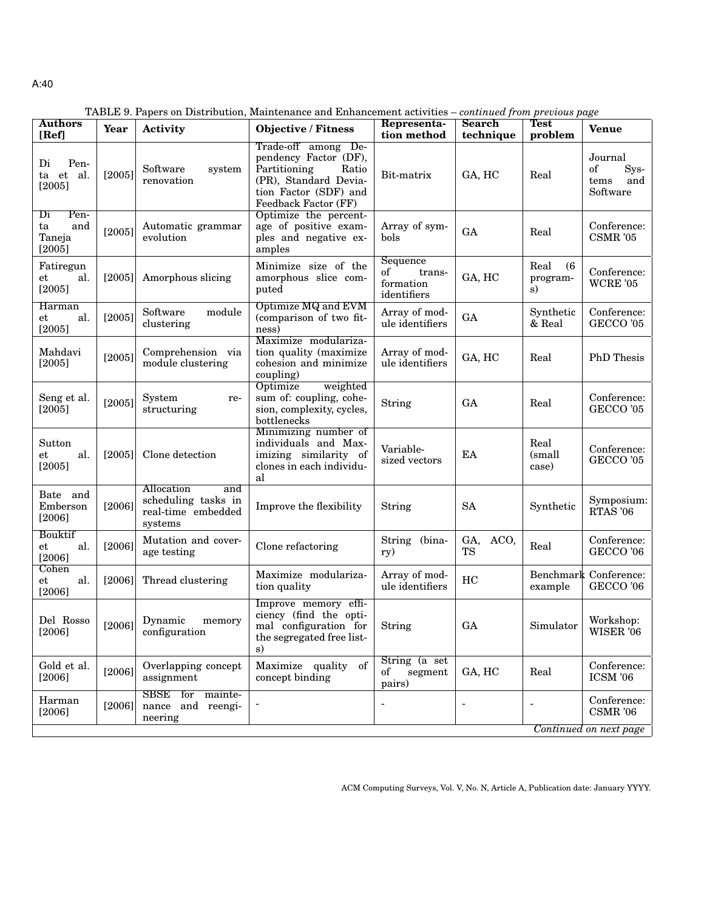A:40

| <b>Authors</b><br>[Ref]                                     | Year                   | Activity                                                                  | <b>Objective / Fitness</b>                                                                                                                      | Representa-<br>tion method                           | <b>Search</b><br>technique | <b>Test</b><br>problem       | <b>Venue</b>                                     |  |  |
|-------------------------------------------------------------|------------------------|---------------------------------------------------------------------------|-------------------------------------------------------------------------------------------------------------------------------------------------|------------------------------------------------------|----------------------------|------------------------------|--------------------------------------------------|--|--|
| Pen-<br>Di<br>ta et al.<br>[2005]                           | [2005]                 | Software<br>system<br>renovation                                          | Trade-off among De-<br>pendency Factor (DF),<br>Partitioning<br>Ratio<br>(PR), Standard Devia-<br>tion Factor (SDF) and<br>Feedback Factor (FF) | Bit-matrix                                           | GA, HC                     | Real                         | Journal<br>of<br>Sys-<br>tems<br>and<br>Software |  |  |
| Di<br>Pen-<br>and<br>ta<br>Taneja<br>[2005]                 | [2005]                 | Automatic grammar<br>evolution                                            | Optimize the percent-<br>age of positive exam-<br>ples and negative ex-<br>amples                                                               | Array of sym-<br>bols                                | GA                         | Real                         | Conference:<br>CSMR '05                          |  |  |
| Fatiregun<br>$_{\rm et}$<br>al.<br>[2005]                   | [2005]                 | Amorphous slicing                                                         | Minimize size of the<br>amorphous slice com-<br>puted                                                                                           | Sequence<br>of<br>trans-<br>formation<br>identifiers | GA, HC                     | Real<br>(6<br>program-<br>s) | Conference:<br>WCRE '05                          |  |  |
| Harman<br>al.<br>$_{\rm et}$<br>[2005]                      | [2005]                 | Software<br>module<br>clustering                                          | Optimize MQ and EVM<br>(comparison of two fit-<br>ness)                                                                                         | Array of mod-<br>ule identifiers                     | GA                         | Synthetic<br>& Real          | Conference:<br>GECCO '05                         |  |  |
| Mahdavi<br>[2005]                                           | [2005]                 | Comprehension via<br>module clustering                                    | Maximize modulariza-<br>tion quality (maximize<br>cohesion and minimize<br>coupling)                                                            | Array of mod-<br>ule identifiers                     | GA, HC                     | Real                         | <b>PhD</b> Thesis                                |  |  |
| Seng et al.<br>[2005]                                       | [2005]                 | System<br>re-<br>structuring                                              | weighted<br>Optimize<br>sum of: coupling, cohe-<br>sion, complexity, cycles,<br>bottlenecks                                                     | String                                               | GA                         | Real                         | Conference:<br>GECCO '05                         |  |  |
| Sutton<br>al.<br>et<br>[2005]                               | $[2005]$               | Clone detection                                                           | Minimizing number of<br>individuals and Max-<br>imizing similarity of<br>clones in each individu-<br>al                                         | Variable-<br>sized vectors                           | EA                         | Real<br>(small)<br>case)     | Conference:<br>GECCO '05                         |  |  |
| Bate and<br>Emberson<br>[2006]                              | [2006]                 | Allocation<br>and<br>scheduling tasks in<br>real-time embedded<br>systems | Improve the flexibility                                                                                                                         | String                                               | <b>SA</b>                  | Synthetic                    | Symposium:<br>RTAS '06                           |  |  |
| <b>Bouktif</b><br>et<br>al.<br>[2006]                       | [2006]                 | Mutation and cover-<br>age testing                                        | Clone refactoring                                                                                                                               | String (bina-<br>ry)                                 | GA, ACO,<br>TS             | Real                         | Conference:<br>GECCO '06                         |  |  |
| Cohen<br>al.<br>${\mathop{\mathrm{et}}\nolimits}$<br>[2006] | [2006]                 | Thread clustering                                                         | Maximize modulariza-<br>tion quality                                                                                                            | Array of mod-<br>ule identifiers                     | HC                         | example                      | Benchmark Conference:<br>GECCO '06               |  |  |
| Del Rosso<br>[2006]                                         | [2006]                 | Dynamic<br>memory<br>configuration                                        | Improve memory effi-<br>ciency (find the opti-<br>mal configuration for<br>the segregated free list-<br>s)                                      | String                                               | GA                         | Simulator                    | Workshop:<br>WISER '06                           |  |  |
| Gold et al.<br>[2006]                                       | [2006]                 | Overlapping concept<br>assignment                                         | Maximize quality of<br>concept binding                                                                                                          | String (a set<br>of<br>segment<br>pairs)             | GA, HC                     | Real                         | Conference:<br>ICSM '06                          |  |  |
| Harman<br>[2006]                                            | [2006]                 | SBSE for mainte-<br>nance and reengi-<br>neering                          |                                                                                                                                                 | $\qquad \qquad \blacksquare$                         | $\overline{\phantom{a}}$   | $\qquad \qquad \blacksquare$ | Conference:<br>CSMR '06                          |  |  |
|                                                             | Continued on next page |                                                                           |                                                                                                                                                 |                                                      |                            |                              |                                                  |  |  |

TABLE 9. Papers on Distribution, Maintenance and Enhancement activities – *continued from previous page*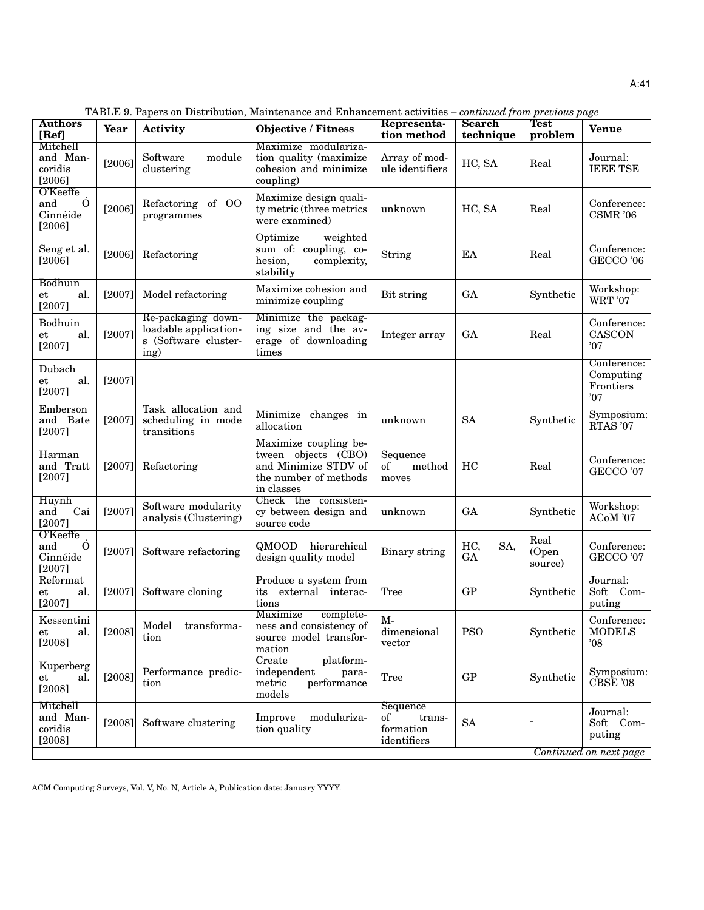| <b>Authors</b><br>[Ref]                                         | Year     | Activity                                                                    | <b>Objective / Fitness</b>                                                                                  | Representa-<br>tion method                           | sonning on p. sensus pug<br><b>Search</b><br>technique | <b>Test</b><br>problem   | <b>Venue</b>                                  |
|-----------------------------------------------------------------|----------|-----------------------------------------------------------------------------|-------------------------------------------------------------------------------------------------------------|------------------------------------------------------|--------------------------------------------------------|--------------------------|-----------------------------------------------|
| Mitchell<br>and Man-<br>coridis<br>[2006]                       | [2006]   | module<br>Software<br>clustering                                            | Maximize modulariza-<br>tion quality (maximize<br>cohesion and minimize<br>coupling)                        | Array of mod-<br>ule identifiers                     | HC, SA                                                 | Real                     | Journal:<br><b>IEEE TSE</b>                   |
| O'Keeffe<br>Ó<br>and<br>Cinnéide<br>[2006]                      | [2006]   | Refactoring of OO<br>programmes                                             | Maximize design quali-<br>ty metric (three metrics<br>were examined)                                        | unknown                                              | HC, SA                                                 | Real                     | Conference:<br>CSMR '06                       |
| Seng et al.<br>[2006]                                           | [2006]   | Refactoring                                                                 | weighted<br>Optimize<br>sum of: coupling, co-<br>hesion,<br>complexity,<br>stability                        | String                                               | EA                                                     | Real                     | Conference:<br>GECCO '06                      |
| Bodhuin<br>al.<br>et<br>[2007]                                  | $[2007]$ | Model refactoring                                                           | Maximize cohesion and<br>minimize coupling                                                                  | Bit string                                           | GA                                                     | Synthetic                | Workshop:<br><b>WRT '07</b>                   |
| Bodhuin<br>al.<br>$_{\rm et}$<br>[2007]                         | [2007]   | Re-packaging down-<br>loadable application-<br>s (Software cluster-<br>ing) | Minimize the packag-<br>ing size and the av-<br>erage of downloading<br>times                               | Integer array                                        | GA                                                     | Real                     | Conference:<br><b>CASCON</b><br>'07           |
| Dubach<br>al.<br>et<br>[2007]                                   | $[2007]$ |                                                                             |                                                                                                             |                                                      |                                                        |                          | Conference:<br>Computing<br>Frontiers<br>'07  |
| Emberson<br>and Bate<br>[2007]                                  | [2007]   | Task allocation and<br>scheduling in mode<br>transitions                    | Minimize changes in<br>allocation                                                                           | unknown                                              | <b>SA</b>                                              | Synthetic                | Symposium:<br>RTAS '07                        |
| Harman<br>and Tratt<br>[2007]                                   | $[2007]$ | Refactoring                                                                 | Maximize coupling be-<br>tween objects (CBO)<br>and Minimize STDV of<br>the number of methods<br>in classes | Sequence<br>of<br>method<br>moves                    | HC                                                     | Real                     | Conference:<br>GECCO '07                      |
| Huynh<br>Cai<br>and<br>[2007]                                   | [2007]   | Software modularity<br>analysis (Clustering)                                | Check the consisten-<br>cy between design and<br>source code                                                | unknown                                              | GA                                                     | Synthetic                | Workshop:<br>ACoM'07                          |
| O'Keeffe<br>and<br>Ó<br>Cinnéide<br>$[2007]$                    | [2007]   | Software refactoring                                                        | QMOOD hierarchical<br>design quality model                                                                  | Binary string                                        | SA,<br>HC,<br><b>GA</b>                                | Real<br>(Open<br>source) | Conference:<br>GECCO '07                      |
| Reformat<br>al.<br>et<br>[2007]                                 | $[2007]$ | Software cloning                                                            | Produce a system from<br>its external interac-<br>tions                                                     | Tree                                                 | GP                                                     | Synthetic                | Journal:<br>Soft Com-<br>puting               |
| Kessentini<br>et al.<br>$[2008]$                                |          | [2008] Model transforma-<br>tion                                            | Maximize<br>complete-<br>ness and consistency of<br>source model transfor-<br>mation                        | $M-$<br>$\,$ dimensional $\,$<br>vector              | <b>PSO</b>                                             | Synthetic                | Conference:<br><b>MODELS</b><br>$^{\prime}08$ |
| Kuperberg<br>al.<br>${\mathop{\mathrm{et}}\nolimits}$<br>[2008] | [2008]   | Performance predic-<br>tion                                                 | Create<br>platform-<br>independent<br>para-<br>metric<br>performance<br>models                              | <b>Tree</b>                                          | GP                                                     | Synthetic                | Symposium:<br>CBSE '08                        |
| Mitchell<br>and Man-<br>coridis<br>[2008]                       | [2008]   | Software clustering                                                         | Improve<br>modulariza-<br>tion quality                                                                      | Sequence<br>of<br>trans-<br>formation<br>identifiers | $\operatorname{SA}$                                    |                          | Journal:<br>Soft Com-<br>puting               |
|                                                                 |          |                                                                             |                                                                                                             |                                                      |                                                        |                          | Continued on next page                        |

TABLE 9. Papers on Distribution, Maintenance and Enhancement activities – *continued from previous page*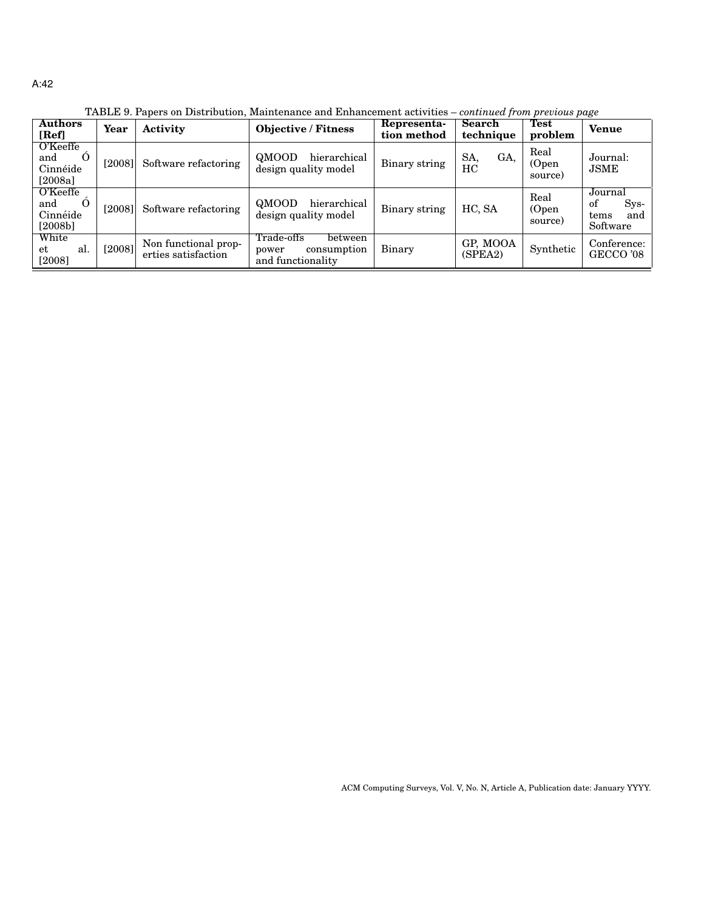A:42

| <b>Authors</b><br>[Ref]                            | Year   | Activity                                    | <b>Objective / Fitness</b>                                         | Representa-<br>tion method | <b>Search</b><br>technique | <b>Test</b><br>problem    | <b>Venue</b>                                       |
|----------------------------------------------------|--------|---------------------------------------------|--------------------------------------------------------------------|----------------------------|----------------------------|---------------------------|----------------------------------------------------|
| O'Keeffe<br>$\Omega$<br>and<br>Cinnéide<br>[2008a] | [2008] | Software refactoring                        | <b>QMOOD</b><br>hierarchical<br>design quality model               | Binary string              | SA,<br>GA,<br>HC           | Real<br>(Open)<br>source) | Journal:<br><b>JSME</b>                            |
| O'Keeffe<br>$\Omega$<br>and<br>Cinnéide<br>[2008b] | [2008] | Software refactoring                        | QMOOD<br>hierarchical<br>design quality model                      | Binary string              | HC, SA                     | Real<br>(Open<br>source)  | Journal<br>of<br>$Sys-$<br>tems<br>and<br>Software |
| White<br>al.<br>et<br>[2008]                       | [2008] | Non functional prop-<br>erties satisfaction | Trade-offs<br>between<br>consumption<br>power<br>and functionality | Binary                     | GP, MOOA<br>(SPEA2)        | Synthetic                 | Conference:<br>GECCO '08                           |

TABLE 9. Papers on Distribution, Maintenance and Enhancement activities – *continued from previous page*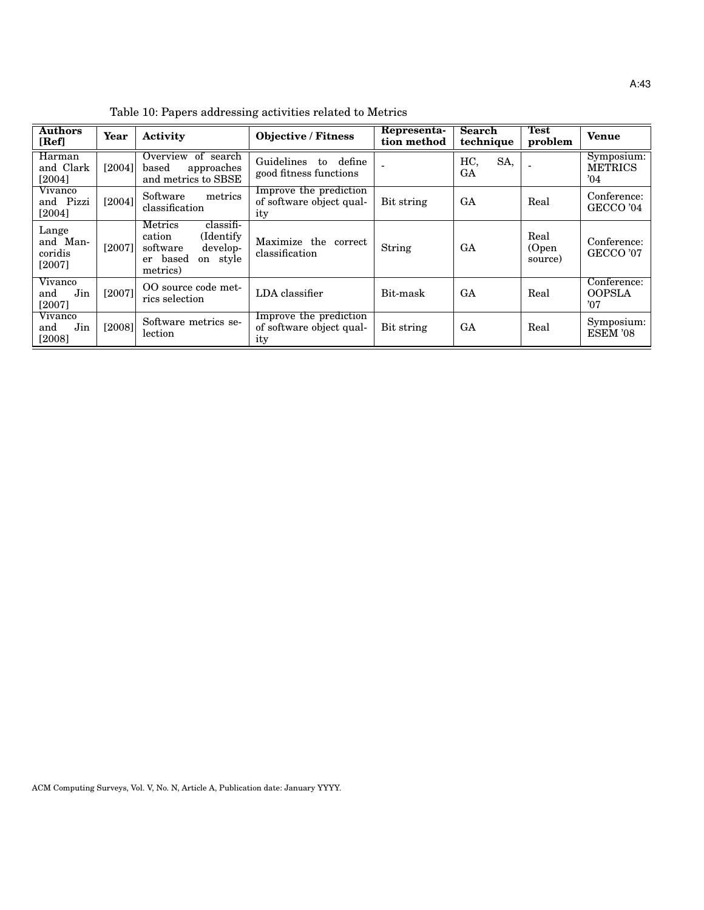| <b>Authors</b><br>[Ref]                | Year   | Representa-<br>Activity<br><b>Objective / Fitness</b><br>tion method                                        |                                                           | <b>Search</b><br>technique | Test<br>problem  | <b>Venue</b>             |                                               |
|----------------------------------------|--------|-------------------------------------------------------------------------------------------------------------|-----------------------------------------------------------|----------------------------|------------------|--------------------------|-----------------------------------------------|
| Harman<br>and Clark<br>[2004]          | [2004] | Overview of search<br>based<br>approaches<br>and metrics to SBSE                                            | Guidelines<br>to define<br>good fitness functions         |                            | HC,<br>SA,<br>GA |                          | Symposium:<br><b>METRICS</b><br>04'           |
| Vivanco<br>and Pizzi<br>[2004]         | [2004] | metrics<br>Software<br>classification                                                                       | Improve the prediction<br>of software object qual-<br>ity | Bit string                 | <b>GA</b>        | Real                     | Conference:<br>GECCO '04                      |
| Lange<br>and Man-<br>coridis<br>[2007] | [2007] | classifi-<br>Metrics<br>(Identify)<br>cation<br>software<br>develop-<br>based<br>on style<br>er<br>metrics) | Maximize the correct<br>classification                    | String                     | <b>GA</b>        | Real<br>(Open<br>source) | Conference:<br>GECCO '07                      |
| Vivanco<br>Jin<br>and<br>[2007]        | [2007] | OO source code met-<br>rics selection                                                                       | LDA classifier                                            | Bit-mask                   | <b>GA</b>        | Real                     | Conference:<br><b>OOPSLA</b><br>$^{\prime}07$ |
| Vivanco<br>Jin<br>and<br>[2008]        | [2008] | Software metrics se-<br>lection                                                                             | Improve the prediction<br>of software object qual-<br>ity | Bit string                 | <b>GA</b>        | Real                     | Symposium:<br>ESEM '08                        |

Table 10: Papers addressing activities related to Metrics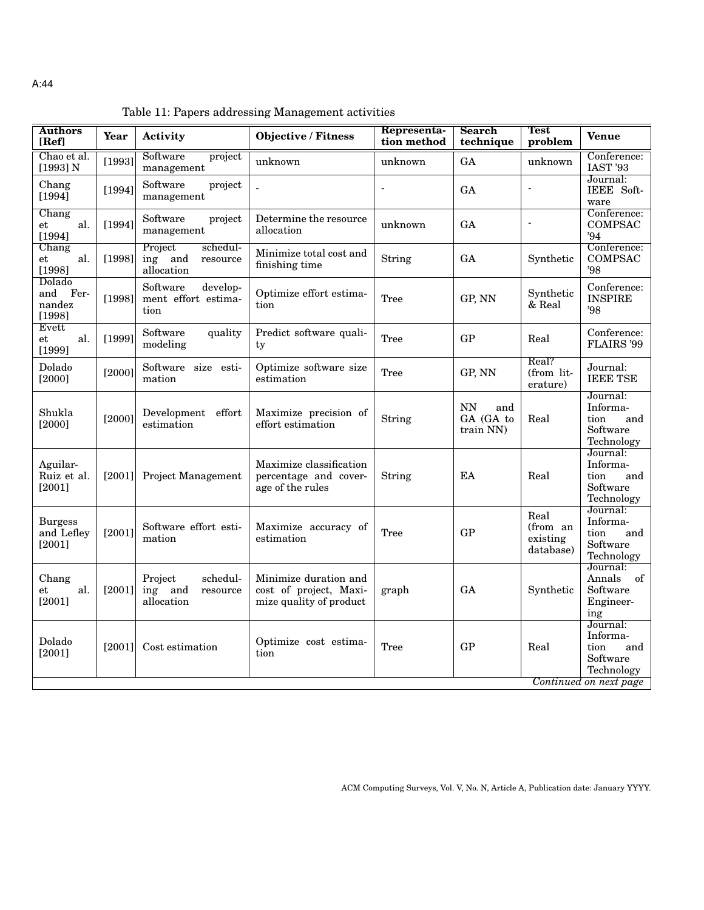| <b>Authors</b><br>[Ref]                   | Year     | Activity                                                 | <b>Objective / Fitness</b>                                                 | Representa-<br>tion method | <b>Search</b><br>technique          | <b>Test</b><br>problem                    | Venue                                                         |
|-------------------------------------------|----------|----------------------------------------------------------|----------------------------------------------------------------------------|----------------------------|-------------------------------------|-------------------------------------------|---------------------------------------------------------------|
| Chao et al.<br>$[1993]$ N                 | [1993]   | Software<br>project<br>management                        | unknown                                                                    | unknown                    | GA                                  | unknown                                   | Conference:<br>IAST '93                                       |
| Chang<br>[1994]                           | [1994]   | Software<br>project<br>management                        |                                                                            | ÷,                         | GA                                  | $\overline{\phantom{a}}$                  | Journal:<br>IEEE Soft-<br>ware                                |
| Chang<br>al.<br>$_{\rm et}$<br>[1994]     | [1994]   | Software<br>project<br>management                        | Determine the resource<br>allocation                                       | unknown                    | GA                                  | ÷,                                        | Conference:<br>COMPSAC<br>94                                  |
| Chang<br>al.<br>$_{\rm et}$<br>[1998]     | [1998]   | Project<br>schedul-<br>ing and<br>resource<br>allocation | Minimize total cost and<br>finishing time                                  | String                     | GA                                  | Synthetic                                 | Conference:<br><b>COMPSAC</b><br>'98                          |
| Dolado<br>and<br>Fer-<br>nandez<br>[1998] | [1998]   | Software<br>develop-<br>ment effort estima-<br>tion      | Optimize effort estima-<br>tion                                            | Tree                       | GP, NN                              | Synthetic<br>& Real                       | Conference:<br><b>INSPIRE</b><br>'98                          |
| Evett<br>al.<br>$_{\rm et}$<br>[1999]     | [1999]   | Software<br>quality<br>modeling                          | Predict software quali-<br>ty                                              | Tree                       | <b>GP</b>                           | Real                                      | Conference:<br>FLAIRS '99                                     |
| Dolado<br>[2000]                          | [2000]   | Software size esti-<br>mation                            | Optimize software size<br>estimation                                       | Tree                       | GP, NN                              | Real?<br>(from lit-<br>erature)           | Journal:<br><b>IEEE TSE</b>                                   |
| Shukla<br>[2000]                          | $[2000]$ | Development<br>effort<br>estimation                      | Maximize precision of<br>effort estimation                                 | String                     | NN<br>and<br>GA (GA to<br>train NN) | Real                                      | Journal:<br>Informa-<br>tion<br>and<br>Software<br>Technology |
| Aguilar-<br>Ruiz et al.<br>[2001]         | $[2001]$ | <b>Project Management</b>                                | Maximize classification<br>percentage and cover-<br>age of the rules       | String                     | EA                                  | Real                                      | Journal:<br>Informa-<br>tion<br>and<br>Software<br>Technology |
| <b>Burgess</b><br>and Lefley<br>[2001]    | $[2001]$ | Software effort esti-<br>mation                          | Maximize accuracy of<br>estimation                                         | Tree                       | GP                                  | Real<br>(from an<br>existing<br>database) | Journal:<br>Informa-<br>tion<br>and<br>Software<br>Technology |
| Chang<br>al.<br>$_{\rm et}$<br>[2001]     | [2001]   | schedul-<br>Project<br>ing and<br>resource<br>allocation | Minimize duration and<br>cost of project, Maxi-<br>mize quality of product | graph                      | GA                                  | Synthetic                                 | Journal:<br>Annals<br>of<br>Software<br>Engineer-<br>ing      |
| Dolado<br>[2001]                          | [2001]   | Cost estimation                                          | Optimize cost estima-<br>tion                                              | Tree                       | <b>GP</b>                           | Real                                      | Journal:<br>Informa-<br>tion<br>and<br>Software<br>Technology |
|                                           |          |                                                          |                                                                            |                            |                                     |                                           | Continued on next page                                        |

Table 11: Papers addressing Management activities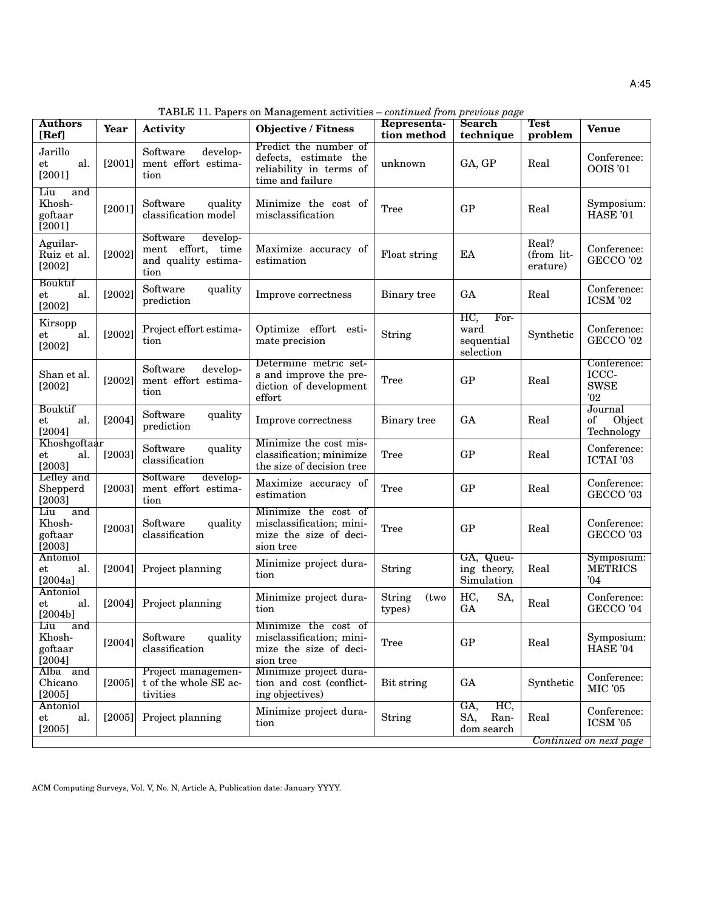|  | TABLE 11. Papers on Management activities – continued from previous page |  |  |  |
|--|--------------------------------------------------------------------------|--|--|--|
|  |                                                                          |  |  |  |
|  |                                                                          |  |  |  |
|  |                                                                          |  |  |  |

| <b>Authors</b>                            | Year     | Activity                                                                 | TABLE 11. Papers on Management activities – <i>continued from previous page</i><br><b>Objective / Fitness</b> | Representa-              | Search                                         | <b>Test</b>                     | <b>Venue</b>                               |
|-------------------------------------------|----------|--------------------------------------------------------------------------|---------------------------------------------------------------------------------------------------------------|--------------------------|------------------------------------------------|---------------------------------|--------------------------------------------|
| [Ref]                                     |          |                                                                          | Predict the number of                                                                                         | tion method              | technique                                      | problem                         |                                            |
| Jarillo<br>al.<br>et<br>[2001]            | [2001]   | Software<br>develop-<br>ment effort estima-<br>tion                      | defects, estimate the<br>reliability in terms of<br>time and failure                                          | unknown                  | GA, GP                                         | Real                            | Conference:<br><b>OOIS</b> '01             |
| Liu<br>and<br>Khosh-<br>goftaar<br>[2001] | [2001]   | Software<br>quality<br>classification model                              | Minimize the cost of<br>GP<br>Tree<br>misclassification                                                       |                          | Real                                           | Symposium:<br>HASE '01          |                                            |
| Aguilar-<br>Ruiz et al.<br>[2002]         | [2002]   | Software<br>develop-<br>ment effort, time<br>and quality estima-<br>tion | Maximize accuracy of<br>estimation                                                                            | Float string             | EA                                             | Real?<br>(from lit-<br>erature) | Conference:<br>GECCO '02                   |
| <b>Bouktif</b><br>et<br>al.<br>[2002]     | [2002]   | Software<br>quality<br>prediction                                        | Improve correctness                                                                                           | Binary tree              | GA                                             | Real                            | Conference:<br>ICSM '02                    |
| Kirsopp<br>et<br>al.<br>[2002]            | [2002]   | Project effort estima-<br>tion                                           | Optimize effort esti-<br>mate precision                                                                       | String                   | HC,<br>For-<br>ward<br>sequential<br>selection | Synthetic                       | Conference:<br>GECCO '02                   |
| Shan et al.<br>$[2002]$                   | [2002]   | Software<br>develop-<br>ment effort estima-<br>tion                      | Determine metric set-<br>s and improve the pre-<br>diction of development<br>effort                           | Tree                     | GP                                             | Real                            | Conference:<br>ICCC-<br><b>SWSE</b><br>'02 |
| Bouktif<br>et<br>al.<br>[2004]            | [2004]   | Software<br>quality<br>prediction                                        | Improve correctness                                                                                           | Binary tree              | <b>GA</b>                                      | Real                            | Journal<br>of<br>Object<br>Technology      |
| Khoshgoftaar<br>et<br>al.<br>[2003]       | [2003]   | Software<br>quality<br>classification                                    | Minimize the cost mis-<br>classification; minimize<br>the size of decision tree                               | <b>Tree</b>              | GP                                             | Real                            | Conference:<br>ICTAI '03                   |
| Lefley and<br>Shepperd<br>[2003]          | [2003]   | Software<br>develop-<br>ment effort estima-<br>tion                      | Maximize accuracy of<br>estimation                                                                            | <b>Tree</b>              | GP                                             | Real                            | Conference:<br>GECCO '03                   |
| Liu<br>and<br>Khosh-<br>goftaar<br>[2003] | [2003]   | Software<br>quality<br>classification                                    | Minimize the cost of<br>misclassification; mini-<br>mize the size of deci-<br>sion tree                       | Tree                     | GP                                             | Real                            | Conference:<br>GECCO '03                   |
| Antoniol<br>al.<br>et<br>$[2004a]$        | [2004]   | Project planning                                                         | Minimize project dura-<br>tion                                                                                | String                   | GA, Queu-<br>ing theory,<br>Simulation         | Real                            | Symposium:<br><b>METRICS</b><br>04'        |
| Antoniol<br>et<br>al.<br>$[2004b]$        | [2004]   | Project planning                                                         | Minimize project dura-<br>tion                                                                                | String<br>(two<br>types) | HC,<br>SA,<br>GA                               | Real                            | Conference:<br>GECCO '04                   |
| and<br>Liu<br>Khosh-<br>goftaar<br>[2004] | [2004]   | Software<br>quality<br>classification                                    | Minimize the cost of<br>misclassification; mini-<br>mize the size of deci-<br>sion tree                       | Tree                     | GP                                             | Real                            | Symposium:<br>HASE '04                     |
| Alba and<br>Chicano<br>[2005]             | [2005]   | Project managemen-<br>t of the whole SE ac-<br>tivities                  | Minimize project dura-<br>tion and cost (conflict-<br>ing objectives)                                         | Bit string               | GA                                             | Synthetic                       | Conference:<br><b>MIC '05</b>              |
| Antoniol<br>al.<br>$_{\rm et}$<br>[2005]  | $[2005]$ | Project planning                                                         | Minimize project dura-<br>tion                                                                                | String                   | HC,<br>GA,<br>SA,<br>Ran-<br>dom search        | Real                            | Conference:<br>ICSM '05                    |
|                                           |          |                                                                          |                                                                                                               |                          |                                                |                                 | Continued on next page                     |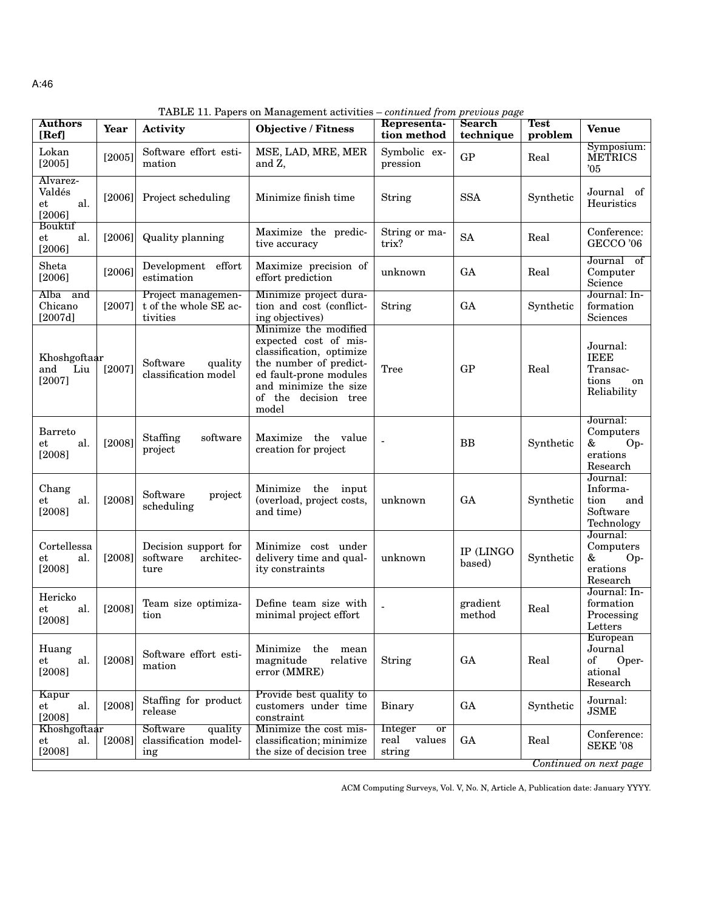A:46

| TABLE 11. Papers on Management activities – <i>continued from previous page</i> |  |  |  |
|---------------------------------------------------------------------------------|--|--|--|
|                                                                                 |  |  |  |

| <b>Authors</b><br>[Ref]                                              | Year     | Activity                                                | TADLE 11. Fapers on management activities – <i>continued from previous page</i><br><b>Objective / Fitness</b>                                                                            | Representa-<br>tion method                | <b>Search</b><br>technique | <b>Test</b><br>problem | <b>Venue</b>                                                      |
|----------------------------------------------------------------------|----------|---------------------------------------------------------|------------------------------------------------------------------------------------------------------------------------------------------------------------------------------------------|-------------------------------------------|----------------------------|------------------------|-------------------------------------------------------------------|
| Lokan<br>[2005]                                                      | [2005]   | Software effort esti-<br>mation                         | MSE, LAD, MRE, MER<br>and Z,                                                                                                                                                             | Symbolic ex-<br>pression                  | GP                         | Real                   | Symposium:<br><b>METRICS</b><br>05                                |
| Alvarez-<br>Valdés<br>al.<br>et<br>[2006]                            | $[2006]$ | Project scheduling                                      | Minimize finish time                                                                                                                                                                     | String                                    | <b>SSA</b>                 | Synthetic              | Journal of<br>Heuristics                                          |
| <b>Bouktif</b><br>al.<br>${\mathop{\mathrm{et}}\nolimits}$<br>[2006] | [2006]   | Quality planning                                        | Maximize the predic-<br>tive accuracy                                                                                                                                                    | String or ma-<br>trix?                    | <b>SA</b>                  | Real                   | Conference:<br>GECCO '06                                          |
| Sheta<br>[2006]                                                      | [2006]   | Development effort<br>estimation                        | Maximize precision of<br>effort prediction                                                                                                                                               | unknown                                   | GA                         | Real                   | Journal of<br>Computer<br>Science                                 |
| Alba and<br>Chicano<br>$[2007d]$                                     | $[2007]$ | Project managemen-<br>t of the whole SE ac-<br>tivities | Minimize project dura-<br>tion and cost (conflict-<br>ing objectives)                                                                                                                    | String                                    | GA                         | Synthetic              | Journal: In-<br>formation<br>Sciences                             |
| Khoshgoftaar<br>Liu<br>and<br>$[2007]$                               | [2007]   | Software<br>quality<br>classification model             | Minimize the modified<br>expected cost of mis-<br>classification, optimize<br>the number of predict-<br>ed fault-prone modules<br>and minimize the size<br>of the decision tree<br>model | Tree                                      | GP                         | Real                   | Journal:<br><b>IEEE</b><br>Transac-<br>tions<br>on<br>Reliability |
| <b>Barreto</b><br>al.<br>et<br>[2008]                                | [2008]   | software<br>Staffing<br>project                         | Maximize the value<br>creation for project                                                                                                                                               | $\blacksquare$                            | BB                         | Synthetic              | Journal:<br>Computers<br>&<br>Op-<br>erations<br>Research         |
| Chang<br>al.<br>et<br>[2008]                                         | [2008]   | Software<br>project<br>scheduling                       | Minimize the input<br>(overload, project costs,<br>and time)                                                                                                                             | unknown                                   | GA                         | Synthetic              | Journal:<br>Informa-<br>tion<br>and<br>Software<br>Technology     |
| Cortellessa<br>${\mathop{\mathrm{et}}\nolimits}$<br>al.<br>[2008]    | [2008]   | Decision support for<br>software<br>architec-<br>ture   | Minimize cost under<br>delivery time and qual-<br>ity constraints                                                                                                                        | unknown                                   | IP (LINGO<br>based)        | Synthetic              | Journal:<br>Computers<br>&<br>$Op-$<br>erations<br>Research       |
| Hericko<br>al.<br>${\mathop{\mathrm{et}}\nolimits}$<br>[2008]        | [2008]   | Team size optimiza-<br>tion                             | Define team size with<br>minimal project effort                                                                                                                                          | $\mathbf{r}$                              | gradient<br>method         | Real                   | Journal: In-<br>formation<br>Processing<br>Letters                |
| Huang<br>al.<br>et<br>[2008]                                         | [2008]   | Software effort esti-<br>mation                         | the mean<br>Minimize<br>magnitude<br>relative<br>error (MMRE)                                                                                                                            | String                                    | GA                         | Real                   | European<br>Journal<br>of<br>Oper-<br>ational<br>Research         |
| Kapur<br>al.<br>et<br>[2008]                                         | [2008]   | Staffing for product<br>release                         | Provide best quality to<br>customers under time<br>constraint                                                                                                                            | Binary                                    | GA                         | Synthetic              | Journal:<br><b>JSME</b>                                           |
| Khoshgoftaar<br>al.<br>${\mathop{\mathrm{et}}\nolimits}$<br>[2008]   | [2008]   | Software<br>quality<br>classification model-<br>ing     | Minimize the cost mis-<br>classification; minimize<br>the size of decision tree                                                                                                          | Integer<br>or<br>values<br>real<br>string | GA                         | Real                   | Conference:<br>SEKE '08<br>Continued on next page                 |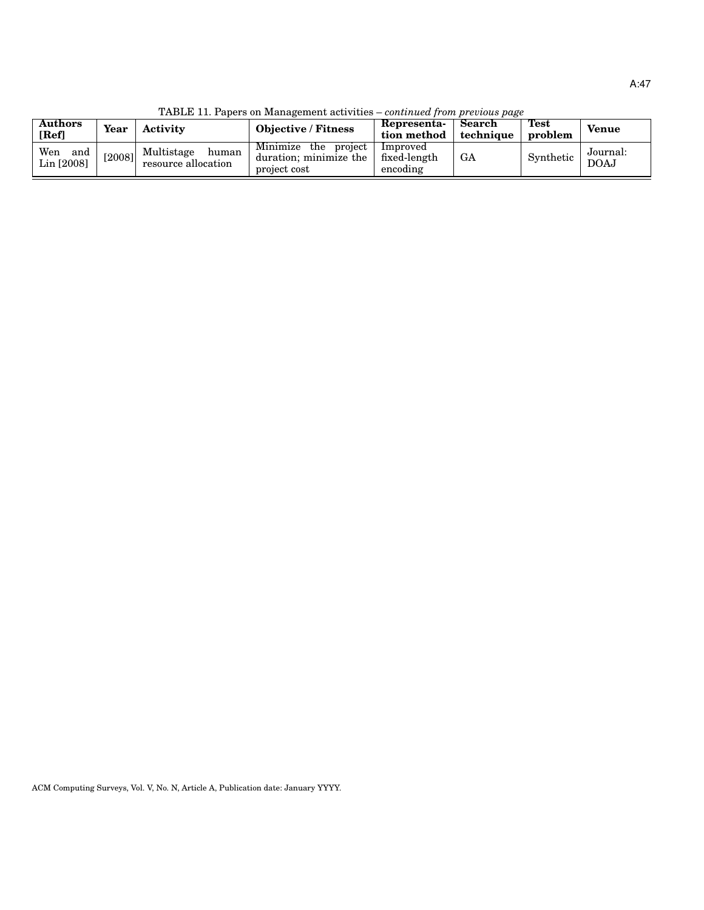TABLE 11. Papers on Management activities – *continued from previous page*

| <b>Authors</b><br>[Ref]  | Year   | Activity                                   | <b>Objective / Fitness</b>                                           | Representa-<br>tion method           | Search<br>technique | <b>Test</b><br>problem | <b>Venue</b>     |
|--------------------------|--------|--------------------------------------------|----------------------------------------------------------------------|--------------------------------------|---------------------|------------------------|------------------|
| Wen<br>and<br>Lin [2008] | [2008] | Multistage<br>human<br>resource allocation | Minimize<br>the<br>project<br>duration; minimize the<br>project cost | Improved<br>fixed-length<br>encoding | GA                  | Synthetic              | Journal:<br>DOAJ |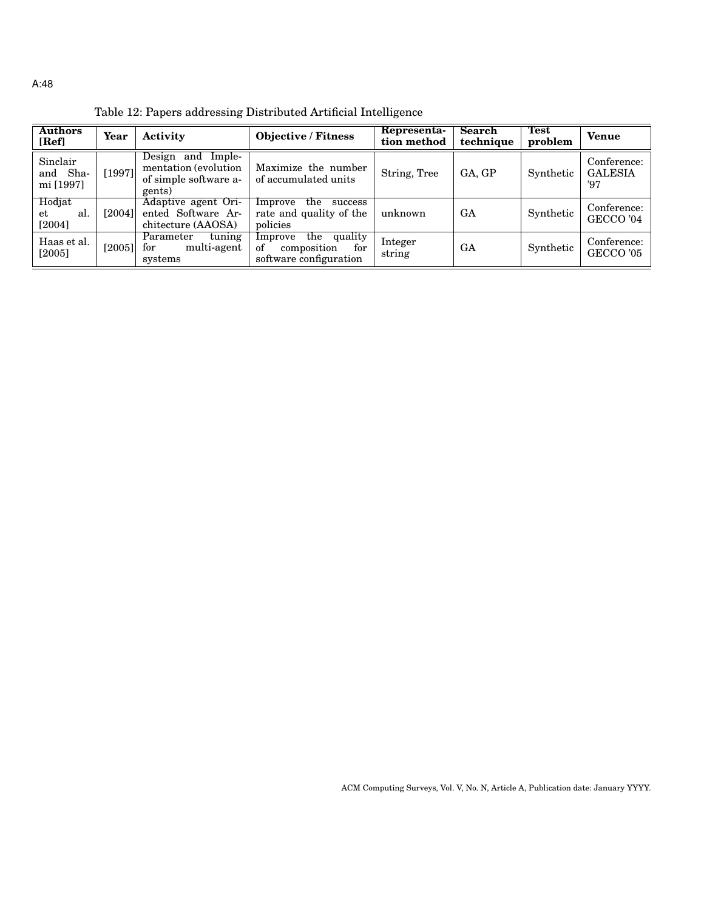| <b>Authors</b><br>[Ref]              | Year   | Activity                                                                           | Representa-<br><b>Objective / Fitness</b><br>tion method                        |                   | <b>Search</b><br>technique | Test<br>problem | <b>Venue</b>                         |
|--------------------------------------|--------|------------------------------------------------------------------------------------|---------------------------------------------------------------------------------|-------------------|----------------------------|-----------------|--------------------------------------|
| Sinclair<br>Sha-<br>and<br>mi [1997] | [1997] | Design<br>Imple-<br>and<br>mentation (evolution<br>of simple software a-<br>gents) | Maximize the number<br>of accumulated units                                     | String, Tree      | GA, GP                     | Synthetic       | Conference:<br><b>GALESIA</b><br>'97 |
| Hodjat<br>al.<br>et<br>[2004]        | [2004] | Adaptive agent Ori-<br>ented Software Ar-<br>chitecture (AAOSA)                    | the<br>Improve<br>success<br>rate and quality of the<br>policies                | unknown           | <b>GA</b>                  | Synthetic       | Conference:<br>GECCO '04             |
| Haas et al.<br>$[2005]$              | [2005] | Parameter<br>tuning<br>multi-agent<br>for<br>systems                               | quality<br>the<br>Improve<br>of<br>composition<br>for<br>software configuration | Integer<br>string | <b>GA</b>                  | Synthetic       | Conference:<br>GECCO '05             |

Table 12: Papers addressing Distributed Artificial Intelligence

A:48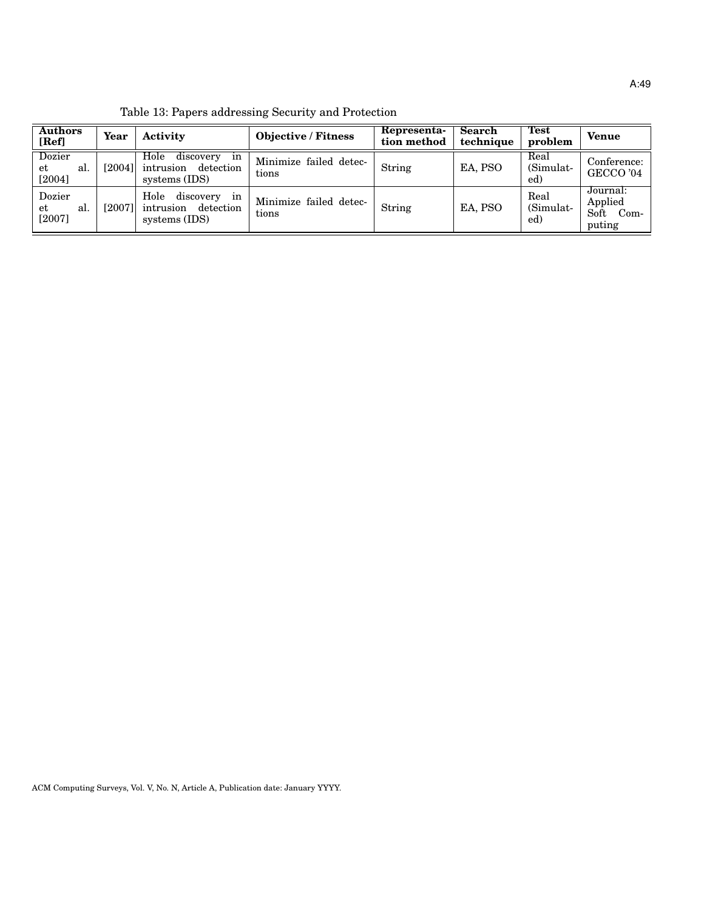| Table 13: Papers addressing Security and Protection |  |
|-----------------------------------------------------|--|
|-----------------------------------------------------|--|

| <b>Authors</b><br>[Ref]                | Search<br>Representa-<br>Year<br><b>Objective / Fitness</b><br>Activity<br>technique<br>tion method |                                                                           | <b>Test</b><br>problem          | <b>Venue</b> |         |                          |                                                 |
|----------------------------------------|-----------------------------------------------------------------------------------------------------|---------------------------------------------------------------------------|---------------------------------|--------------|---------|--------------------------|-------------------------------------------------|
| <b>Dozier</b><br>et<br>al.<br>$[2004]$ | [2004]                                                                                              | Hole<br>discovery<br>in<br>intrusion<br>detection<br>systems (IDS)        | Minimize failed detec-<br>tions | String       | EA, PSO | Real<br>(Simulat-<br>ed) | Conference:<br>GECCO '04                        |
| Dozier<br>et<br>al.<br>$[2007]$        | [2007]                                                                                              | Hole<br>discovery<br>ın<br>intrusion<br>$\rm{detection}$<br>systems (IDS) | Minimize failed detec-<br>tions | String       | EA, PSO | Real<br>(Simulat-<br>ed) | Journal:<br>Applied<br>Soft<br>$Com-$<br>puting |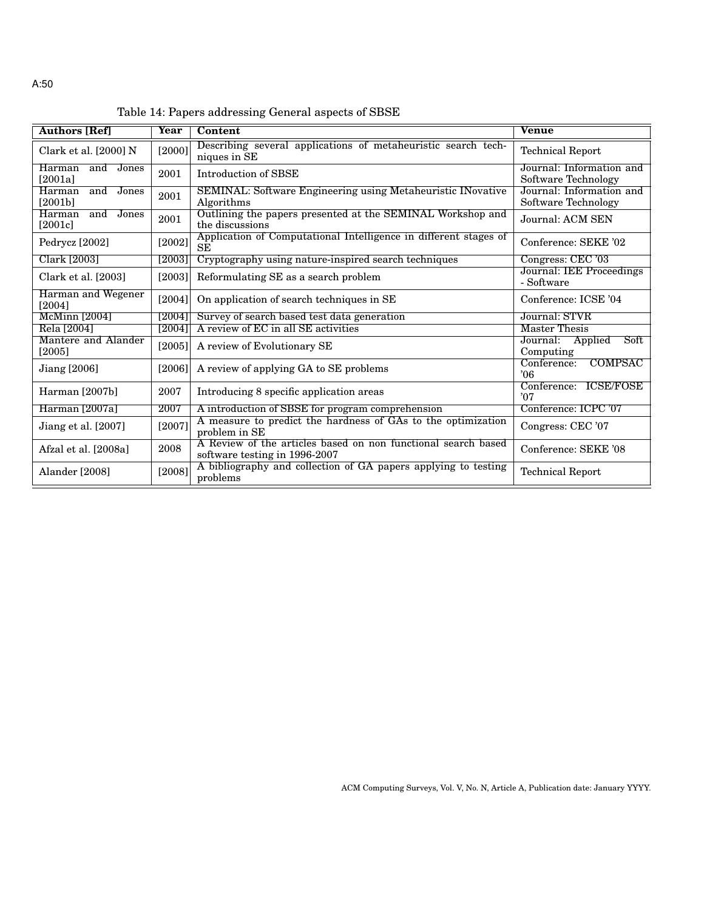| <b>Authors [Ref]</b>           | Year     | <b>Content</b>                                                                                 | <b>Venue</b>                                    |
|--------------------------------|----------|------------------------------------------------------------------------------------------------|-------------------------------------------------|
| Clark et al. [2000] N          | [2000]   | Describing several applications of metaheuristic search tech-<br>niques in SE                  | <b>Technical Report</b>                         |
| Harman and Jones<br>[2001a]    | 2001     | Introduction of SBSE                                                                           | Journal: Information and<br>Software Technology |
| Harman<br>and Jones<br>[2001b] | 2001     | <b>SEMINAL: Software Engineering using Metaheuristic INovative</b><br>Algorithms               | Journal: Information and<br>Software Technology |
| Harman<br>and Jones<br>[2001c] | 2001     | Outlining the papers presented at the SEMINAL Workshop and<br>the discussions                  | Journal: ACM SEN                                |
| Pedrycz [2002]                 | [2002]   | Application of Computational Intelligence in different stages of<br><b>SE</b>                  | Conference: SEKE '02                            |
| <b>Clark</b> [2003]            | [2003]   | Cryptography using nature-inspired search techniques                                           | Congress: CEC '03                               |
| Clark et al. [2003]            | $[2003]$ | Reformulating SE as a search problem                                                           | Journal: IEE Proceedings<br>- Software          |
| Harman and Wegener<br>[2004]   | [2004]   | On application of search techniques in SE                                                      | Conference: ICSE '04                            |
| <b>McMinn</b> [2004]           | [2004]]  | Survey of search based test data generation                                                    | Journal: STVR                                   |
| Rela [2004]                    | [2004]   | A review of EC in all SE activities                                                            | <b>Master Thesis</b>                            |
| Mantere and Alander<br>[2005]  |          | [2005] A review of Evolutionary SE                                                             | Journal: Applied<br>Soft<br>Computing           |
| Jiang [2006]                   | $[2006]$ | A review of applying GA to SE problems                                                         | <b>COMPSAC</b><br>Conference:<br>$^{\prime}$ 06 |
| Harman [2007b]                 | 2007     | Introducing 8 specific application areas                                                       | Conference: ICSE/FOSE<br>$^{\prime}07$          |
| Harman [2007a]                 | 2007     | A introduction of SBSE for program comprehension                                               | Conference: ICPC '07                            |
| Jiang et al. [2007]            | $[2007]$ | A measure to predict the hardness of GAs to the optimization<br>problem in SE                  | Congress: CEC '07                               |
| Afzal et al. [2008a]           | 2008     | A Review of the articles based on non functional search based<br>software testing in 1996-2007 | Conference: SEKE '08                            |
| Alander [2008]                 | [2008]   | A bibliography and collection of GA papers applying to testing<br>problems                     | <b>Technical Report</b>                         |

# Table 14: Papers addressing General aspects of SBSE

A:50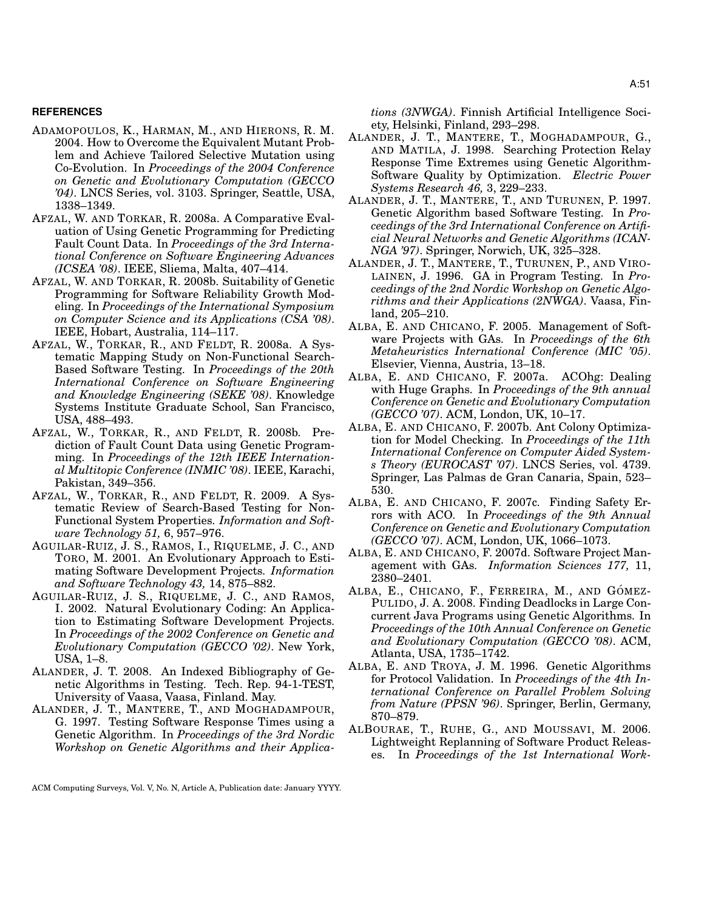## **REFERENCES**

- ADAMOPOULOS, K., HARMAN, M., AND HIERONS, R. M. 2004. How to Overcome the Equivalent Mutant Problem and Achieve Tailored Selective Mutation using Co-Evolution. In *Proceedings of the 2004 Conference on Genetic and Evolutionary Computation (GECCO '04)*. LNCS Series, vol. 3103. Springer, Seattle, USA, 1338–1349.
- AFZAL, W. AND TORKAR, R. 2008a. A Comparative Evaluation of Using Genetic Programming for Predicting Fault Count Data. In *Proceedings of the 3rd International Conference on Software Engineering Advances (ICSEA '08)*. IEEE, Sliema, Malta, 407–414.
- AFZAL, W. AND TORKAR, R. 2008b. Suitability of Genetic Programming for Software Reliability Growth Modeling. In *Proceedings of the International Symposium on Computer Science and its Applications (CSA '08)*. IEEE, Hobart, Australia, 114–117.
- AFZAL, W., TORKAR, R., AND FELDT, R. 2008a. A Systematic Mapping Study on Non-Functional Search-Based Software Testing. In *Proceedings of the 20th International Conference on Software Engineering and Knowledge Engineering (SEKE '08)*. Knowledge Systems Institute Graduate School, San Francisco, USA, 488–493.
- AFZAL, W., TORKAR, R., AND FELDT, R. 2008b. Prediction of Fault Count Data using Genetic Programming. In *Proceedings of the 12th IEEE International Multitopic Conference (INMIC '08)*. IEEE, Karachi, Pakistan, 349–356.
- AFZAL, W., TORKAR, R., AND FELDT, R. 2009. A Systematic Review of Search-Based Testing for Non-Functional System Properties. *Information and Software Technology 51,* 6, 957–976.
- AGUILAR-RUIZ, J. S., RAMOS, I., RIQUELME, J. C., AND TORO, M. 2001. An Evolutionary Approach to Estimating Software Development Projects. *Information and Software Technology 43,* 14, 875–882.
- AGUILAR-RUIZ, J. S., RIQUELME, J. C., AND RAMOS, I. 2002. Natural Evolutionary Coding: An Application to Estimating Software Development Projects. In *Proceedings of the 2002 Conference on Genetic and Evolutionary Computation (GECCO '02)*. New York, USA, 1–8.
- ALANDER, J. T. 2008. An Indexed Bibliography of Genetic Algorithms in Testing. Tech. Rep. 94-1-TEST, University of Vaasa, Vaasa, Finland. May.
- ALANDER, J. T., MANTERE, T., AND MOGHADAMPOUR, G. 1997. Testing Software Response Times using a Genetic Algorithm. In *Proceedings of the 3rd Nordic Workshop on Genetic Algorithms and their Applica-*

*tions (3NWGA)*. Finnish Artificial Intelligence Society, Helsinki, Finland, 293–298.

- ALANDER, J. T., MANTERE, T., MOGHADAMPOUR, G., AND MATILA, J. 1998. Searching Protection Relay Response Time Extremes using Genetic Algorithm-Software Quality by Optimization. *Electric Power Systems Research 46,* 3, 229–233.
- ALANDER, J. T., MANTERE, T., AND TURUNEN, P. 1997. Genetic Algorithm based Software Testing. In *Proceedings of the 3rd International Conference on Artificial Neural Networks and Genetic Algorithms (ICAN-NGA '97)*. Springer, Norwich, UK, 325–328.
- ALANDER, J. T., MANTERE, T., TURUNEN, P., AND VIRO-LAINEN, J. 1996. GA in Program Testing. In *Proceedings of the 2nd Nordic Workshop on Genetic Algorithms and their Applications (2NWGA)*. Vaasa, Finland, 205–210.
- ALBA, E. AND CHICANO, F. 2005. Management of Software Projects with GAs. In *Proceedings of the 6th Metaheuristics International Conference (MIC '05)*. Elsevier, Vienna, Austria, 13–18.
- ALBA, E. AND CHICANO, F. 2007a. ACOhg: Dealing with Huge Graphs. In *Proceedings of the 9th annual Conference on Genetic and Evolutionary Computation (GECCO '07)*. ACM, London, UK, 10–17.
- ALBA, E. AND CHICANO, F. 2007b. Ant Colony Optimization for Model Checking. In *Proceedings of the 11th International Conference on Computer Aided Systems Theory (EUROCAST '07)*. LNCS Series, vol. 4739. Springer, Las Palmas de Gran Canaria, Spain, 523– 530.
- ALBA, E. AND CHICANO, F. 2007c. Finding Safety Errors with ACO. In *Proceedings of the 9th Annual Conference on Genetic and Evolutionary Computation (GECCO '07)*. ACM, London, UK, 1066–1073.
- ALBA, E. AND CHICANO, F. 2007d. Software Project Management with GAs. *Information Sciences 177,* 11, 2380–2401.
- ALBA, E., CHICANO, F., FERREIRA, M., AND GÓMEZ-PULIDO, J. A. 2008. Finding Deadlocks in Large Concurrent Java Programs using Genetic Algorithms. In *Proceedings of the 10th Annual Conference on Genetic and Evolutionary Computation (GECCO '08)*. ACM, Atlanta, USA, 1735–1742.
- ALBA, E. AND TROYA, J. M. 1996. Genetic Algorithms for Protocol Validation. In *Proceedings of the 4th International Conference on Parallel Problem Solving from Nature (PPSN '96)*. Springer, Berlin, Germany, 870–879.
- ALBOURAE, T., RUHE, G., AND MOUSSAVI, M. 2006. Lightweight Replanning of Software Product Releases. In *Proceedings of the 1st International Work-*

A:51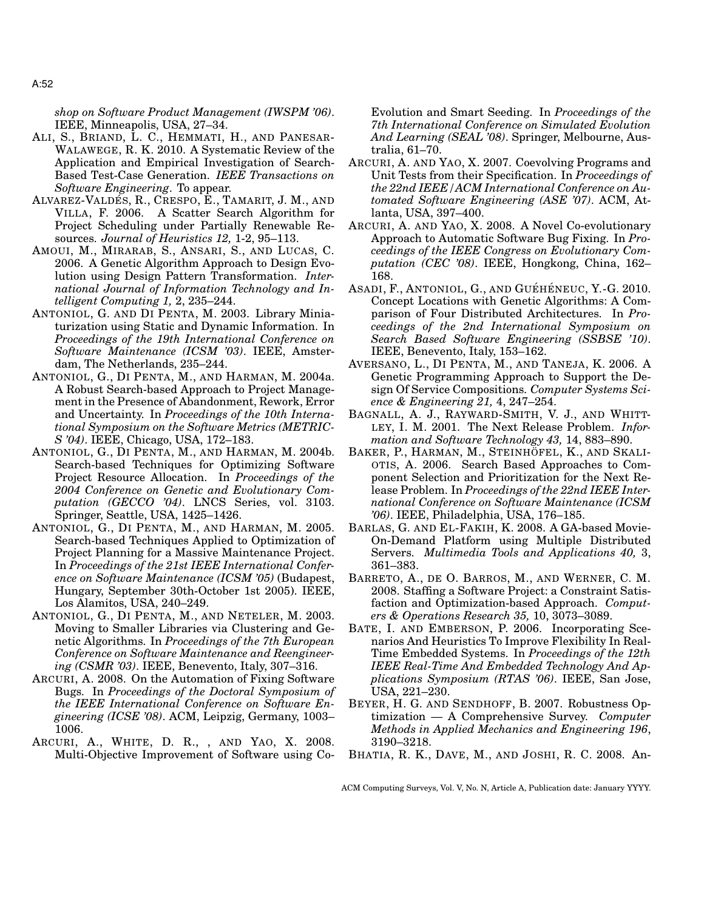*shop on Software Product Management (IWSPM '06)*. IEEE, Minneapolis, USA, 27–34.

- ALI, S., BRIAND, L. C., HEMMATI, H., AND PANESAR-WALAWEGE, R. K. 2010. A Systematic Review of the Application and Empirical Investigation of Search-Based Test-Case Generation. *IEEE Transactions on Software Engineering*. To appear.
- ALVAREZ-VALDÉS, R., CRESPO, E., TAMARIT, J. M., AND VILLA, F. 2006. A Scatter Search Algorithm for Project Scheduling under Partially Renewable Resources. *Journal of Heuristics 12,* 1-2, 95–113.
- AMOUI, M., MIRARAB, S., ANSARI, S., AND LUCAS, C. 2006. A Genetic Algorithm Approach to Design Evolution using Design Pattern Transformation. *International Journal of Information Technology and Intelligent Computing 1,* 2, 235–244.
- ANTONIOL, G. AND DI PENTA, M. 2003. Library Miniaturization using Static and Dynamic Information. In *Proceedings of the 19th International Conference on Software Maintenance (ICSM '03)*. IEEE, Amsterdam, The Netherlands, 235–244.
- ANTONIOL, G., DI PENTA, M., AND HARMAN, M. 2004a. A Robust Search-based Approach to Project Management in the Presence of Abandonment, Rework, Error and Uncertainty. In *Proceedings of the 10th International Symposium on the Software Metrics (METRIC-S '04)*. IEEE, Chicago, USA, 172–183.
- ANTONIOL, G., DI PENTA, M., AND HARMAN, M. 2004b. Search-based Techniques for Optimizing Software Project Resource Allocation. In *Proceedings of the 2004 Conference on Genetic and Evolutionary Computation (GECCO '04)*. LNCS Series, vol. 3103. Springer, Seattle, USA, 1425–1426.
- ANTONIOL, G., DI PENTA, M., AND HARMAN, M. 2005. Search-based Techniques Applied to Optimization of Project Planning for a Massive Maintenance Project. In *Proceedings of the 21st IEEE International Conference on Software Maintenance (ICSM '05)* (Budapest, Hungary, September 30th-October 1st 2005). IEEE, Los Alamitos, USA, 240–249.
- ANTONIOL, G., DI PENTA, M., AND NETELER, M. 2003. Moving to Smaller Libraries via Clustering and Genetic Algorithms. In *Proceedings of the 7th European Conference on Software Maintenance and Reengineering (CSMR '03)*. IEEE, Benevento, Italy, 307–316.
- ARCURI, A. 2008. On the Automation of Fixing Software Bugs. In *Proceedings of the Doctoral Symposium of the IEEE International Conference on Software Engineering (ICSE '08)*. ACM, Leipzig, Germany, 1003– 1006.
- ARCURI, A., WHITE, D. R., , AND YAO, X. 2008. Multi-Objective Improvement of Software using Co-

Evolution and Smart Seeding. In *Proceedings of the 7th International Conference on Simulated Evolution And Learning (SEAL '08)*. Springer, Melbourne, Australia, 61–70.

- ARCURI, A. AND YAO, X. 2007. Coevolving Programs and Unit Tests from their Specification. In *Proceedings of the 22nd IEEE/ACM International Conference on Automated Software Engineering (ASE '07)*. ACM, Atlanta, USA, 397–400.
- ARCURI, A. AND YAO, X. 2008. A Novel Co-evolutionary Approach to Automatic Software Bug Fixing. In *Proceedings of the IEEE Congress on Evolutionary Computation (CEC '08)*. IEEE, Hongkong, China, 162– 168.
- ASADI, F., ANTONIOL, G., AND GUÉHÉNEUC, Y.-G. 2010. Concept Locations with Genetic Algorithms: A Comparison of Four Distributed Architectures. In *Proceedings of the 2nd International Symposium on Search Based Software Engineering (SSBSE '10)*. IEEE, Benevento, Italy, 153–162.
- AVERSANO, L., DI PENTA, M., AND TANEJA, K. 2006. A Genetic Programming Approach to Support the Design Of Service Compositions. *Computer Systems Science & Engineering 21,* 4, 247–254.
- BAGNALL, A. J., RAYWARD-SMITH, V. J., AND WHITT-LEY, I. M. 2001. The Next Release Problem. *Information and Software Technology 43,* 14, 883–890.
- BAKER, P., HARMAN, M., STEINHÖFEL, K., AND SKALI-OTIS, A. 2006. Search Based Approaches to Component Selection and Prioritization for the Next Release Problem. In *Proceedings of the 22nd IEEE International Conference on Software Maintenance (ICSM '06)*. IEEE, Philadelphia, USA, 176–185.
- BARLAS, G. AND EL-FAKIH, K. 2008. A GA-based Movie-On-Demand Platform using Multiple Distributed Servers. *Multimedia Tools and Applications 40,* 3, 361–383.
- BARRETO, A., DE O. BARROS, M., AND WERNER, C. M. 2008. Staffing a Software Project: a Constraint Satisfaction and Optimization-based Approach. *Computers & Operations Research 35,* 10, 3073–3089.
- BATE, I. AND EMBERSON, P. 2006. Incorporating Scenarios And Heuristics To Improve Flexibility In Real-Time Embedded Systems. In *Proceedings of the 12th IEEE Real-Time And Embedded Technology And Applications Symposium (RTAS '06)*. IEEE, San Jose, USA, 221–230.
- BEYER, H. G. AND SENDHOFF, B. 2007. Robustness Optimization — A Comprehensive Survey. *Computer Methods in Applied Mechanics and Engineering 196*, 3190–3218.
- BHATIA, R. K., DAVE, M., AND JOSHI, R. C. 2008. An-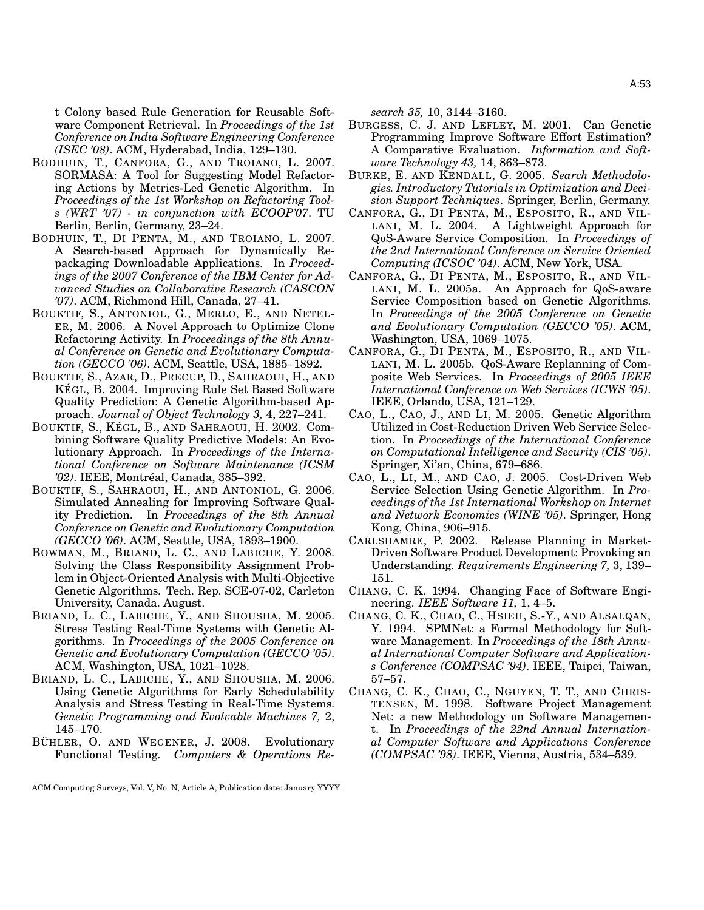t Colony based Rule Generation for Reusable Software Component Retrieval. In *Proceedings of the 1st Conference on India Software Engineering Conference (ISEC '08)*. ACM, Hyderabad, India, 129–130.

- BODHUIN, T., CANFORA, G., AND TROIANO, L. 2007. SORMASA: A Tool for Suggesting Model Refactoring Actions by Metrics-Led Genetic Algorithm. In *Proceedings of the 1st Workshop on Refactoring Tools (WRT '07) - in conjunction with ECOOP'07*. TU Berlin, Berlin, Germany, 23–24.
- BODHUIN, T., DI PENTA, M., AND TROIANO, L. 2007. A Search-based Approach for Dynamically Repackaging Downloadable Applications. In *Proceedings of the 2007 Conference of the IBM Center for Advanced Studies on Collaborative Research (CASCON '07)*. ACM, Richmond Hill, Canada, 27–41.
- BOUKTIF, S., ANTONIOL, G., MERLO, E., AND NETEL-ER, M. 2006. A Novel Approach to Optimize Clone Refactoring Activity. In *Proceedings of the 8th Annual Conference on Genetic and Evolutionary Computation (GECCO '06)*. ACM, Seattle, USA, 1885–1892.
- BOUKTIF, S., AZAR, D., PRECUP, D., SAHRAOUI, H., AND KÉGL, B. 2004. Improving Rule Set Based Software Quality Prediction: A Genetic Algorithm-based Approach. *Journal of Object Technology 3,* 4, 227–241.
- BOUKTIF, S., KÉGL, B., AND SAHRAOUI, H. 2002. Combining Software Quality Predictive Models: An Evolutionary Approach. In *Proceedings of the International Conference on Software Maintenance (ICSM '02)*. IEEE, Montréal, Canada, 385–392.
- BOUKTIF, S., SAHRAOUI, H., AND ANTONIOL, G. 2006. Simulated Annealing for Improving Software Quality Prediction. In *Proceedings of the 8th Annual Conference on Genetic and Evolutionary Computation (GECCO '06)*. ACM, Seattle, USA, 1893–1900.
- BOWMAN, M., BRIAND, L. C., AND LABICHE, Y. 2008. Solving the Class Responsibility Assignment Problem in Object-Oriented Analysis with Multi-Objective Genetic Algorithms. Tech. Rep. SCE-07-02, Carleton University, Canada. August.
- BRIAND, L. C., LABICHE, Y., AND SHOUSHA, M. 2005. Stress Testing Real-Time Systems with Genetic Algorithms. In *Proceedings of the 2005 Conference on Genetic and Evolutionary Computation (GECCO '05)*. ACM, Washington, USA, 1021–1028.
- BRIAND, L. C., LABICHE, Y., AND SHOUSHA, M. 2006. Using Genetic Algorithms for Early Schedulability Analysis and Stress Testing in Real-Time Systems. *Genetic Programming and Evolvable Machines 7,* 2, 145–170.
- BÜHLER, O. AND WEGENER, J. 2008. Evolutionary Functional Testing. *Computers & Operations Re-*

ACM Computing Surveys, Vol. V, No. N, Article A, Publication date: January YYYY.

*search 35,* 10, 3144–3160.

- BURGESS, C. J. AND LEFLEY, M. 2001. Can Genetic Programming Improve Software Effort Estimation? A Comparative Evaluation. *Information and Software Technology 43,* 14, 863–873.
- BURKE, E. AND KENDALL, G. 2005. *Search Methodologies. Introductory Tutorials in Optimization and Decision Support Techniques*. Springer, Berlin, Germany.
- CANFORA, G., DI PENTA, M., ESPOSITO, R., AND VIL-LANI, M. L. 2004. A Lightweight Approach for QoS-Aware Service Composition. In *Proceedings of the 2nd International Conference on Service Oriented Computing (ICSOC '04)*. ACM, New York, USA.
- CANFORA, G., DI PENTA, M., ESPOSITO, R., AND VIL-LANI, M. L. 2005a. An Approach for QoS-aware Service Composition based on Genetic Algorithms. In *Proceedings of the 2005 Conference on Genetic and Evolutionary Computation (GECCO '05)*. ACM, Washington, USA, 1069–1075.
- CANFORA, G., DI PENTA, M., ESPOSITO, R., AND VIL-LANI, M. L. 2005b. QoS-Aware Replanning of Composite Web Services. In *Proceedings of 2005 IEEE International Conference on Web Services (ICWS '05)*. IEEE, Orlando, USA, 121–129.
- CAO, L., CAO, J., AND LI, M. 2005. Genetic Algorithm Utilized in Cost-Reduction Driven Web Service Selection. In *Proceedings of the International Conference on Computational Intelligence and Security (CIS '05)*. Springer, Xi'an, China, 679–686.
- CAO, L., LI, M., AND CAO, J. 2005. Cost-Driven Web Service Selection Using Genetic Algorithm. In *Proceedings of the 1st International Workshop on Internet and Network Economics (WINE '05)*. Springer, Hong Kong, China, 906–915.
- CARLSHAMRE, P. 2002. Release Planning in Market-Driven Software Product Development: Provoking an Understanding. *Requirements Engineering 7,* 3, 139– 151.
- CHANG, C. K. 1994. Changing Face of Software Engineering. *IEEE Software 11,* 1, 4–5.
- CHANG, C. K., CHAO, C., HSIEH, S.-Y., AND ALSALQAN, Y. 1994. SPMNet: a Formal Methodology for Software Management. In *Proceedings of the 18th Annual International Computer Software and Applications Conference (COMPSAC '94)*. IEEE, Taipei, Taiwan, 57–57.
- CHANG, C. K., CHAO, C., NGUYEN, T. T., AND CHRIS-TENSEN, M. 1998. Software Project Management Net: a new Methodology on Software Management. In *Proceedings of the 22nd Annual International Computer Software and Applications Conference (COMPSAC '98)*. IEEE, Vienna, Austria, 534–539.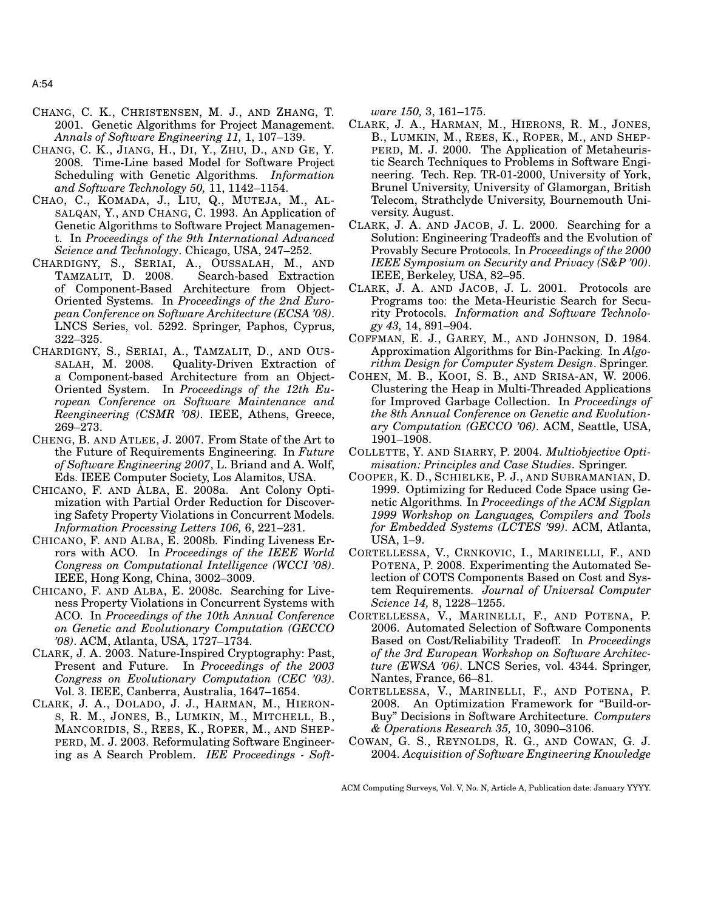CHANG, C. K., CHRISTENSEN, M. J., AND ZHANG, T. 2001. Genetic Algorithms for Project Management. *Annals of Software Engineering 11,* 1, 107–139.

- CHANG, C. K., JIANG, H., DI, Y., ZHU, D., AND GE, Y. 2008. Time-Line based Model for Software Project Scheduling with Genetic Algorithms. *Information and Software Technology 50,* 11, 1142–1154.
- CHAO, C., KOMADA, J., LIU, Q., MUTEJA, M., AL-SALQAN, Y., AND CHANG, C. 1993. An Application of Genetic Algorithms to Software Project Management. In *Proceedings of the 9th International Advanced Science and Technology*. Chicago, USA, 247–252.
- CHARDIGNY, S., SERIAI, A., OUSSALAH, M., AND TAMZALIT, D. 2008. Search-based Extraction of Component-Based Architecture from Object-Oriented Systems. In *Proceedings of the 2nd European Conference on Software Architecture (ECSA '08)*. LNCS Series, vol. 5292. Springer, Paphos, Cyprus, 322–325.
- CHARDIGNY, S., SERIAI, A., TAMZALIT, D., AND OUS-SALAH, M. 2008. Quality-Driven Extraction of Quality-Driven Extraction of a Component-based Architecture from an Object-Oriented System. In *Proceedings of the 12th European Conference on Software Maintenance and Reengineering (CSMR '08)*. IEEE, Athens, Greece, 269–273.
- CHENG, B. AND ATLEE, J. 2007. From State of the Art to the Future of Requirements Engineering. In *Future of Software Engineering 2007*, L. Briand and A. Wolf, Eds. IEEE Computer Society, Los Alamitos, USA.
- CHICANO, F. AND ALBA, E. 2008a. Ant Colony Optimization with Partial Order Reduction for Discovering Safety Property Violations in Concurrent Models. *Information Processing Letters 106,* 6, 221–231.
- CHICANO, F. AND ALBA, E. 2008b. Finding Liveness Errors with ACO. In *Proceedings of the IEEE World Congress on Computational Intelligence (WCCI '08)*. IEEE, Hong Kong, China, 3002–3009.
- CHICANO, F. AND ALBA, E. 2008c. Searching for Liveness Property Violations in Concurrent Systems with ACO. In *Proceedings of the 10th Annual Conference on Genetic and Evolutionary Computation (GECCO '08)*. ACM, Atlanta, USA, 1727–1734.
- CLARK, J. A. 2003. Nature-Inspired Cryptography: Past, Present and Future. In *Proceedings of the 2003 Congress on Evolutionary Computation (CEC '03)*. Vol. 3. IEEE, Canberra, Australia, 1647–1654.
- CLARK, J. A., DOLADO, J. J., HARMAN, M., HIERON-S, R. M., JONES, B., LUMKIN, M., MITCHELL, B., MANCORIDIS, S., REES, K., ROPER, M., AND SHEP-PERD, M. J. 2003. Reformulating Software Engineering as A Search Problem. *IEE Proceedings - Soft-*

*ware 150,* 3, 161–175.

- CLARK, J. A., HARMAN, M., HIERONS, R. M., JONES, B., LUMKIN, M., REES, K., ROPER, M., AND SHEP-PERD, M. J. 2000. The Application of Metaheuristic Search Techniques to Problems in Software Engineering. Tech. Rep. TR-01-2000, University of York, Brunel University, University of Glamorgan, British Telecom, Strathclyde University, Bournemouth University. August.
- CLARK, J. A. AND JACOB, J. L. 2000. Searching for a Solution: Engineering Tradeoffs and the Evolution of Provably Secure Protocols. In *Proceedings of the 2000 IEEE Symposium on Security and Privacy (S&P '00)*. IEEE, Berkeley, USA, 82–95.
- CLARK, J. A. AND JACOB, J. L. 2001. Protocols are Programs too: the Meta-Heuristic Search for Security Protocols. *Information and Software Technology 43,* 14, 891–904.
- COFFMAN, E. J., GAREY, M., AND JOHNSON, D. 1984. Approximation Algorithms for Bin-Packing. In *Algorithm Design for Computer System Design*. Springer.
- COHEN, M. B., KOOI, S. B., AND SRISA-AN, W. 2006. Clustering the Heap in Multi-Threaded Applications for Improved Garbage Collection. In *Proceedings of the 8th Annual Conference on Genetic and Evolutionary Computation (GECCO '06)*. ACM, Seattle, USA, 1901–1908.
- COLLETTE, Y. AND SIARRY, P. 2004. *Multiobjective Optimisation: Principles and Case Studies*. Springer.
- COOPER, K. D., SCHIELKE, P. J., AND SUBRAMANIAN, D. 1999. Optimizing for Reduced Code Space using Genetic Algorithms. In *Proceedings of the ACM Sigplan 1999 Workshop on Languages, Compilers and Tools for Embedded Systems (LCTES '99)*. ACM, Atlanta, USA, 1–9.
- CORTELLESSA, V., CRNKOVIC, I., MARINELLI, F., AND POTENA, P. 2008. Experimenting the Automated Selection of COTS Components Based on Cost and System Requirements. *Journal of Universal Computer Science 14,* 8, 1228–1255.
- CORTELLESSA, V., MARINELLI, F., AND POTENA, P. 2006. Automated Selection of Software Components Based on Cost/Reliability Tradeoff. In *Proceedings of the 3rd European Workshop on Software Architecture (EWSA '06)*. LNCS Series, vol. 4344. Springer, Nantes, France, 66–81.
- CORTELLESSA, V., MARINELLI, F., AND POTENA, P. 2008. An Optimization Framework for "Build-or-Buy" Decisions in Software Architecture. *Computers & Operations Research 35,* 10, 3090–3106.
- COWAN, G. S., REYNOLDS, R. G., AND COWAN, G. J. 2004. *Acquisition of Software Engineering Knowledge*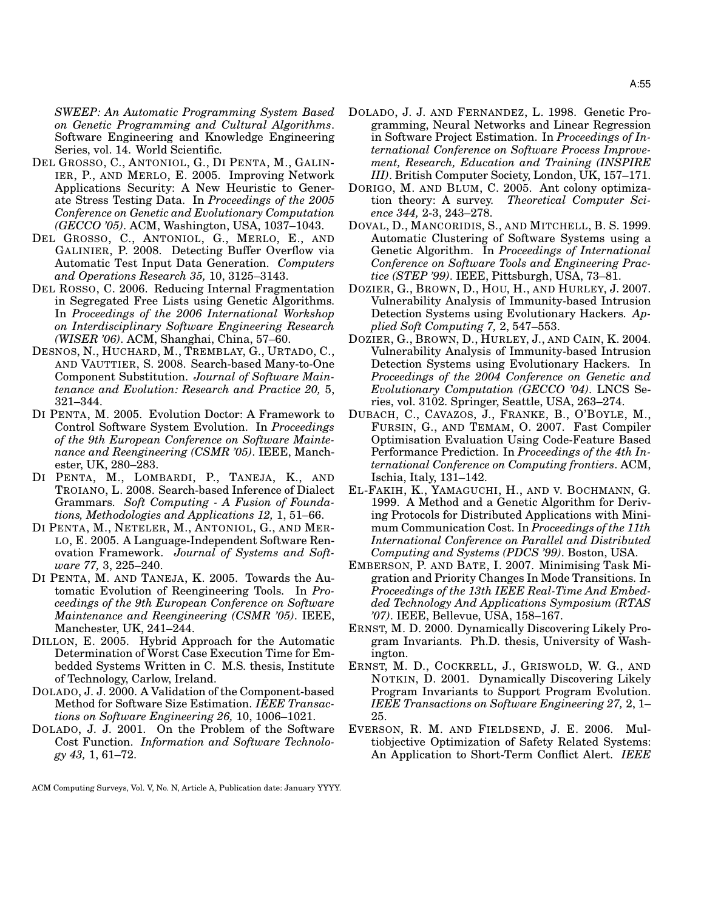*SWEEP: An Automatic Programming System Based on Genetic Programming and Cultural Algorithms*. Software Engineering and Knowledge Engineering Series, vol. 14. World Scientific.

- DEL GROSSO, C., ANTONIOL, G., DI PENTA, M., GALIN-IER, P., AND MERLO, E. 2005. Improving Network Applications Security: A New Heuristic to Generate Stress Testing Data. In *Proceedings of the 2005 Conference on Genetic and Evolutionary Computation (GECCO '05)*. ACM, Washington, USA, 1037–1043.
- DEL GROSSO, C., ANTONIOL, G., MERLO, E., AND GALINIER, P. 2008. Detecting Buffer Overflow via Automatic Test Input Data Generation. *Computers and Operations Research 35,* 10, 3125–3143.
- DEL ROSSO, C. 2006. Reducing Internal Fragmentation in Segregated Free Lists using Genetic Algorithms. In *Proceedings of the 2006 International Workshop on Interdisciplinary Software Engineering Research (WISER '06)*. ACM, Shanghai, China, 57–60.
- DESNOS, N., HUCHARD, M., TREMBLAY, G., URTADO, C., AND VAUTTIER, S. 2008. Search-based Many-to-One Component Substitution. *Journal of Software Maintenance and Evolution: Research and Practice 20,* 5, 321–344.
- DI PENTA, M. 2005. Evolution Doctor: A Framework to Control Software System Evolution. In *Proceedings of the 9th European Conference on Software Maintenance and Reengineering (CSMR '05)*. IEEE, Manchester, UK, 280–283.
- DI PENTA, M., LOMBARDI, P., TANEJA, K., AND TROIANO, L. 2008. Search-based Inference of Dialect Grammars. *Soft Computing - A Fusion of Foundations, Methodologies and Applications 12,* 1, 51–66.
- DI PENTA, M., NETELER, M., ANTONIOL, G., AND MER-LO, E. 2005. A Language-Independent Software Renovation Framework. *Journal of Systems and Software 77,* 3, 225–240.
- DI PENTA, M. AND TANEJA, K. 2005. Towards the Automatic Evolution of Reengineering Tools. In *Proceedings of the 9th European Conference on Software Maintenance and Reengineering (CSMR '05)*. IEEE, Manchester, UK, 241–244.
- DILLON, E. 2005. Hybrid Approach for the Automatic Determination of Worst Case Execution Time for Embedded Systems Written in C. M.S. thesis, Institute of Technology, Carlow, Ireland.
- DOLADO, J. J. 2000. A Validation of the Component-based Method for Software Size Estimation. *IEEE Transactions on Software Engineering 26,* 10, 1006–1021.
- DOLADO, J. J. 2001. On the Problem of the Software Cost Function. *Information and Software Technology 43,* 1, 61–72.
- DOLADO, J. J. AND FERNANDEZ, L. 1998. Genetic Programming, Neural Networks and Linear Regression in Software Project Estimation. In *Proceedings of International Conference on Software Process Improvement, Research, Education and Training (INSPIRE III)*. British Computer Society, London, UK, 157–171.
- DORIGO, M. AND BLUM, C. 2005. Ant colony optimization theory: A survey. *Theoretical Computer Science 344,* 2-3, 243–278.
- DOVAL, D., MANCORIDIS, S., AND MITCHELL, B. S. 1999. Automatic Clustering of Software Systems using a Genetic Algorithm. In *Proceedings of International Conference on Software Tools and Engineering Practice (STEP '99)*. IEEE, Pittsburgh, USA, 73–81.
- DOZIER, G., BROWN, D., HOU, H., AND HURLEY, J. 2007. Vulnerability Analysis of Immunity-based Intrusion Detection Systems using Evolutionary Hackers. *Applied Soft Computing 7,* 2, 547–553.
- DOZIER, G., BROWN, D., HURLEY, J., AND CAIN, K. 2004. Vulnerability Analysis of Immunity-based Intrusion Detection Systems using Evolutionary Hackers. In *Proceedings of the 2004 Conference on Genetic and Evolutionary Computation (GECCO '04)*. LNCS Series, vol. 3102. Springer, Seattle, USA, 263–274.
- DUBACH, C., CAVAZOS, J., FRANKE, B., O'BOYLE, M., FURSIN, G., AND TEMAM, O. 2007. Fast Compiler Optimisation Evaluation Using Code-Feature Based Performance Prediction. In *Proceedings of the 4th International Conference on Computing frontiers*. ACM, Ischia, Italy, 131–142.
- EL-FAKIH, K., YAMAGUCHI, H., AND V. BOCHMANN, G. 1999. A Method and a Genetic Algorithm for Deriving Protocols for Distributed Applications with Minimum Communication Cost. In *Proceedings of the 11th International Conference on Parallel and Distributed Computing and Systems (PDCS '99)*. Boston, USA.
- EMBERSON, P. AND BATE, I. 2007. Minimising Task Migration and Priority Changes In Mode Transitions. In *Proceedings of the 13th IEEE Real-Time And Embedded Technology And Applications Symposium (RTAS '07)*. IEEE, Bellevue, USA, 158–167.
- ERNST, M. D. 2000. Dynamically Discovering Likely Program Invariants. Ph.D. thesis, University of Washington.
- ERNST, M. D., COCKRELL, J., GRISWOLD, W. G., AND NOTKIN, D. 2001. Dynamically Discovering Likely Program Invariants to Support Program Evolution. *IEEE Transactions on Software Engineering 27,* 2, 1– 25.
- EVERSON, R. M. AND FIELDSEND, J. E. 2006. Multiobjective Optimization of Safety Related Systems: An Application to Short-Term Conflict Alert. *IEEE*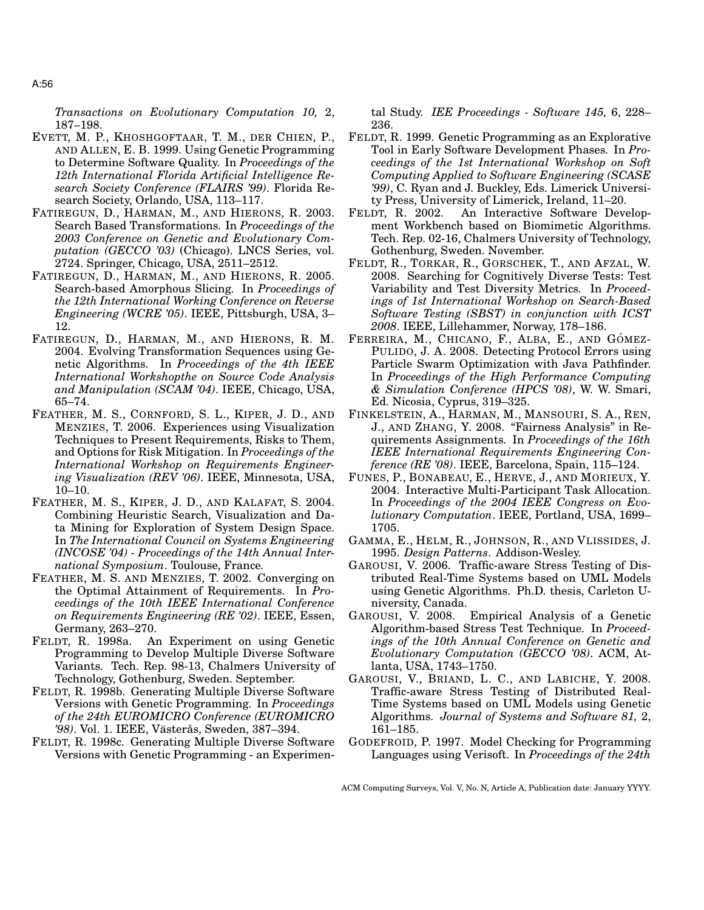*Transactions on Evolutionary Computation 10,* 2, 187–198.

- EVETT, M. P., KHOSHGOFTAAR, T. M., DER CHIEN, P., AND ALLEN, E. B. 1999. Using Genetic Programming to Determine Software Quality. In *Proceedings of the 12th International Florida Artificial Intelligence Research Society Conference (FLAIRS '99)*. Florida Research Society, Orlando, USA, 113–117.
- FATIREGUN, D., HARMAN, M., AND HIERONS, R. 2003. Search Based Transformations. In *Proceedings of the 2003 Conference on Genetic and Evolutionary Computation (GECCO '03)* (Chicago). LNCS Series, vol. 2724. Springer, Chicago, USA, 2511–2512.
- FATIREGUN, D., HARMAN, M., AND HIERONS, R. 2005. Search-based Amorphous Slicing. In *Proceedings of the 12th International Working Conference on Reverse Engineering (WCRE '05)*. IEEE, Pittsburgh, USA, 3– 12.
- FATIREGUN, D., HARMAN, M., AND HIERONS, R. M. 2004. Evolving Transformation Sequences using Genetic Algorithms. In *Proceedings of the 4th IEEE International Workshopthe on Source Code Analysis and Manipulation (SCAM '04)*. IEEE, Chicago, USA, 65–74.
- FEATHER, M. S., CORNFORD, S. L., KIPER, J. D., AND MENZIES, T. 2006. Experiences using Visualization Techniques to Present Requirements, Risks to Them, and Options for Risk Mitigation. In *Proceedings of the International Workshop on Requirements Engineering Visualization (REV '06)*. IEEE, Minnesota, USA, 10–10.
- FEATHER, M. S., KIPER, J. D., AND KALAFAT, S. 2004. Combining Heuristic Search, Visualization and Data Mining for Exploration of System Design Space. In *The International Council on Systems Engineering (INCOSE '04) - Proceedings of the 14th Annual International Symposium*. Toulouse, France.
- FEATHER, M. S. AND MENZIES, T. 2002. Converging on the Optimal Attainment of Requirements. In *Proceedings of the 10th IEEE International Conference on Requirements Engineering (RE '02)*. IEEE, Essen, Germany, 263–270.
- FELDT, R. 1998a. An Experiment on using Genetic Programming to Develop Multiple Diverse Software Variants. Tech. Rep. 98-13, Chalmers University of Technology, Gothenburg, Sweden. September.
- FELDT, R. 1998b. Generating Multiple Diverse Software Versions with Genetic Programming. In *Proceedings of the 24th EUROMICRO Conference (EUROMICRO '98)*. Vol. 1. IEEE, Västerås, Sweden, 387–394.
- FELDT, R. 1998c. Generating Multiple Diverse Software Versions with Genetic Programming - an Experimen-

tal Study. *IEE Proceedings - Software 145,* 6, 228– 236.

- FELDT, R. 1999. Genetic Programming as an Explorative Tool in Early Software Development Phases. In *Proceedings of the 1st International Workshop on Soft Computing Applied to Software Engineering (SCASE '99)*, C. Ryan and J. Buckley, Eds. Limerick University Press, University of Limerick, Ireland, 11–20.
- FELDT, R. 2002. An Interactive Software Development Workbench based on Biomimetic Algorithms. Tech. Rep. 02-16, Chalmers University of Technology, Gothenburg, Sweden. November.
- FELDT, R., TORKAR, R., GORSCHEK, T., AND AFZAL, W. 2008. Searching for Cognitively Diverse Tests: Test Variability and Test Diversity Metrics. In *Proceedings of 1st International Workshop on Search-Based Software Testing (SBST) in conjunction with ICST 2008*. IEEE, Lillehammer, Norway, 178–186.
- FERREIRA, M., CHICANO, F., ALBA, E., AND GÓMEZ-PULIDO, J. A. 2008. Detecting Protocol Errors using Particle Swarm Optimization with Java Pathfinder. In *Proceedings of the High Performance Computing & Simulation Conference (HPCS '08)*, W. W. Smari, Ed. Nicosia, Cyprus, 319–325.
- FINKELSTEIN, A., HARMAN, M., MANSOURI, S. A., REN, J., AND ZHANG, Y. 2008. "Fairness Analysis" in Requirements Assignments. In *Proceedings of the 16th IEEE International Requirements Engineering Conference (RE '08)*. IEEE, Barcelona, Spain, 115–124.
- FUNES, P., BONABEAU, E., HERVE, J., AND MORIEUX, Y. 2004. Interactive Multi-Participant Task Allocation. In *Proceedings of the 2004 IEEE Congress on Evolutionary Computation*. IEEE, Portland, USA, 1699– 1705.
- GAMMA, E., HELM, R., JOHNSON, R., AND VLISSIDES, J. 1995. *Design Patterns*. Addison-Wesley.
- GAROUSI, V. 2006. Traffic-aware Stress Testing of Distributed Real-Time Systems based on UML Models using Genetic Algorithms. Ph.D. thesis, Carleton University, Canada.
- GAROUSI, V. 2008. Empirical Analysis of a Genetic Algorithm-based Stress Test Technique. In *Proceedings of the 10th Annual Conference on Genetic and Evolutionary Computation (GECCO '08)*. ACM, Atlanta, USA, 1743–1750.
- GAROUSI, V., BRIAND, L. C., AND LABICHE, Y. 2008. Traffic-aware Stress Testing of Distributed Real-Time Systems based on UML Models using Genetic Algorithms. *Journal of Systems and Software 81,* 2, 161–185.
- GODEFROID, P. 1997. Model Checking for Programming Languages using Verisoft. In *Proceedings of the 24th*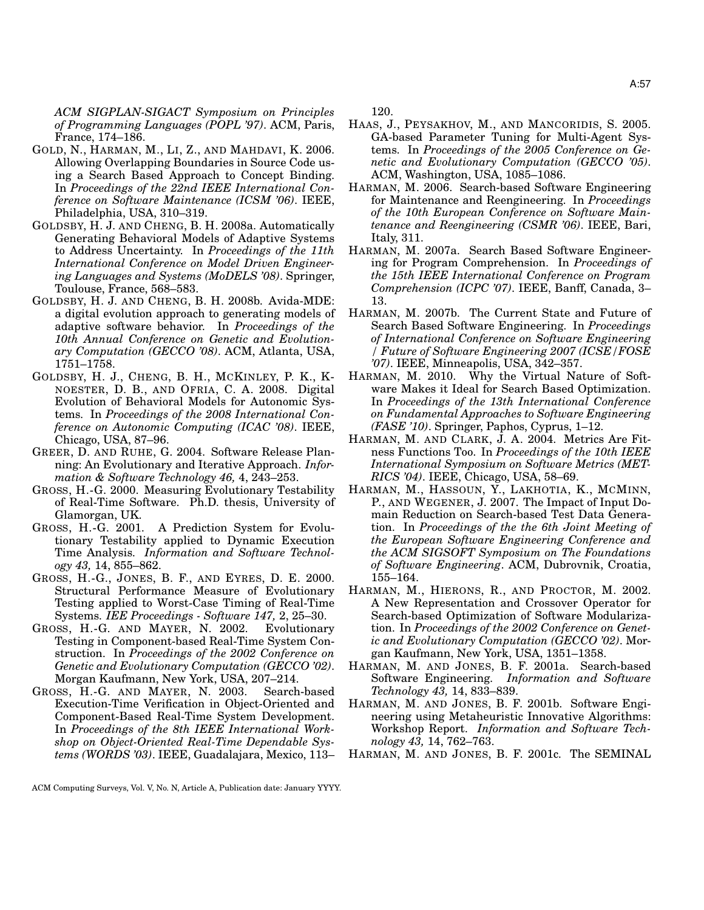*ACM SIGPLAN-SIGACT Symposium on Principles of Programming Languages (POPL '97)*. ACM, Paris, France, 174–186.

- GOLD, N., HARMAN, M., LI, Z., AND MAHDAVI, K. 2006. Allowing Overlapping Boundaries in Source Code using a Search Based Approach to Concept Binding. In *Proceedings of the 22nd IEEE International Conference on Software Maintenance (ICSM '06)*. IEEE, Philadelphia, USA, 310–319.
- GOLDSBY, H. J. AND CHENG, B. H. 2008a. Automatically Generating Behavioral Models of Adaptive Systems to Address Uncertainty. In *Proceedings of the 11th International Conference on Model Driven Engineering Languages and Systems (MoDELS '08)*. Springer, Toulouse, France, 568–583.
- GOLDSBY, H. J. AND CHENG, B. H. 2008b. Avida-MDE: a digital evolution approach to generating models of adaptive software behavior. In *Proceedings of the 10th Annual Conference on Genetic and Evolutionary Computation (GECCO '08)*. ACM, Atlanta, USA, 1751–1758.
- GOLDSBY, H. J., CHENG, B. H., MCKINLEY, P. K., K-NOESTER, D. B., AND OFRIA, C. A. 2008. Digital Evolution of Behavioral Models for Autonomic Systems. In *Proceedings of the 2008 International Conference on Autonomic Computing (ICAC '08)*. IEEE, Chicago, USA, 87–96.
- GREER, D. AND RUHE, G. 2004. Software Release Planning: An Evolutionary and Iterative Approach. *Information & Software Technology 46,* 4, 243–253.
- GROSS, H.-G. 2000. Measuring Evolutionary Testability of Real-Time Software. Ph.D. thesis, University of Glamorgan, UK.
- GROSS, H.-G. 2001. A Prediction System for Evolutionary Testability applied to Dynamic Execution Time Analysis. *Information and Software Technology 43,* 14, 855–862.
- GROSS, H.-G., JONES, B. F., AND EYRES, D. E. 2000. Structural Performance Measure of Evolutionary Testing applied to Worst-Case Timing of Real-Time Systems. *IEE Proceedings - Software 147, 2, 25–30.*<br>
9SS. H.-G. AND MAYER, N. 2002. Evolutionary
- GROSS, H.-G. AND MAYER, N. 2002. Testing in Component-based Real-Time System Construction. In *Proceedings of the 2002 Conference on Genetic and Evolutionary Computation (GECCO '02)*. Morgan Kaufmann, New York, USA, 207–214.
- GROSS, H.-G. AND MAYER, N. 2003. Search-based Execution-Time Verification in Object-Oriented and Component-Based Real-Time System Development. In *Proceedings of the 8th IEEE International Workshop on Object-Oriented Real-Time Dependable Systems (WORDS '03)*. IEEE, Guadalajara, Mexico, 113–

120.

- HAAS, J., PEYSAKHOV, M., AND MANCORIDIS, S. 2005. GA-based Parameter Tuning for Multi-Agent Systems. In *Proceedings of the 2005 Conference on Genetic and Evolutionary Computation (GECCO '05)*. ACM, Washington, USA, 1085–1086.
- HARMAN, M. 2006. Search-based Software Engineering for Maintenance and Reengineering. In *Proceedings of the 10th European Conference on Software Maintenance and Reengineering (CSMR '06)*. IEEE, Bari, Italy, 311.
- HARMAN, M. 2007a. Search Based Software Engineering for Program Comprehension. In *Proceedings of the 15th IEEE International Conference on Program Comprehension (ICPC '07)*. IEEE, Banff, Canada, 3– 13.
- HARMAN, M. 2007b. The Current State and Future of Search Based Software Engineering. In *Proceedings of International Conference on Software Engineering / Future of Software Engineering 2007 (ICSE/FOSE '07)*. IEEE, Minneapolis, USA, 342–357.
- HARMAN, M. 2010. Why the Virtual Nature of Software Makes it Ideal for Search Based Optimization. In *Proceedings of the 13th International Conference on Fundamental Approaches to Software Engineering (FASE '10)*. Springer, Paphos, Cyprus, 1–12.
- HARMAN, M. AND CLARK, J. A. 2004. Metrics Are Fitness Functions Too. In *Proceedings of the 10th IEEE International Symposium on Software Metrics (MET-RICS '04)*. IEEE, Chicago, USA, 58–69.
- HARMAN, M., HASSOUN, Y., LAKHOTIA, K., MCMINN, P., AND WEGENER, J. 2007. The Impact of Input Domain Reduction on Search-based Test Data Generation. In *Proceedings of the the 6th Joint Meeting of the European Software Engineering Conference and the ACM SIGSOFT Symposium on The Foundations of Software Engineering*. ACM, Dubrovnik, Croatia, 155–164.
- HARMAN, M., HIERONS, R., AND PROCTOR, M. 2002. A New Representation and Crossover Operator for Search-based Optimization of Software Modularization. In *Proceedings of the 2002 Conference on Genetic and Evolutionary Computation (GECCO '02)*. Morgan Kaufmann, New York, USA, 1351–1358.
- HARMAN, M. AND JONES, B. F. 2001a. Search-based Software Engineering. *Information and Software Technology 43,* 14, 833–839.
- HARMAN, M. AND JONES, B. F. 2001b. Software Engineering using Metaheuristic Innovative Algorithms: Workshop Report. *Information and Software Technology 43,* 14, 762–763.
- HARMAN, M. AND JONES, B. F. 2001c. The SEMINAL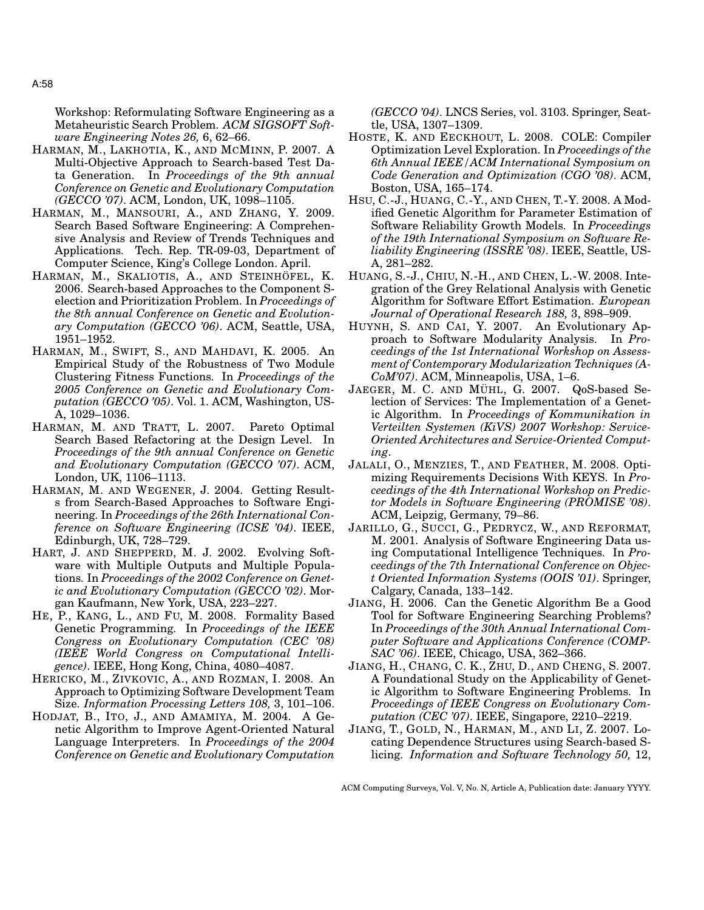Workshop: Reformulating Software Engineering as a Metaheuristic Search Problem. *ACM SIGSOFT Software Engineering Notes 26,* 6, 62–66.

- HARMAN, M., LAKHOTIA, K., AND MCMINN, P. 2007. A Multi-Objective Approach to Search-based Test Data Generation. In *Proceedings of the 9th annual Conference on Genetic and Evolutionary Computation (GECCO '07)*. ACM, London, UK, 1098–1105.
- HARMAN, M., MANSOURI, A., AND ZHANG, Y. 2009. Search Based Software Engineering: A Comprehensive Analysis and Review of Trends Techniques and Applications. Tech. Rep. TR-09-03, Department of Computer Science, King's College London. April.
- HARMAN, M., SKALIOTIS, A., AND STEINHÖFEL, K. 2006. Search-based Approaches to the Component Selection and Prioritization Problem. In *Proceedings of the 8th annual Conference on Genetic and Evolutionary Computation (GECCO '06)*. ACM, Seattle, USA, 1951–1952.
- HARMAN, M., SWIFT, S., AND MAHDAVI, K. 2005. An Empirical Study of the Robustness of Two Module Clustering Fitness Functions. In *Proceedings of the 2005 Conference on Genetic and Evolutionary Computation (GECCO '05)*. Vol. 1. ACM, Washington, US-A, 1029–1036.
- HARMAN, M. AND TRATT, L. 2007. Pareto Optimal Search Based Refactoring at the Design Level. In *Proceedings of the 9th annual Conference on Genetic and Evolutionary Computation (GECCO '07)*. ACM, London, UK, 1106–1113.
- HARMAN, M. AND WEGENER, J. 2004. Getting Results from Search-Based Approaches to Software Engineering. In *Proceedings of the 26th International Conference on Software Engineering (ICSE '04)*. IEEE, Edinburgh, UK, 728–729.
- HART, J. AND SHEPPERD, M. J. 2002. Evolving Software with Multiple Outputs and Multiple Populations. In *Proceedings of the 2002 Conference on Genetic and Evolutionary Computation (GECCO '02)*. Morgan Kaufmann, New York, USA, 223–227.
- HE, P., KANG, L., AND FU, M. 2008. Formality Based Genetic Programming. In *Proceedings of the IEEE Congress on Evolutionary Computation (CEC '08) (IEEE World Congress on Computational Intelligence)*. IEEE, Hong Kong, China, 4080–4087.
- HERICKO, M., ZIVKOVIC, A., AND ROZMAN, I. 2008. An Approach to Optimizing Software Development Team Size. *Information Processing Letters 108,* 3, 101–106.
- HODJAT, B., ITO, J., AND AMAMIYA, M. 2004. A Genetic Algorithm to Improve Agent-Oriented Natural Language Interpreters. In *Proceedings of the 2004 Conference on Genetic and Evolutionary Computation*

*(GECCO '04)*. LNCS Series, vol. 3103. Springer, Seattle, USA, 1307–1309.

- HOSTE, K. AND EECKHOUT, L. 2008. COLE: Compiler Optimization Level Exploration. In *Proceedings of the 6th Annual IEEE/ACM International Symposium on Code Generation and Optimization (CGO '08)*. ACM, Boston, USA, 165–174.
- HSU, C.-J., HUANG, C.-Y., AND CHEN, T.-Y. 2008. A Modified Genetic Algorithm for Parameter Estimation of Software Reliability Growth Models. In *Proceedings of the 19th International Symposium on Software Reliability Engineering (ISSRE '08)*. IEEE, Seattle, US-A, 281–282.
- HUANG, S.-J., CHIU, N.-H., AND CHEN, L.-W. 2008. Integration of the Grey Relational Analysis with Genetic Algorithm for Software Effort Estimation. *European Journal of Operational Research 188,* 3, 898–909.
- HUYNH, S. AND CAI, Y. 2007. An Evolutionary Approach to Software Modularity Analysis. In *Proceedings of the 1st International Workshop on Assessment of Contemporary Modularization Techniques (A-CoM'07)*. ACM, Minneapolis, USA, 1–6.
- JAEGER, M. C. AND MÜHL, G. 2007. QoS-based Selection of Services: The Implementation of a Genetic Algorithm. In *Proceedings of Kommunikation in Verteilten Systemen (KiVS) 2007 Workshop: Service-Oriented Architectures and Service-Oriented Computing*.
- JALALI, O., MENZIES, T., AND FEATHER, M. 2008. Optimizing Requirements Decisions With KEYS. In *Proceedings of the 4th International Workshop on Predictor Models in Software Engineering (PROMISE '08)*. ACM, Leipzig, Germany, 79–86.
- JARILLO, G., SUCCI, G., PEDRYCZ, W., AND REFORMAT, M. 2001. Analysis of Software Engineering Data using Computational Intelligence Techniques. In *Proceedings of the 7th International Conference on Object Oriented Information Systems (OOIS '01)*. Springer, Calgary, Canada, 133–142.
- JIANG, H. 2006. Can the Genetic Algorithm Be a Good Tool for Software Engineering Searching Problems? In *Proceedings of the 30th Annual International Computer Software and Applications Conference (COMP-SAC '06)*. IEEE, Chicago, USA, 362–366.
- JIANG, H., CHANG, C. K., ZHU, D., AND CHENG, S. 2007. A Foundational Study on the Applicability of Genetic Algorithm to Software Engineering Problems. In *Proceedings of IEEE Congress on Evolutionary Computation (CEC '07)*. IEEE, Singapore, 2210–2219.
- JIANG, T., GOLD, N., HARMAN, M., AND LI, Z. 2007. Locating Dependence Structures using Search-based Slicing. *Information and Software Technology 50,* 12,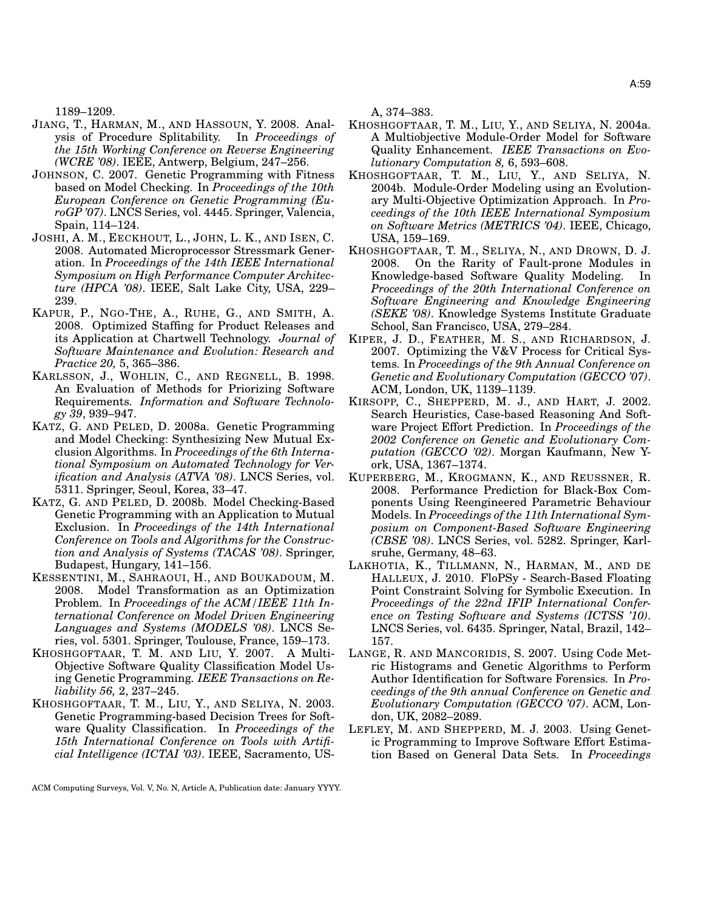1189–1209.

- JIANG, T., HARMAN, M., AND HASSOUN, Y. 2008. Analysis of Procedure Splitability. In *Proceedings of the 15th Working Conference on Reverse Engineering (WCRE '08)*. IEEE, Antwerp, Belgium, 247–256.
- JOHNSON, C. 2007. Genetic Programming with Fitness based on Model Checking. In *Proceedings of the 10th European Conference on Genetic Programming (EuroGP '07)*. LNCS Series, vol. 4445. Springer, Valencia, Spain, 114–124.
- JOSHI, A. M., EECKHOUT, L., JOHN, L. K., AND ISEN, C. 2008. Automated Microprocessor Stressmark Generation. In *Proceedings of the 14th IEEE International Symposium on High Performance Computer Architecture (HPCA '08)*. IEEE, Salt Lake City, USA, 229– 239.
- KAPUR, P., NGO-THE, A., RUHE, G., AND SMITH, A. 2008. Optimized Staffing for Product Releases and its Application at Chartwell Technology. *Journal of Software Maintenance and Evolution: Research and Practice 20,* 5, 365–386.
- KARLSSON, J., WOHLIN, C., AND REGNELL, B. 1998. An Evaluation of Methods for Priorizing Software Requirements. *Information and Software Technology 39*, 939–947.
- KATZ, G. AND PELED, D. 2008a. Genetic Programming and Model Checking: Synthesizing New Mutual Exclusion Algorithms. In *Proceedings of the 6th International Symposium on Automated Technology for Verification and Analysis (ATVA '08)*. LNCS Series, vol. 5311. Springer, Seoul, Korea, 33–47.
- KATZ, G. AND PELED, D. 2008b. Model Checking-Based Genetic Programming with an Application to Mutual Exclusion. In *Proceedings of the 14th International Conference on Tools and Algorithms for the Construction and Analysis of Systems (TACAS '08)*. Springer, Budapest, Hungary, 141–156.
- KESSENTINI, M., SAHRAOUI, H., AND BOUKADOUM, M. 2008. Model Transformation as an Optimization Problem. In *Proceedings of the ACM/IEEE 11th International Conference on Model Driven Engineering Languages and Systems (MODELS '08)*. LNCS Series, vol. 5301. Springer, Toulouse, France, 159–173.
- KHOSHGOFTAAR, T. M. AND LIU, Y. 2007. A Multi-Objective Software Quality Classification Model Using Genetic Programming. *IEEE Transactions on Reliability 56,* 2, 237–245.
- KHOSHGOFTAAR, T. M., LIU, Y., AND SELIYA, N. 2003. Genetic Programming-based Decision Trees for Software Quality Classification. In *Proceedings of the 15th International Conference on Tools with Artificial Intelligence (ICTAI '03)*. IEEE, Sacramento, US-

A, 374–383.

- KHOSHGOFTAAR, T. M., LIU, Y., AND SELIYA, N. 2004a. A Multiobjective Module-Order Model for Software Quality Enhancement. *IEEE Transactions on Evolutionary Computation 8,* 6, 593–608.
- KHOSHGOFTAAR, T. M., LIU, Y., AND SELIYA, N. 2004b. Module-Order Modeling using an Evolutionary Multi-Objective Optimization Approach. In *Proceedings of the 10th IEEE International Symposium on Software Metrics (METRICS '04)*. IEEE, Chicago, USA, 159–169.
- KHOSHGOFTAAR, T. M., SELIYA, N., AND DROWN, D. J. 2008. On the Rarity of Fault-prone Modules in Knowledge-based Software Quality Modeling. In *Proceedings of the 20th International Conference on Software Engineering and Knowledge Engineering (SEKE '08)*. Knowledge Systems Institute Graduate School, San Francisco, USA, 279–284.
- KIPER, J. D., FEATHER, M. S., AND RICHARDSON, J. 2007. Optimizing the V&V Process for Critical Systems. In *Proceedings of the 9th Annual Conference on Genetic and Evolutionary Computation (GECCO '07)*. ACM, London, UK, 1139–1139.
- KIRSOPP, C., SHEPPERD, M. J., AND HART, J. 2002. Search Heuristics, Case-based Reasoning And Software Project Effort Prediction. In *Proceedings of the 2002 Conference on Genetic and Evolutionary Computation (GECCO '02)*. Morgan Kaufmann, New York, USA, 1367–1374.
- KUPERBERG, M., KROGMANN, K., AND REUSSNER, R. 2008. Performance Prediction for Black-Box Components Using Reengineered Parametric Behaviour Models. In *Proceedings of the 11th International Symposium on Component-Based Software Engineering (CBSE '08)*. LNCS Series, vol. 5282. Springer, Karlsruhe, Germany, 48–63.
- LAKHOTIA, K., TILLMANN, N., HARMAN, M., AND DE HALLEUX, J. 2010. FloPSy - Search-Based Floating Point Constraint Solving for Symbolic Execution. In *Proceedings of the 22nd IFIP International Conference on Testing Software and Systems (ICTSS '10)*. LNCS Series, vol. 6435. Springer, Natal, Brazil, 142– 157.
- LANGE, R. AND MANCORIDIS, S. 2007. Using Code Metric Histograms and Genetic Algorithms to Perform Author Identification for Software Forensics. In *Proceedings of the 9th annual Conference on Genetic and Evolutionary Computation (GECCO '07)*. ACM, London, UK, 2082–2089.
- LEFLEY, M. AND SHEPPERD, M. J. 2003. Using Genetic Programming to Improve Software Effort Estimation Based on General Data Sets. In *Proceedings*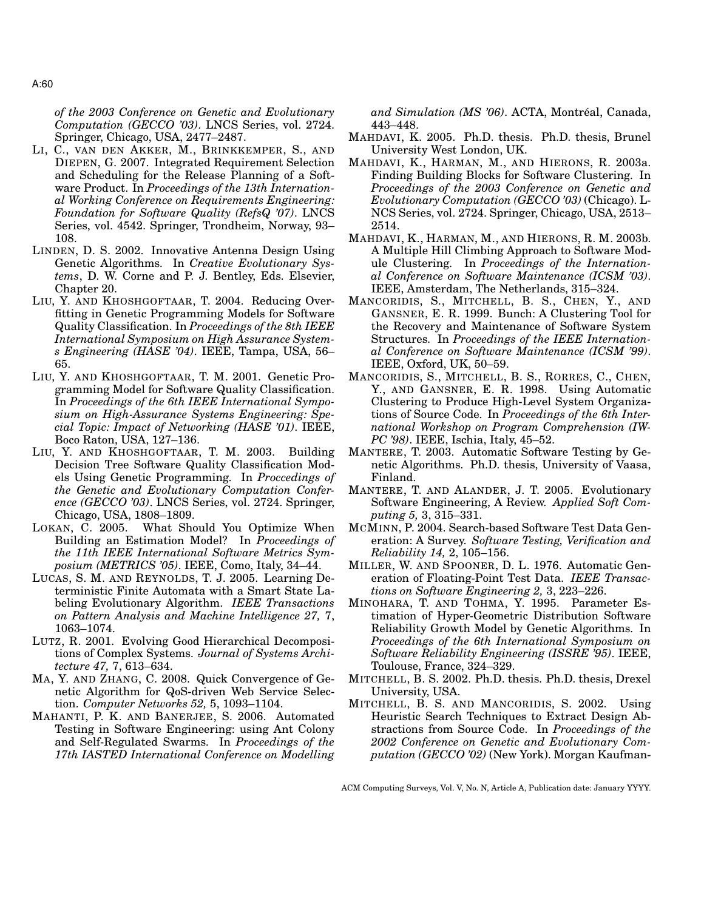*of the 2003 Conference on Genetic and Evolutionary Computation (GECCO '03)*. LNCS Series, vol. 2724. Springer, Chicago, USA, 2477–2487.

- LI, C., VAN DEN AKKER, M., BRINKKEMPER, S., AND DIEPEN, G. 2007. Integrated Requirement Selection and Scheduling for the Release Planning of a Software Product. In *Proceedings of the 13th International Working Conference on Requirements Engineering: Foundation for Software Quality (RefsQ '07)*. LNCS Series, vol. 4542. Springer, Trondheim, Norway, 93– 108.
- LINDEN, D. S. 2002. Innovative Antenna Design Using Genetic Algorithms. In *Creative Evolutionary Systems*, D. W. Corne and P. J. Bentley, Eds. Elsevier, Chapter 20.
- LIU, Y. AND KHOSHGOFTAAR, T. 2004. Reducing Overfitting in Genetic Programming Models for Software Quality Classification. In *Proceedings of the 8th IEEE International Symposium on High Assurance Systems Engineering (HASE '04)*. IEEE, Tampa, USA, 56– 65.
- LIU, Y. AND KHOSHGOFTAAR, T. M. 2001. Genetic Programming Model for Software Quality Classification. In *Proceedings of the 6th IEEE International Symposium on High-Assurance Systems Engineering: Special Topic: Impact of Networking (HASE '01)*. IEEE, Boco Raton, USA, 127–136.
- LIU, Y. AND KHOSHGOFTAAR, T. M. 2003. Building Decision Tree Software Quality Classification Models Using Genetic Programming. In *Proccedings of the Genetic and Evolutionary Computation Conference (GECCO '03)*. LNCS Series, vol. 2724. Springer, Chicago, USA, 1808–1809.
- LOKAN, C. 2005. What Should You Optimize When Building an Estimation Model? In *Proceedings of the 11th IEEE International Software Metrics Symposium (METRICS '05)*. IEEE, Como, Italy, 34–44.
- LUCAS, S. M. AND REYNOLDS, T. J. 2005. Learning Deterministic Finite Automata with a Smart State Labeling Evolutionary Algorithm. *IEEE Transactions on Pattern Analysis and Machine Intelligence 27,* 7, 1063–1074.
- LUTZ, R. 2001. Evolving Good Hierarchical Decompositions of Complex Systems. *Journal of Systems Architecture 47,* 7, 613–634.
- MA, Y. AND ZHANG, C. 2008. Quick Convergence of Genetic Algorithm for QoS-driven Web Service Selection. *Computer Networks 52,* 5, 1093–1104.
- MAHANTI, P. K. AND BANERJEE, S. 2006. Automated Testing in Software Engineering: using Ant Colony and Self-Regulated Swarms. In *Proceedings of the 17th IASTED International Conference on Modelling*

and Simulation (MS '06). ACTA, Montréal, Canada, 443–448.

- MAHDAVI, K. 2005. Ph.D. thesis. Ph.D. thesis, Brunel University West London, UK.
- MAHDAVI, K., HARMAN, M., AND HIERONS, R. 2003a. Finding Building Blocks for Software Clustering. In *Proceedings of the 2003 Conference on Genetic and Evolutionary Computation (GECCO '03)* (Chicago). L-NCS Series, vol. 2724. Springer, Chicago, USA, 2513– 2514.
- MAHDAVI, K., HARMAN, M., AND HIERONS, R. M. 2003b. A Multiple Hill Climbing Approach to Software Module Clustering. In *Proceedings of the International Conference on Software Maintenance (ICSM '03)*. IEEE, Amsterdam, The Netherlands, 315–324.
- MANCORIDIS, S., MITCHELL, B. S., CHEN, Y., AND GANSNER, E. R. 1999. Bunch: A Clustering Tool for the Recovery and Maintenance of Software System Structures. In *Proceedings of the IEEE International Conference on Software Maintenance (ICSM '99)*. IEEE, Oxford, UK, 50–59.
- MANCORIDIS, S., MITCHELL, B. S., RORRES, C., CHEN, Y., AND GANSNER, E. R. 1998. Using Automatic Clustering to Produce High-Level System Organizations of Source Code. In *Proceedings of the 6th International Workshop on Program Comprehension (IW-PC '98)*. IEEE, Ischia, Italy, 45–52.
- MANTERE, T. 2003. Automatic Software Testing by Genetic Algorithms. Ph.D. thesis, University of Vaasa, Finland.
- MANTERE, T. AND ALANDER, J. T. 2005. Evolutionary Software Engineering, A Review. *Applied Soft Computing 5,* 3, 315–331.
- MCMINN, P. 2004. Search-based Software Test Data Generation: A Survey. *Software Testing, Verification and Reliability 14,* 2, 105–156.
- MILLER, W. AND SPOONER, D. L. 1976. Automatic Generation of Floating-Point Test Data. *IEEE Transactions on Software Engineering 2,* 3, 223–226.
- MINOHARA, T. AND TOHMA, Y. 1995. Parameter Estimation of Hyper-Geometric Distribution Software Reliability Growth Model by Genetic Algorithms. In *Proceedings of the 6th International Symposium on Software Reliability Engineering (ISSRE '95)*. IEEE, Toulouse, France, 324–329.
- MITCHELL, B. S. 2002. Ph.D. thesis. Ph.D. thesis, Drexel University, USA.
- MITCHELL, B. S. AND MANCORIDIS, S. 2002. Using Heuristic Search Techniques to Extract Design Abstractions from Source Code. In *Proceedings of the 2002 Conference on Genetic and Evolutionary Computation (GECCO '02)* (New York). Morgan Kaufman-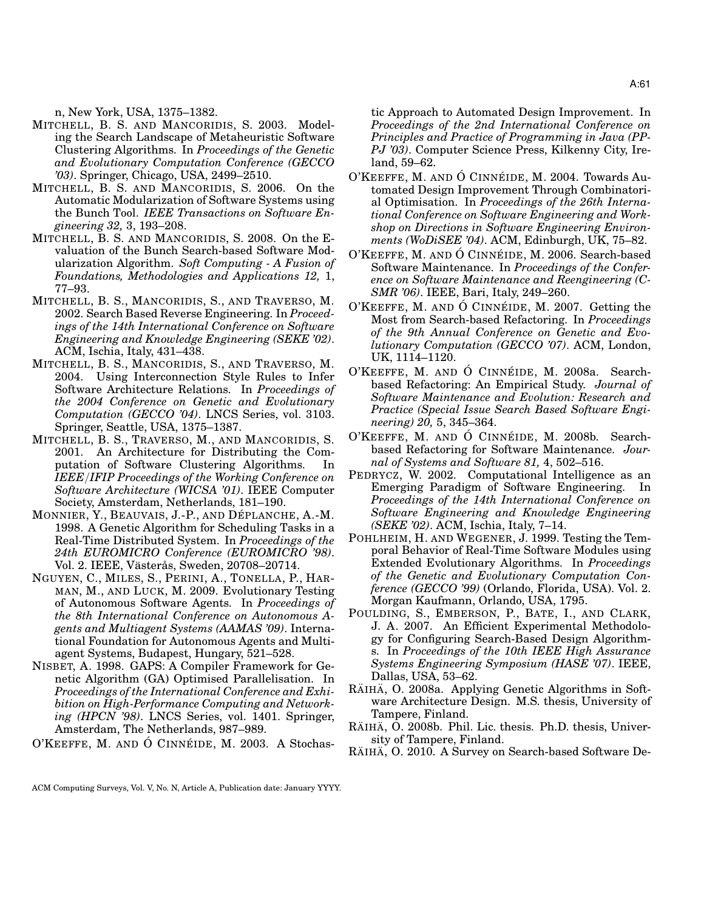n, New York, USA, 1375–1382.

- MITCHELL, B. S. AND MANCORIDIS, S. 2003. Modeling the Search Landscape of Metaheuristic Software Clustering Algorithms. In *Proceedings of the Genetic and Evolutionary Computation Conference (GECCO '03)*. Springer, Chicago, USA, 2499–2510.
- MITCHELL, B. S. AND MANCORIDIS, S. 2006. On the Automatic Modularization of Software Systems using the Bunch Tool. *IEEE Transactions on Software Engineering 32,* 3, 193–208.
- MITCHELL, B. S. AND MANCORIDIS, S. 2008. On the Evaluation of the Bunch Search-based Software Modularization Algorithm. *Soft Computing - A Fusion of Foundations, Methodologies and Applications 12,* 1, 77–93.
- MITCHELL, B. S., MANCORIDIS, S., AND TRAVERSO, M. 2002. Search Based Reverse Engineering. In *Proceedings of the 14th International Conference on Software Engineering and Knowledge Engineering (SEKE '02)*. ACM, Ischia, Italy, 431–438.
- MITCHELL, B. S., MANCORIDIS, S., AND TRAVERSO, M. 2004. Using Interconnection Style Rules to Infer Software Architecture Relations. In *Proceedings of the 2004 Conference on Genetic and Evolutionary Computation (GECCO '04)*. LNCS Series, vol. 3103. Springer, Seattle, USA, 1375–1387.
- MITCHELL, B. S., TRAVERSO, M., AND MANCORIDIS, S. 2001. An Architecture for Distributing the Computation of Software Clustering Algorithms. In *IEEE/IFIP Proceedings of the Working Conference on Software Architecture (WICSA '01)*. IEEE Computer Society, Amsterdam, Netherlands, 181–190.
- MONNIER, Y., BEAUVAIS, J.-P., AND DÉPLANCHE, A.-M. 1998. A Genetic Algorithm for Scheduling Tasks in a Real-Time Distributed System. In *Proceedings of the 24th EUROMICRO Conference (EUROMICRO '98)*. Vol. 2. IEEE, Västerås, Sweden, 20708–20714.
- NGUYEN, C., MILES, S., PERINI, A., TONELLA, P., HAR-MAN, M., AND LUCK, M. 2009. Evolutionary Testing of Autonomous Software Agents. In *Proceedings of the 8th International Conference on Autonomous Agents and Multiagent Systems (AAMAS '09)*. International Foundation for Autonomous Agents and Multiagent Systems, Budapest, Hungary, 521–528.
- NISBET, A. 1998. GAPS: A Compiler Framework for Genetic Algorithm (GA) Optimised Parallelisation. In *Proceedings of the International Conference and Exhibition on High-Performance Computing and Networking (HPCN '98)*. LNCS Series, vol. 1401. Springer, Amsterdam, The Netherlands, 987–989.

O'KEEFFE, M. AND Ó CINNÉIDE, M. 2003. A Stochas-

tic Approach to Automated Design Improvement. In *Proceedings of the 2nd International Conference on Principles and Practice of Programming in Java (PP-PJ '03)*. Computer Science Press, Kilkenny City, Ireland, 59–62.

- O'KEEFFE, M. AND Ó CINNÉIDE, M. 2004. Towards Automated Design Improvement Through Combinatorial Optimisation. In *Proceedings of the 26th International Conference on Software Engineering and Workshop on Directions in Software Engineering Environments (WoDiSEE '04)*. ACM, Edinburgh, UK, 75–82.
- O'KEEFFE, M. AND Ó CINNÉIDE, M. 2006. Search-based Software Maintenance. In *Proceedings of the Conference on Software Maintenance and Reengineering (C-SMR '06)*. IEEE, Bari, Italy, 249–260.
- O'KEEFFE, M. AND Ó CINNÉIDE, M. 2007. Getting the Most from Search-based Refactoring. In *Proceedings of the 9th Annual Conference on Genetic and Evolutionary Computation (GECCO '07)*. ACM, London, UK, 1114–1120.
- O'KEEFFE, M. AND Ó CINNÉIDE, M. 2008a. Searchbased Refactoring: An Empirical Study. *Journal of Software Maintenance and Evolution: Research and Practice (Special Issue Search Based Software Engineering) 20,* 5, 345–364.
- O'KEEFFE, M. AND Ó CINNÉIDE, M. 2008b. Searchbased Refactoring for Software Maintenance. *Journal of Systems and Software 81,* 4, 502–516.
- PEDRYCZ, W. 2002. Computational Intelligence as an Emerging Paradigm of Software Engineering. In *Proceedings of the 14th International Conference on Software Engineering and Knowledge Engineering (SEKE '02)*. ACM, Ischia, Italy, 7–14.
- POHLHEIM, H. AND WEGENER, J. 1999. Testing the Temporal Behavior of Real-Time Software Modules using Extended Evolutionary Algorithms. In *Proceedings of the Genetic and Evolutionary Computation Conference (GECCO '99)* (Orlando, Florida, USA). Vol. 2. Morgan Kaufmann, Orlando, USA, 1795.
- POULDING, S., EMBERSON, P., BATE, I., AND CLARK, J. A. 2007. An Efficient Experimental Methodology for Configuring Search-Based Design Algorithms. In *Proceedings of the 10th IEEE High Assurance Systems Engineering Symposium (HASE '07)*. IEEE, Dallas, USA, 53–62.
- RÄIHÄ, O. 2008a. Applying Genetic Algorithms in Software Architecture Design. M.S. thesis, University of Tampere, Finland.
- RÄIHÄ, O. 2008b. Phil. Lic. thesis. Ph.D. thesis, University of Tampere, Finland.
- RÄIHÄ, O. 2010. A Survey on Search-based Software De-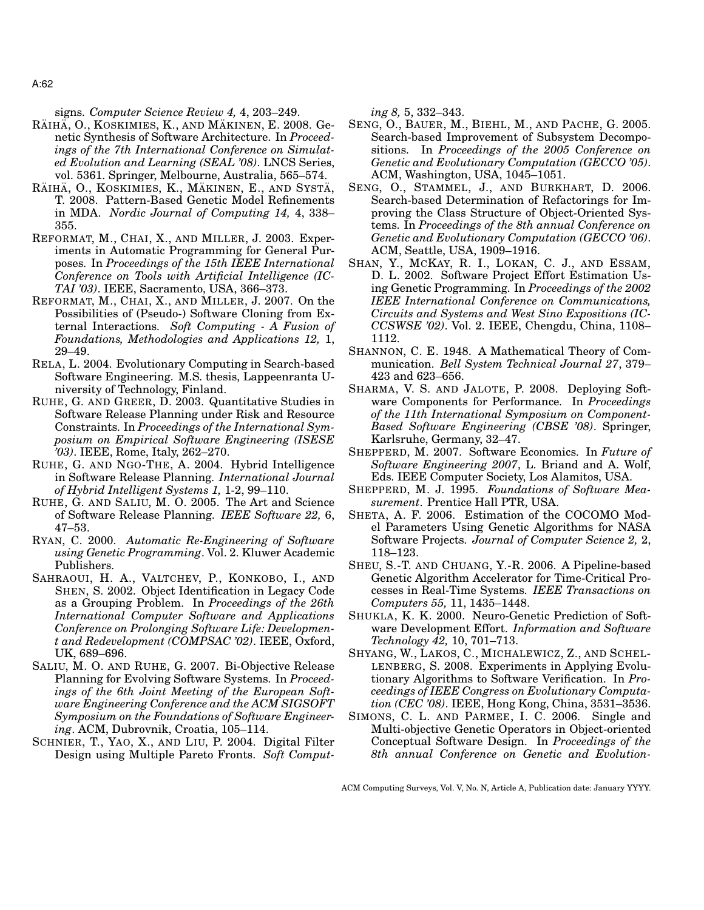signs. *Computer Science Review 4,* 4, 203–249.

- RÄIHÄ, O., KOSKIMIES, K., AND MÄKINEN, E. 2008. Genetic Synthesis of Software Architecture. In *Proceedings of the 7th International Conference on Simulated Evolution and Learning (SEAL '08)*. LNCS Series, vol. 5361. Springer, Melbourne, Australia, 565–574.
- RÄIHÄ, O., KOSKIMIES, K., MÄKINEN, E., AND SYSTÄ, T. 2008. Pattern-Based Genetic Model Refinements in MDA. *Nordic Journal of Computing 14,* 4, 338– 355.
- REFORMAT, M., CHAI, X., AND MILLER, J. 2003. Experiments in Automatic Programming for General Purposes. In *Proceedings of the 15th IEEE International Conference on Tools with Artificial Intelligence (IC-TAI '03)*. IEEE, Sacramento, USA, 366–373.
- REFORMAT, M., CHAI, X., AND MILLER, J. 2007. On the Possibilities of (Pseudo-) Software Cloning from External Interactions. *Soft Computing - A Fusion of Foundations, Methodologies and Applications 12,* 1, 29–49.
- RELA, L. 2004. Evolutionary Computing in Search-based Software Engineering. M.S. thesis, Lappeenranta University of Technology, Finland.
- RUHE, G. AND GREER, D. 2003. Quantitative Studies in Software Release Planning under Risk and Resource Constraints. In *Proceedings of the International Symposium on Empirical Software Engineering (ISESE '03)*. IEEE, Rome, Italy, 262–270.
- RUHE, G. AND NGO-THE, A. 2004. Hybrid Intelligence in Software Release Planning. *International Journal of Hybrid Intelligent Systems 1,* 1-2, 99–110.
- RUHE, G. AND SALIU, M. O. 2005. The Art and Science of Software Release Planning. *IEEE Software 22,* 6, 47–53.
- RYAN, C. 2000. *Automatic Re-Engineering of Software using Genetic Programming*. Vol. 2. Kluwer Academic Publishers.
- SAHRAOUI, H. A., VALTCHEV, P., KONKOBO, I., AND SHEN, S. 2002. Object Identification in Legacy Code as a Grouping Problem. In *Proceedings of the 26th International Computer Software and Applications Conference on Prolonging Software Life: Development and Redevelopment (COMPSAC '02)*. IEEE, Oxford, UK, 689–696.
- SALIU, M. O. AND RUHE, G. 2007. Bi-Objective Release Planning for Evolving Software Systems. In *Proceedings of the 6th Joint Meeting of the European Software Engineering Conference and the ACM SIGSOFT Symposium on the Foundations of Software Engineering*. ACM, Dubrovnik, Croatia, 105–114.
- SCHNIER, T., YAO, X., AND LIU, P. 2004. Digital Filter Design using Multiple Pareto Fronts. *Soft Comput-*

*ing 8,* 5, 332–343.

- SENG, O., BAUER, M., BIEHL, M., AND PACHE, G. 2005. Search-based Improvement of Subsystem Decompositions. In *Proceedings of the 2005 Conference on Genetic and Evolutionary Computation (GECCO '05)*. ACM, Washington, USA, 1045–1051.
- SENG, O., STAMMEL, J., AND BURKHART, D. 2006. Search-based Determination of Refactorings for Improving the Class Structure of Object-Oriented Systems. In *Proceedings of the 8th annual Conference on Genetic and Evolutionary Computation (GECCO '06)*. ACM, Seattle, USA, 1909–1916.
- SHAN, Y., MCKAY, R. I., LOKAN, C. J., AND ESSAM, D. L. 2002. Software Project Effort Estimation Using Genetic Programming. In *Proceedings of the 2002 IEEE International Conference on Communications, Circuits and Systems and West Sino Expositions (IC-CCSWSE '02)*. Vol. 2. IEEE, Chengdu, China, 1108– 1112.
- SHANNON, C. E. 1948. A Mathematical Theory of Communication. *Bell System Technical Journal 27*, 379– 423 and 623–656.
- SHARMA, V. S. AND JALOTE, P. 2008. Deploying Software Components for Performance. In *Proceedings of the 11th International Symposium on Component-Based Software Engineering (CBSE '08)*. Springer, Karlsruhe, Germany, 32–47.
- SHEPPERD, M. 2007. Software Economics. In *Future of Software Engineering 2007*, L. Briand and A. Wolf, Eds. IEEE Computer Society, Los Alamitos, USA.
- SHEPPERD, M. J. 1995. *Foundations of Software Measurement*. Prentice Hall PTR, USA.
- SHETA, A. F. 2006. Estimation of the COCOMO Model Parameters Using Genetic Algorithms for NASA Software Projects. *Journal of Computer Science 2,* 2, 118–123.
- SHEU, S.-T. AND CHUANG, Y.-R. 2006. A Pipeline-based Genetic Algorithm Accelerator for Time-Critical Processes in Real-Time Systems. *IEEE Transactions on Computers 55,* 11, 1435–1448.
- SHUKLA, K. K. 2000. Neuro-Genetic Prediction of Software Development Effort. *Information and Software Technology 42,* 10, 701–713.
- SHYANG, W., LAKOS, C., MICHALEWICZ, Z., AND SCHEL-LENBERG, S. 2008. Experiments in Applying Evolutionary Algorithms to Software Verification. In *Proceedings of IEEE Congress on Evolutionary Computation (CEC '08)*. IEEE, Hong Kong, China, 3531–3536.
- SIMONS, C. L. AND PARMEE, I. C. 2006. Single and Multi-objective Genetic Operators in Object-oriented Conceptual Software Design. In *Proceedings of the 8th annual Conference on Genetic and Evolution-*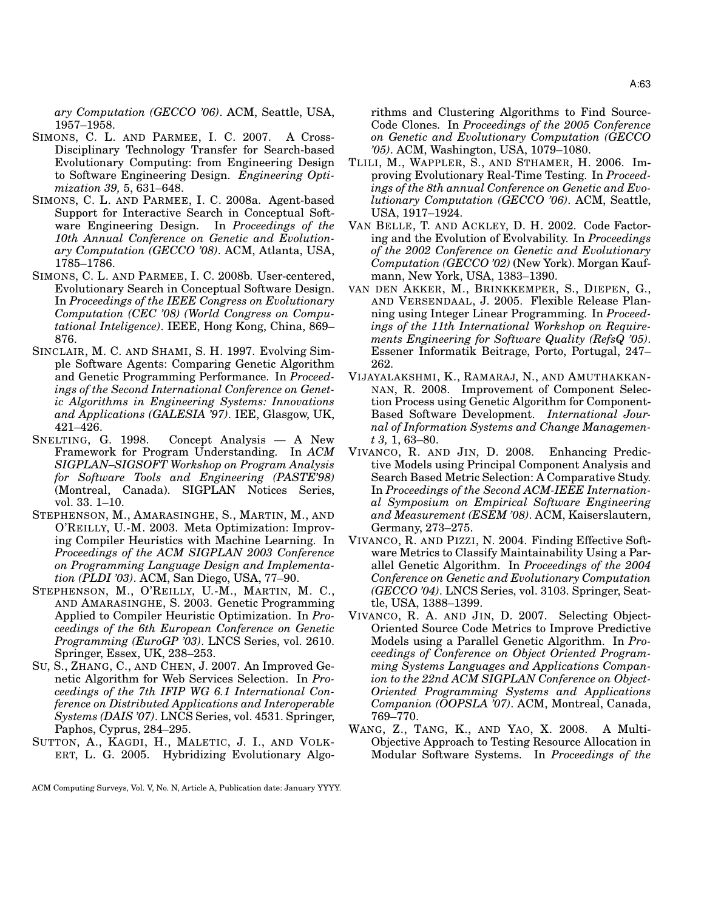*ary Computation (GECCO '06)*. ACM, Seattle, USA, 1957–1958.

- SIMONS, C. L. AND PARMEE, I. C. 2007. A Cross-Disciplinary Technology Transfer for Search-based Evolutionary Computing: from Engineering Design to Software Engineering Design. *Engineering Optimization 39,* 5, 631–648.
- SIMONS, C. L. AND PARMEE, I. C. 2008a. Agent-based Support for Interactive Search in Conceptual Software Engineering Design. In *Proceedings of the 10th Annual Conference on Genetic and Evolutionary Computation (GECCO '08)*. ACM, Atlanta, USA, 1785–1786.
- SIMONS, C. L. AND PARMEE, I. C. 2008b. User-centered, Evolutionary Search in Conceptual Software Design. In *Proceedings of the IEEE Congress on Evolutionary Computation (CEC '08) (World Congress on Computational Inteligence)*. IEEE, Hong Kong, China, 869– 876.
- SINCLAIR, M. C. AND SHAMI, S. H. 1997. Evolving Simple Software Agents: Comparing Genetic Algorithm and Genetic Programming Performance. In *Proceedings of the Second International Conference on Genetic Algorithms in Engineering Systems: Innovations and Applications (GALESIA '97)*. IEE, Glasgow, UK, 421–426.
- SNELTING, G. 1998. Concept Analysis A New Framework for Program Understanding. In *ACM SIGPLAN–SIGSOFT Workshop on Program Analysis for Software Tools and Engineering (PASTE'98)* (Montreal, Canada). SIGPLAN Notices Series, vol. 33. 1–10.
- STEPHENSON, M., AMARASINGHE, S., MARTIN, M., AND O'REILLY, U.-M. 2003. Meta Optimization: Improving Compiler Heuristics with Machine Learning. In *Proceedings of the ACM SIGPLAN 2003 Conference on Programming Language Design and Implementation (PLDI '03)*. ACM, San Diego, USA, 77–90.
- STEPHENSON, M., O'REILLY, U.-M., MARTIN, M. C., AND AMARASINGHE, S. 2003. Genetic Programming Applied to Compiler Heuristic Optimization. In *Proceedings of the 6th European Conference on Genetic Programming (EuroGP '03)*. LNCS Series, vol. 2610. Springer, Essex, UK, 238–253.
- SU, S., ZHANG, C., AND CHEN, J. 2007. An Improved Genetic Algorithm for Web Services Selection. In *Proceedings of the 7th IFIP WG 6.1 International Conference on Distributed Applications and Interoperable Systems (DAIS '07)*. LNCS Series, vol. 4531. Springer, Paphos, Cyprus, 284–295.
- SUTTON, A., KAGDI, H., MALETIC, J. I., AND VOLK-ERT, L. G. 2005. Hybridizing Evolutionary Algo-

rithms and Clustering Algorithms to Find Source-Code Clones. In *Proceedings of the 2005 Conference on Genetic and Evolutionary Computation (GECCO '05)*. ACM, Washington, USA, 1079–1080.

- TLILI, M., WAPPLER, S., AND STHAMER, H. 2006. Improving Evolutionary Real-Time Testing. In *Proceedings of the 8th annual Conference on Genetic and Evolutionary Computation (GECCO '06)*. ACM, Seattle, USA, 1917–1924.
- VAN BELLE, T. AND ACKLEY, D. H. 2002. Code Factoring and the Evolution of Evolvability. In *Proceedings of the 2002 Conference on Genetic and Evolutionary Computation (GECCO '02)* (New York). Morgan Kaufmann, New York, USA, 1383–1390.
- VAN DEN AKKER, M., BRINKKEMPER, S., DIEPEN, G., AND VERSENDAAL, J. 2005. Flexible Release Planning using Integer Linear Programming. In *Proceedings of the 11th International Workshop on Requirements Engineering for Software Quality (RefsQ '05)*. Essener Informatik Beitrage, Porto, Portugal, 247– 262.
- VIJAYALAKSHMI, K., RAMARAJ, N., AND AMUTHAKKAN-NAN, R. 2008. Improvement of Component Selection Process using Genetic Algorithm for Component-Based Software Development. *International Journal of Information Systems and Change Management 3,* 1, 63–80.
- VIVANCO, R. AND JIN, D. 2008. Enhancing Predictive Models using Principal Component Analysis and Search Based Metric Selection: A Comparative Study. In *Proceedings of the Second ACM-IEEE International Symposium on Empirical Software Engineering and Measurement (ESEM '08)*. ACM, Kaiserslautern, Germany, 273–275.
- VIVANCO, R. AND PIZZI, N. 2004. Finding Effective Software Metrics to Classify Maintainability Using a Parallel Genetic Algorithm. In *Proceedings of the 2004 Conference on Genetic and Evolutionary Computation (GECCO '04)*. LNCS Series, vol. 3103. Springer, Seattle, USA, 1388–1399.
- VIVANCO, R. A. AND JIN, D. 2007. Selecting Object-Oriented Source Code Metrics to Improve Predictive Models using a Parallel Genetic Algorithm. In *Proceedings of Conference on Object Oriented Programming Systems Languages and Applications Companion to the 22nd ACM SIGPLAN Conference on Object-Oriented Programming Systems and Applications Companion (OOPSLA '07)*. ACM, Montreal, Canada, 769–770.
- WANG, Z., TANG, K., AND YAO, X. 2008. A Multi-Objective Approach to Testing Resource Allocation in Modular Software Systems. In *Proceedings of the*